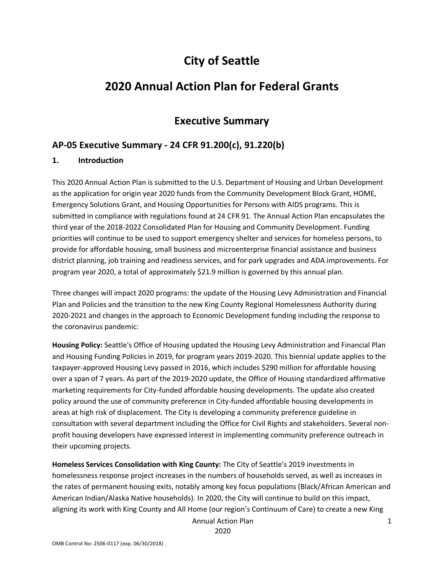# **City of Seattle**

# **2020 Annual Action Plan for Federal Grants**

# **Executive Summary**

# **AP-05 Executive Summary - 24 CFR 91.200(c), 91.220(b)**

#### **1. Introduction**

This 2020 Annual Action Plan is submitted to the U.S. Department of Housing and Urban Development as the application for origin year 2020 funds from the Community Development Block Grant, HOME, Emergency Solutions Grant, and Housing Opportunities for Persons with AIDS programs. This is submitted in compliance with regulations found at 24 CFR 91. The Annual Action Plan encapsulates the third year of the 2018-2022 Consolidated Plan for Housing and Community Development. Funding priorities will continue to be used to support emergency shelter and services for homeless persons, to provide for affordable housing, small business and microenterprise financial assistance and business district planning, job training and readiness services, and for park upgrades and ADA improvements. For program year 2020, a total of approximately \$21.9 million is governed by this annual plan.

Three changes will impact 2020 programs: the update of the Housing Levy Administration and Financial Plan and Policies and the transition to the new King County Regional Homelessness Authority during 2020-2021 and changes in the approach to Economic Development funding including the response to the coronavirus pandemic:

**Housing Policy:** Seattle's Office of Housing updated the Housing Levy Administration and Financial Plan and Housing Funding Policies in 2019, for program years 2019-2020. This biennial update applies to the taxpayer-approved Housing Levy passed in 2016, which includes \$290 million for affordable housing over a span of 7 years. As part of the 2019-2020 update, the Office of Housing standardized affirmative marketing requirements for City-funded affordable housing developments. The update also created policy around the use of community preference in City-funded affordable housing developments in areas at high risk of displacement. The City is developing a community preference guideline in consultation with several department including the Office for Civil Rights and stakeholders. Several nonprofit housing developers have expressed interest in implementing community preference outreach in their upcoming projects.

**Homeless Services Consolidation with King County:** The City of Seattle's 2019 investments in homelessness response project increases in the numbers of households served, as well as increases in the rates of permanent housing exits, notably among key focus populations (Black/African American and American Indian/Alaska Native households). In 2020, the City will continue to build on this impact, aligning its work with King County and All Home (our region's Continuum of Care) to create a new King

Annual Action Plan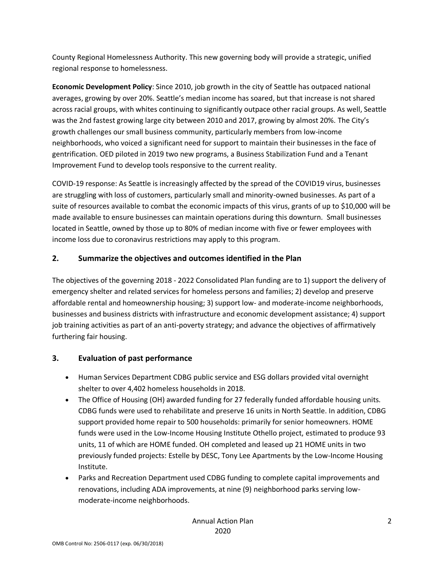County Regional Homelessness Authority. This new governing body will provide a strategic, unified regional response to homelessness.

**Economic Development Policy**: Since 2010, job growth in the city of Seattle has outpaced national averages, growing by over 20%. Seattle's median income has soared, but that increase is not shared across racial groups, with whites continuing to significantly outpace other racial groups. As well, Seattle was the 2nd fastest growing large city between 2010 and 2017, growing by almost 20%. The City's growth challenges our small business community, particularly members from low-income neighborhoods, who voiced a significant need for support to maintain their businesses in the face of gentrification. OED piloted in 2019 two new programs, a Business Stabilization Fund and a Tenant Improvement Fund to develop tools responsive to the current reality.

COVID-19 response: As Seattle is increasingly affected by the spread of the COVID19 virus, businesses are struggling with loss of customers, particularly small and minority-owned businesses. As part of a suite of resources available to combat the economic impacts of this virus, grants of up to \$10,000 will be made available to ensure businesses can maintain operations during this downturn. Small businesses located in Seattle, owned by those up to 80% of median income with five or fewer employees with income loss due to coronavirus restrictions may apply to this program.

#### **2. Summarize the objectives and outcomes identified in the Plan**

The objectives of the governing 2018 - 2022 Consolidated Plan funding are to 1) support the delivery of emergency shelter and related services for homeless persons and families; 2) develop and preserve affordable rental and homeownership housing; 3) support low- and moderate-income neighborhoods, businesses and business districts with infrastructure and economic development assistance; 4) support job training activities as part of an anti-poverty strategy; and advance the objectives of affirmatively furthering fair housing.

#### **3. Evaluation of past performance**

- Human Services Department CDBG public service and ESG dollars provided vital overnight shelter to over 4,402 homeless households in 2018.
- The Office of Housing (OH) awarded funding for 27 federally funded affordable housing units. CDBG funds were used to rehabilitate and preserve 16 units in North Seattle. In addition, CDBG support provided home repair to 500 households: primarily for senior homeowners. HOME funds were used in the Low-Income Housing Institute Othello project, estimated to produce 93 units, 11 of which are HOME funded. OH completed and leased up 21 HOME units in two previously funded projects: Estelle by DESC, Tony Lee Apartments by the Low-Income Housing Institute.
- Parks and Recreation Department used CDBG funding to complete capital improvements and renovations, including ADA improvements, at nine (9) neighborhood parks serving lowmoderate-income neighborhoods.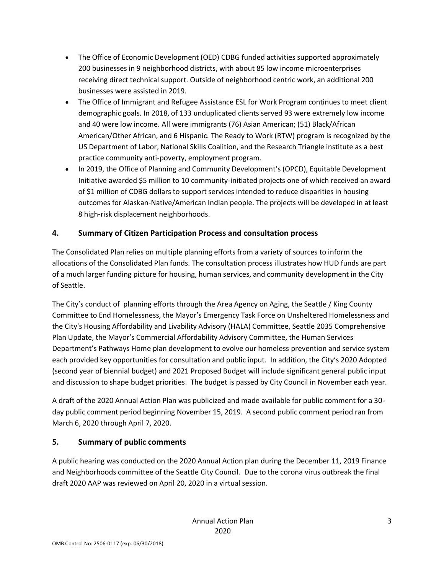- The Office of Economic Development (OED) CDBG funded activities supported approximately 200 businesses in 9 neighborhood districts, with about 85 low income microenterprises receiving direct technical support. Outside of neighborhood centric work, an additional 200 businesses were assisted in 2019.
- The Office of Immigrant and Refugee Assistance ESL for Work Program continues to meet client demographic goals. In 2018, of 133 unduplicated clients served 93 were extremely low income and 40 were low income. All were immigrants (76) Asian American; (51) Black/African American/Other African, and 6 Hispanic. The Ready to Work (RTW) program is recognized by the US Department of Labor, National Skills Coalition, and the Research Triangle institute as a best practice community anti-poverty, employment program.
- In 2019, the Office of Planning and Community Development's (OPCD), Equitable Development Initiative awarded \$5 million to 10 community-initiated projects one of which received an award of \$1 million of CDBG dollars to support services intended to reduce disparities in housing outcomes for Alaskan-Native/American Indian people. The projects will be developed in at least 8 high-risk displacement neighborhoods.

### **4. Summary of Citizen Participation Process and consultation process**

The Consolidated Plan relies on multiple planning efforts from a variety of sources to inform the allocations of the Consolidated Plan funds. The consultation process illustrates how HUD funds are part of a much larger funding picture for housing, human services, and community development in the City of Seattle.

The City's conduct of planning efforts through the Area Agency on Aging, the Seattle / King County Committee to End Homelessness, the Mayor's Emergency Task Force on Unsheltered Homelessness and the City's Housing Affordability and Livability Advisory (HALA) Committee, Seattle 2035 Comprehensive Plan Update, the Mayor's Commercial Affordability Advisory Committee, the Human Services Department's Pathways Home plan development to evolve our homeless prevention and service system each provided key opportunities for consultation and public input. In addition, the City's 2020 Adopted (second year of biennial budget) and 2021 Proposed Budget will include significant general public input and discussion to shape budget priorities. The budget is passed by City Council in November each year.

A draft of the 2020 Annual Action Plan was publicized and made available for public comment for a 30 day public comment period beginning November 15, 2019. A second public comment period ran from March 6, 2020 through April 7, 2020.

### **5. Summary of public comments**

A public hearing was conducted on the 2020 Annual Action plan during the December 11, 2019 Finance and Neighborhoods committee of the Seattle City Council. Due to the corona virus outbreak the final draft 2020 AAP was reviewed on April 20, 2020 in a virtual session.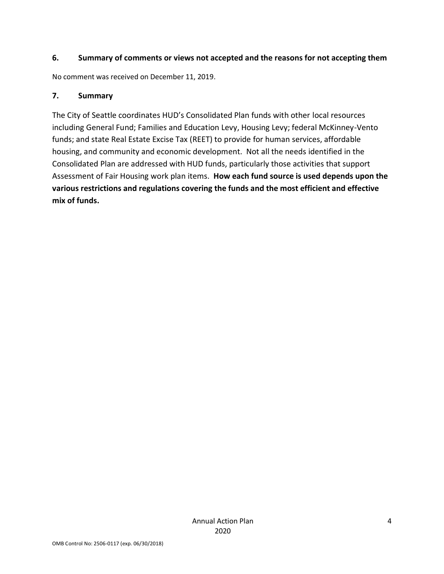#### **6. Summary of comments or views not accepted and the reasons for not accepting them**

No comment was received on December 11, 2019.

#### **7. Summary**

The City of Seattle coordinates HUD's Consolidated Plan funds with other local resources including General Fund; Families and Education Levy, Housing Levy; federal McKinney-Vento funds; and state Real Estate Excise Tax (REET) to provide for human services, affordable housing, and community and economic development. Not all the needs identified in the Consolidated Plan are addressed with HUD funds, particularly those activities that support Assessment of Fair Housing work plan items. **How each fund source is used depends upon the various restrictions and regulations covering the funds and the most efficient and effective mix of funds.**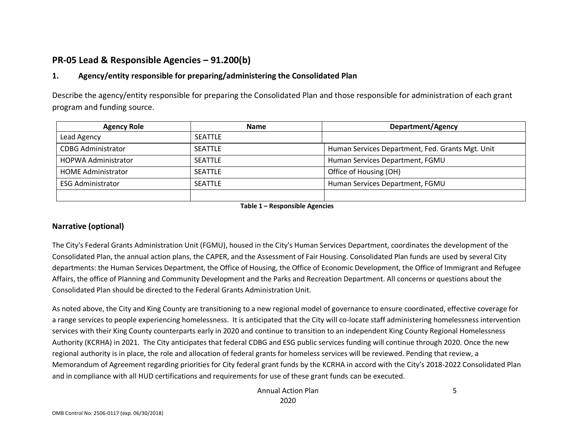## **PR-05 Lead & Responsible Agencies – 91.200(b)**

#### **1. Agency/entity responsible for preparing/administering the Consolidated Plan**

Describe the agency/entity responsible for preparing the Consolidated Plan and those responsible for administration of each grant program and funding source.

| <b>Agency Role</b>         | <b>Name</b>    | <b>Department/Agency</b>                         |
|----------------------------|----------------|--------------------------------------------------|
| Lead Agency                | <b>SEATTLE</b> |                                                  |
| <b>CDBG Administrator</b>  | <b>SEATTLE</b> | Human Services Department, Fed. Grants Mgt. Unit |
| <b>HOPWA Administrator</b> | <b>SEATTLE</b> | Human Services Department, FGMU                  |
| <b>HOME Administrator</b>  | <b>SEATTLE</b> | Office of Housing (OH)                           |
| <b>ESG Administrator</b>   | <b>SEATTLE</b> | Human Services Department, FGMU                  |
|                            |                |                                                  |

**Table 1 – Responsible Agencies**

#### **Narrative (optional)**

The City's Federal Grants Administration Unit (FGMU), housed in the City's Human Services Department, coordinates the development of the Consolidated Plan, the annual action plans, the CAPER, and the Assessment of Fair Housing. Consolidated Plan funds are used by several City departments: the Human Services Department, the Office of Housing, the Office of Economic Development, the Office of Immigrant and Refugee Affairs, the office of Planning and Community Development and the Parks and Recreation Department. All concerns or questions about the Consolidated Plan should be directed to the Federal Grants Administration Unit.

As noted above, the City and King County are transitioning to a new regional model of governance to ensure coordinated, effective coverage for a range services to people experiencing homelessness. It is anticipated that the City will co-locate staff administering homelessness intervention services with their King County counterparts early in 2020 and continue to transition to an independent King County Regional Homelessness Authority (KCRHA) in 2021. The City anticipates that federal CDBG and ESG public services funding will continue through 2020. Once the new regional authority is in place, the role and allocation of federal grants for homeless services will be reviewed. Pending that review, a Memorandum of Agreement regarding priorities for City federal grant funds by the KCRHA in accord with the City's 2018-2022 Consolidated Plan and in compliance with all HUD certifications and requirements for use of these grant funds can be executed.

> Annual Action Plan 2020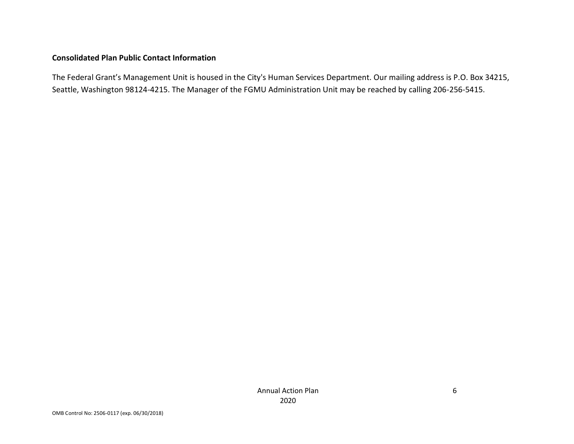#### **Consolidated Plan Public Contact Information**

The Federal Grant's Management Unit is housed in the City's Human Services Department. Our mailing address is P.O. Box 34215, Seattle, Washington 98124-4215. The Manager of the FGMU Administration Unit may be reached by calling 206-256-5415.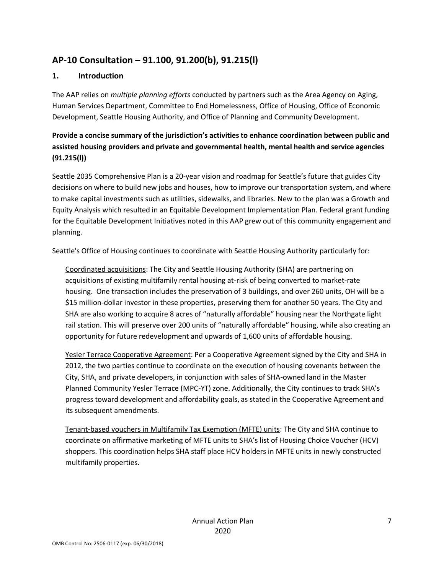# **AP-10 Consultation – 91.100, 91.200(b), 91.215(l)**

#### **1. Introduction**

The AAP relies on *multiple planning efforts* conducted by partners such as the Area Agency on Aging, Human Services Department, Committee to End Homelessness, Office of Housing, Office of Economic Development, Seattle Housing Authority, and Office of Planning and Community Development.

### **Provide a concise summary of the jurisdiction's activities to enhance coordination between public and assisted housing providers and private and governmental health, mental health and service agencies (91.215(l))**

Seattle 2035 Comprehensive Plan is a 20-year vision and roadmap for Seattle's future that guides City decisions on where to build new jobs and houses, how to improve our transportation system, and where to make capital investments such as utilities, sidewalks, and libraries. New to the plan was a Growth and Equity Analysis which resulted in an Equitable Development Implementation Plan. Federal grant funding for the Equitable Development Initiatives noted in this AAP grew out of this community engagement and planning.

Seattle's Office of Housing continues to coordinate with Seattle Housing Authority particularly for:

Coordinated acquisitions: The City and Seattle Housing Authority (SHA) are partnering on acquisitions of existing multifamily rental housing at-risk of being converted to market-rate housing. One transaction includes the preservation of 3 buildings, and over 260 units, OH will be a \$15 million-dollar investor in these properties, preserving them for another 50 years. The City and SHA are also working to acquire 8 acres of "naturally affordable" housing near the Northgate light rail station. This will preserve over 200 units of "naturally affordable" housing, while also creating an opportunity for future redevelopment and upwards of 1,600 units of affordable housing.

Yesler Terrace Cooperative Agreement: Per a Cooperative Agreement signed by the City and SHA in 2012, the two parties continue to coordinate on the execution of housing covenants between the City, SHA, and private developers, in conjunction with sales of SHA-owned land in the Master Planned Community Yesler Terrace (MPC-YT) zone. Additionally, the City continues to track SHA's progress toward development and affordability goals, as stated in the Cooperative Agreement and its subsequent amendments.

Tenant-based vouchers in Multifamily Tax Exemption (MFTE) units: The City and SHA continue to coordinate on affirmative marketing of MFTE units to SHA's list of Housing Choice Voucher (HCV) shoppers. This coordination helps SHA staff place HCV holders in MFTE units in newly constructed multifamily properties.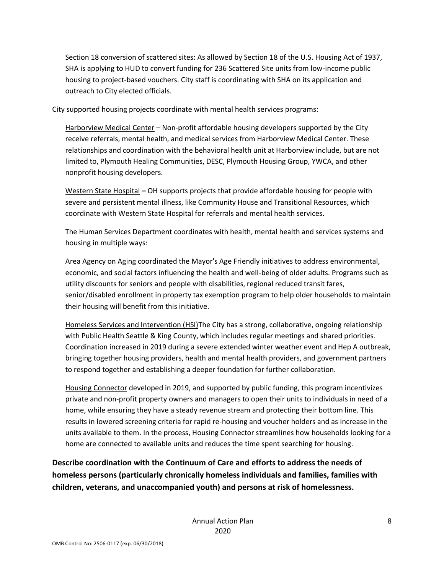Section 18 conversion of scattered sites: As allowed by Section 18 of the U.S. Housing Act of 1937, SHA is applying to HUD to convert funding for 236 Scattered Site units from low-income public housing to project-based vouchers. City staff is coordinating with SHA on its application and outreach to City elected officials.

City supported housing projects coordinate with mental health services programs:

Harborview Medical Center – Non-profit affordable housing developers supported by the City receive referrals, mental health, and medical services from Harborview Medical Center. These relationships and coordination with the behavioral health unit at Harborview include, but are not limited to, Plymouth Healing Communities, DESC, Plymouth Housing Group, YWCA, and other nonprofit housing developers.

Western State Hospital **–** OH supports projects that provide affordable housing for people with severe and persistent mental illness, like Community House and Transitional Resources, which coordinate with Western State Hospital for referrals and mental health services.

The Human Services Department coordinates with health, mental health and services systems and housing in multiple ways:

Area Agency on Aging coordinated the Mayor's Age Friendly initiatives to address environmental, economic, and social factors influencing the health and well-being of older adults. Programs such as utility discounts for seniors and people with disabilities, regional reduced transit fares, senior/disabled enrollment in property tax exemption program to help older households to maintain their housing will benefit from this initiative.

Homeless Services and Intervention (HSI)The City has a strong, collaborative, ongoing relationship with Public Health Seattle & King County, which includes regular meetings and shared priorities. Coordination increased in 2019 during a severe extended winter weather event and Hep A outbreak, bringing together housing providers, health and mental health providers, and government partners to respond together and establishing a deeper foundation for further collaboration.

Housing Connector developed in 2019, and supported by public funding, this program incentivizes private and non-profit property owners and managers to open their units to individuals in need of a home, while ensuring they have a steady revenue stream and protecting their bottom line. This results in lowered screening criteria for rapid re-housing and voucher holders and as increase in the units available to them. In the process, Housing Connector streamlines how households looking for a home are connected to available units and reduces the time spent searching for housing.

**Describe coordination with the Continuum of Care and efforts to address the needs of homeless persons (particularly chronically homeless individuals and families, families with children, veterans, and unaccompanied youth) and persons at risk of homelessness.**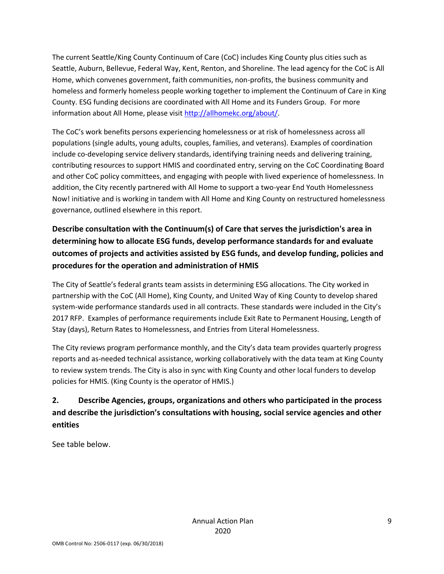The current Seattle/King County Continuum of Care (CoC) includes King County plus cities such as Seattle, Auburn, Bellevue, Federal Way, Kent, Renton, and Shoreline. The lead agency for the CoC is All Home, which convenes government, faith communities, non-profits, the business community and homeless and formerly homeless people working together to implement the Continuum of Care in King County. ESG funding decisions are coordinated with All Home and its Funders Group. For more information about All Home, please visit [http://allhomekc.org/about/.](http://allhomekc.org/about/)

The CoC's work benefits persons experiencing homelessness or at risk of homelessness across all populations (single adults, young adults, couples, families, and veterans). Examples of coordination include co-developing service delivery standards, identifying training needs and delivering training, contributing resources to support HMIS and coordinated entry, serving on the CoC Coordinating Board and other CoC policy committees, and engaging with people with lived experience of homelessness. In addition, the City recently partnered with All Home to support a two-year End Youth Homelessness Now! initiative and is working in tandem with All Home and King County on restructured homelessness governance, outlined elsewhere in this report.

**Describe consultation with the Continuum(s) of Care that serves the jurisdiction's area in determining how to allocate ESG funds, develop performance standards for and evaluate outcomes of projects and activities assisted by ESG funds, and develop funding, policies and procedures for the operation and administration of HMIS**

The City of Seattle's federal grants team assists in determining ESG allocations. The City worked in partnership with the CoC (All Home), King County, and United Way of King County to develop shared system-wide performance standards used in all contracts. These standards were included in the City's 2017 RFP. Examples of performance requirements include Exit Rate to Permanent Housing, Length of Stay (days), Return Rates to Homelessness, and Entries from Literal Homelessness.

The City reviews program performance monthly, and the City's data team provides quarterly progress reports and as-needed technical assistance, working collaboratively with the data team at King County to review system trends. The City is also in sync with King County and other local funders to develop policies for HMIS. (King County is the operator of HMIS.)

# **2. Describe Agencies, groups, organizations and others who participated in the process and describe the jurisdiction's consultations with housing, social service agencies and other entities**

See table below.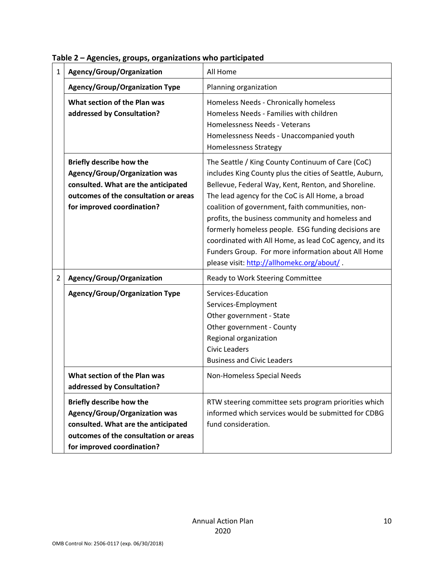| $\mathbf{1}$   | Agency/Group/Organization                                                                                                                                                             | All Home                                                                                                                                                                                                                                                                                                                                                                                                                                                                                                                                             |
|----------------|---------------------------------------------------------------------------------------------------------------------------------------------------------------------------------------|------------------------------------------------------------------------------------------------------------------------------------------------------------------------------------------------------------------------------------------------------------------------------------------------------------------------------------------------------------------------------------------------------------------------------------------------------------------------------------------------------------------------------------------------------|
|                | <b>Agency/Group/Organization Type</b>                                                                                                                                                 | Planning organization                                                                                                                                                                                                                                                                                                                                                                                                                                                                                                                                |
|                | What section of the Plan was<br>addressed by Consultation?                                                                                                                            | Homeless Needs - Chronically homeless<br>Homeless Needs - Families with children<br>Homelessness Needs - Veterans<br>Homelessness Needs - Unaccompanied youth<br><b>Homelessness Strategy</b>                                                                                                                                                                                                                                                                                                                                                        |
|                | <b>Briefly describe how the</b><br><b>Agency/Group/Organization was</b><br>consulted. What are the anticipated<br>outcomes of the consultation or areas<br>for improved coordination? | The Seattle / King County Continuum of Care (CoC)<br>includes King County plus the cities of Seattle, Auburn,<br>Bellevue, Federal Way, Kent, Renton, and Shoreline.<br>The lead agency for the CoC is All Home, a broad<br>coalition of government, faith communities, non-<br>profits, the business community and homeless and<br>formerly homeless people. ESG funding decisions are<br>coordinated with All Home, as lead CoC agency, and its<br>Funders Group. For more information about All Home<br>please visit: http://allhomekc.org/about/ |
| $\overline{2}$ | Agency/Group/Organization                                                                                                                                                             | Ready to Work Steering Committee                                                                                                                                                                                                                                                                                                                                                                                                                                                                                                                     |
|                | <b>Agency/Group/Organization Type</b>                                                                                                                                                 | Services-Education<br>Services-Employment<br>Other government - State<br>Other government - County<br>Regional organization<br><b>Civic Leaders</b><br><b>Business and Civic Leaders</b>                                                                                                                                                                                                                                                                                                                                                             |
|                | What section of the Plan was<br>addressed by Consultation?                                                                                                                            | Non-Homeless Special Needs                                                                                                                                                                                                                                                                                                                                                                                                                                                                                                                           |
|                | <b>Briefly describe how the</b><br><b>Agency/Group/Organization was</b><br>consulted. What are the anticipated<br>outcomes of the consultation or areas<br>for improved coordination? | RTW steering committee sets program priorities which<br>informed which services would be submitted for CDBG<br>fund consideration.                                                                                                                                                                                                                                                                                                                                                                                                                   |

**Table 2 – Agencies, groups, organizations who participated**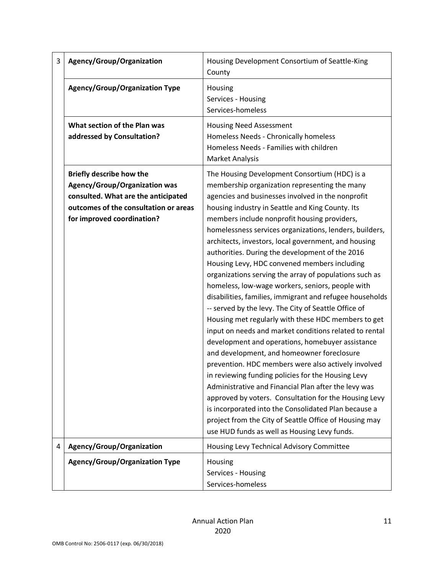| 3 | Agency/Group/Organization                                                                                                                                                             | Housing Development Consortium of Seattle-King<br>County                                                                                                                                                                                                                                                                                                                                                                                                                                                                                                                                                                                                                                                                                                                                                                                                                                                                                                                                                                                                                                                                                                                                                                                                                                                                           |
|---|---------------------------------------------------------------------------------------------------------------------------------------------------------------------------------------|------------------------------------------------------------------------------------------------------------------------------------------------------------------------------------------------------------------------------------------------------------------------------------------------------------------------------------------------------------------------------------------------------------------------------------------------------------------------------------------------------------------------------------------------------------------------------------------------------------------------------------------------------------------------------------------------------------------------------------------------------------------------------------------------------------------------------------------------------------------------------------------------------------------------------------------------------------------------------------------------------------------------------------------------------------------------------------------------------------------------------------------------------------------------------------------------------------------------------------------------------------------------------------------------------------------------------------|
|   | <b>Agency/Group/Organization Type</b>                                                                                                                                                 | Housing<br>Services - Housing<br>Services-homeless                                                                                                                                                                                                                                                                                                                                                                                                                                                                                                                                                                                                                                                                                                                                                                                                                                                                                                                                                                                                                                                                                                                                                                                                                                                                                 |
|   | What section of the Plan was<br>addressed by Consultation?                                                                                                                            | <b>Housing Need Assessment</b><br>Homeless Needs - Chronically homeless<br>Homeless Needs - Families with children<br><b>Market Analysis</b>                                                                                                                                                                                                                                                                                                                                                                                                                                                                                                                                                                                                                                                                                                                                                                                                                                                                                                                                                                                                                                                                                                                                                                                       |
|   | <b>Briefly describe how the</b><br><b>Agency/Group/Organization was</b><br>consulted. What are the anticipated<br>outcomes of the consultation or areas<br>for improved coordination? | The Housing Development Consortium (HDC) is a<br>membership organization representing the many<br>agencies and businesses involved in the nonprofit<br>housing industry in Seattle and King County. Its<br>members include nonprofit housing providers,<br>homelessness services organizations, lenders, builders,<br>architects, investors, local government, and housing<br>authorities. During the development of the 2016<br>Housing Levy, HDC convened members including<br>organizations serving the array of populations such as<br>homeless, low-wage workers, seniors, people with<br>disabilities, families, immigrant and refugee households<br>-- served by the levy. The City of Seattle Office of<br>Housing met regularly with these HDC members to get<br>input on needs and market conditions related to rental<br>development and operations, homebuyer assistance<br>and development, and homeowner foreclosure<br>prevention. HDC members were also actively involved<br>in reviewing funding policies for the Housing Levy<br>Administrative and Financial Plan after the levy was<br>approved by voters. Consultation for the Housing Levy<br>is incorporated into the Consolidated Plan because a<br>project from the City of Seattle Office of Housing may<br>use HUD funds as well as Housing Levy funds. |
| 4 | Agency/Group/Organization                                                                                                                                                             | Housing Levy Technical Advisory Committee                                                                                                                                                                                                                                                                                                                                                                                                                                                                                                                                                                                                                                                                                                                                                                                                                                                                                                                                                                                                                                                                                                                                                                                                                                                                                          |
|   | <b>Agency/Group/Organization Type</b>                                                                                                                                                 | Housing<br>Services - Housing<br>Services-homeless                                                                                                                                                                                                                                                                                                                                                                                                                                                                                                                                                                                                                                                                                                                                                                                                                                                                                                                                                                                                                                                                                                                                                                                                                                                                                 |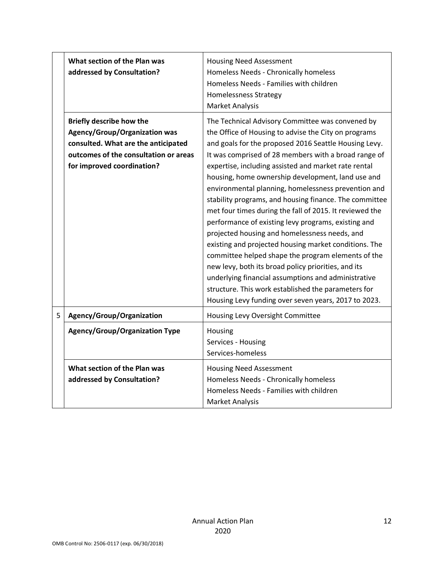|   | What section of the Plan was<br>addressed by Consultation?                                                                                                                            | <b>Housing Need Assessment</b><br>Homeless Needs - Chronically homeless<br>Homeless Needs - Families with children<br><b>Homelessness Strategy</b><br><b>Market Analysis</b>                                                                                                                                                                                                                                                                                                                                                                                                                                                                                                                                                                                                                                                                                                                                                                                           |
|---|---------------------------------------------------------------------------------------------------------------------------------------------------------------------------------------|------------------------------------------------------------------------------------------------------------------------------------------------------------------------------------------------------------------------------------------------------------------------------------------------------------------------------------------------------------------------------------------------------------------------------------------------------------------------------------------------------------------------------------------------------------------------------------------------------------------------------------------------------------------------------------------------------------------------------------------------------------------------------------------------------------------------------------------------------------------------------------------------------------------------------------------------------------------------|
|   | <b>Briefly describe how the</b><br><b>Agency/Group/Organization was</b><br>consulted. What are the anticipated<br>outcomes of the consultation or areas<br>for improved coordination? | The Technical Advisory Committee was convened by<br>the Office of Housing to advise the City on programs<br>and goals for the proposed 2016 Seattle Housing Levy.<br>It was comprised of 28 members with a broad range of<br>expertise, including assisted and market rate rental<br>housing, home ownership development, land use and<br>environmental planning, homelessness prevention and<br>stability programs, and housing finance. The committee<br>met four times during the fall of 2015. It reviewed the<br>performance of existing levy programs, existing and<br>projected housing and homelessness needs, and<br>existing and projected housing market conditions. The<br>committee helped shape the program elements of the<br>new levy, both its broad policy priorities, and its<br>underlying financial assumptions and administrative<br>structure. This work established the parameters for<br>Housing Levy funding over seven years, 2017 to 2023. |
| 5 | Agency/Group/Organization                                                                                                                                                             | Housing Levy Oversight Committee                                                                                                                                                                                                                                                                                                                                                                                                                                                                                                                                                                                                                                                                                                                                                                                                                                                                                                                                       |
|   | <b>Agency/Group/Organization Type</b>                                                                                                                                                 | Housing<br>Services - Housing<br>Services-homeless                                                                                                                                                                                                                                                                                                                                                                                                                                                                                                                                                                                                                                                                                                                                                                                                                                                                                                                     |
|   | What section of the Plan was<br>addressed by Consultation?                                                                                                                            | <b>Housing Need Assessment</b><br>Homeless Needs - Chronically homeless<br>Homeless Needs - Families with children<br><b>Market Analysis</b>                                                                                                                                                                                                                                                                                                                                                                                                                                                                                                                                                                                                                                                                                                                                                                                                                           |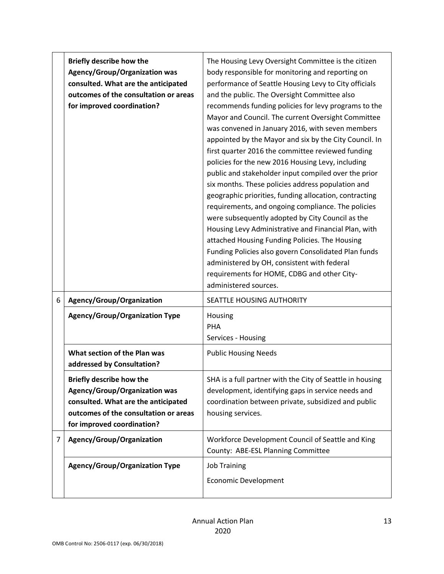|                | <b>Briefly describe how the</b><br><b>Agency/Group/Organization was</b><br>consulted. What are the anticipated<br>outcomes of the consultation or areas<br>for improved coordination? | The Housing Levy Oversight Committee is the citizen<br>body responsible for monitoring and reporting on<br>performance of Seattle Housing Levy to City officials<br>and the public. The Oversight Committee also<br>recommends funding policies for levy programs to the<br>Mayor and Council. The current Oversight Committee<br>was convened in January 2016, with seven members<br>appointed by the Mayor and six by the City Council. In<br>first quarter 2016 the committee reviewed funding<br>policies for the new 2016 Housing Levy, including<br>public and stakeholder input compiled over the prior<br>six months. These policies address population and<br>geographic priorities, funding allocation, contracting<br>requirements, and ongoing compliance. The policies<br>were subsequently adopted by City Council as the<br>Housing Levy Administrative and Financial Plan, with<br>attached Housing Funding Policies. The Housing<br>Funding Policies also govern Consolidated Plan funds<br>administered by OH, consistent with federal<br>requirements for HOME, CDBG and other City-<br>administered sources. |
|----------------|---------------------------------------------------------------------------------------------------------------------------------------------------------------------------------------|----------------------------------------------------------------------------------------------------------------------------------------------------------------------------------------------------------------------------------------------------------------------------------------------------------------------------------------------------------------------------------------------------------------------------------------------------------------------------------------------------------------------------------------------------------------------------------------------------------------------------------------------------------------------------------------------------------------------------------------------------------------------------------------------------------------------------------------------------------------------------------------------------------------------------------------------------------------------------------------------------------------------------------------------------------------------------------------------------------------------------------|
| 6              | Agency/Group/Organization                                                                                                                                                             | SEATTLE HOUSING AUTHORITY                                                                                                                                                                                                                                                                                                                                                                                                                                                                                                                                                                                                                                                                                                                                                                                                                                                                                                                                                                                                                                                                                                        |
|                | <b>Agency/Group/Organization Type</b>                                                                                                                                                 | Housing<br>PHA<br>Services - Housing                                                                                                                                                                                                                                                                                                                                                                                                                                                                                                                                                                                                                                                                                                                                                                                                                                                                                                                                                                                                                                                                                             |
|                | What section of the Plan was<br>addressed by Consultation?                                                                                                                            | <b>Public Housing Needs</b>                                                                                                                                                                                                                                                                                                                                                                                                                                                                                                                                                                                                                                                                                                                                                                                                                                                                                                                                                                                                                                                                                                      |
|                | Briefly describe how the<br><b>Agency/Group/Organization was</b><br>consulted. What are the anticipated<br>outcomes of the consultation or areas<br>for improved coordination?        | SHA is a full partner with the City of Seattle in housing<br>development, identifying gaps in service needs and<br>coordination between private, subsidized and public<br>housing services.                                                                                                                                                                                                                                                                                                                                                                                                                                                                                                                                                                                                                                                                                                                                                                                                                                                                                                                                      |
| $\overline{7}$ | Agency/Group/Organization                                                                                                                                                             | Workforce Development Council of Seattle and King<br>County: ABE-ESL Planning Committee                                                                                                                                                                                                                                                                                                                                                                                                                                                                                                                                                                                                                                                                                                                                                                                                                                                                                                                                                                                                                                          |
|                | <b>Agency/Group/Organization Type</b>                                                                                                                                                 | <b>Job Training</b><br><b>Economic Development</b>                                                                                                                                                                                                                                                                                                                                                                                                                                                                                                                                                                                                                                                                                                                                                                                                                                                                                                                                                                                                                                                                               |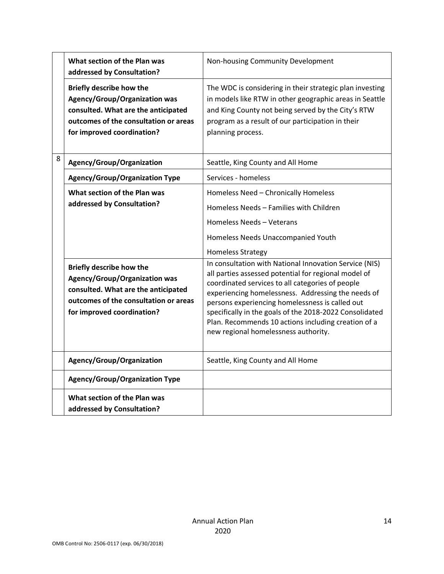|   | What section of the Plan was<br>addressed by Consultation?                                                                                                                     | Non-housing Community Development                                                                                                                                                                                                                                                                                                                                                                                                     |
|---|--------------------------------------------------------------------------------------------------------------------------------------------------------------------------------|---------------------------------------------------------------------------------------------------------------------------------------------------------------------------------------------------------------------------------------------------------------------------------------------------------------------------------------------------------------------------------------------------------------------------------------|
|   | <b>Briefly describe how the</b><br>Agency/Group/Organization was<br>consulted. What are the anticipated<br>outcomes of the consultation or areas<br>for improved coordination? | The WDC is considering in their strategic plan investing<br>in models like RTW in other geographic areas in Seattle<br>and King County not being served by the City's RTW<br>program as a result of our participation in their<br>planning process.                                                                                                                                                                                   |
| 8 | Agency/Group/Organization                                                                                                                                                      | Seattle, King County and All Home                                                                                                                                                                                                                                                                                                                                                                                                     |
|   | <b>Agency/Group/Organization Type</b>                                                                                                                                          | Services - homeless                                                                                                                                                                                                                                                                                                                                                                                                                   |
|   | What section of the Plan was<br>addressed by Consultation?                                                                                                                     | Homeless Need - Chronically Homeless<br>Homeless Needs - Families with Children<br>Homeless Needs - Veterans<br>Homeless Needs Unaccompanied Youth<br><b>Homeless Strategy</b>                                                                                                                                                                                                                                                        |
|   | Briefly describe how the<br>Agency/Group/Organization was<br>consulted. What are the anticipated<br>outcomes of the consultation or areas<br>for improved coordination?        | In consultation with National Innovation Service (NIS)<br>all parties assessed potential for regional model of<br>coordinated services to all categories of people<br>experiencing homelessness. Addressing the needs of<br>persons experiencing homelessness is called out<br>specifically in the goals of the 2018-2022 Consolidated<br>Plan. Recommends 10 actions including creation of a<br>new regional homelessness authority. |
|   | Agency/Group/Organization                                                                                                                                                      | Seattle, King County and All Home                                                                                                                                                                                                                                                                                                                                                                                                     |
|   | <b>Agency/Group/Organization Type</b>                                                                                                                                          |                                                                                                                                                                                                                                                                                                                                                                                                                                       |
|   | What section of the Plan was<br>addressed by Consultation?                                                                                                                     |                                                                                                                                                                                                                                                                                                                                                                                                                                       |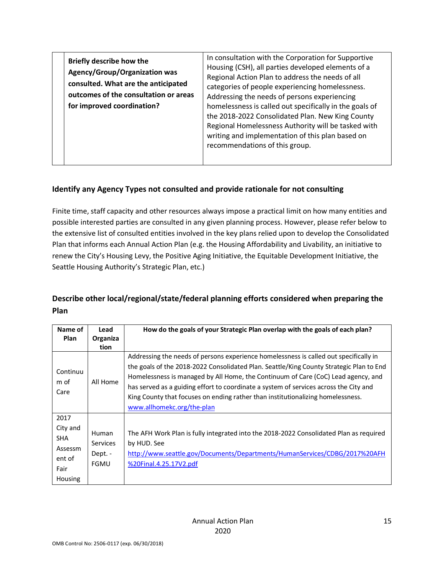| In consultation with the Corporation for Supportive<br><b>Briefly describe how the</b><br>Housing (CSH), all parties developed elements of a<br><b>Agency/Group/Organization was</b><br>Regional Action Plan to address the needs of all<br>consulted. What are the anticipated<br>categories of people experiencing homelessness.<br>outcomes of the consultation or areas<br>Addressing the needs of persons experiencing<br>for improved coordination?<br>homelessness is called out specifically in the goals of<br>the 2018-2022 Consolidated Plan. New King County<br>Regional Homelessness Authority will be tasked with<br>writing and implementation of this plan based on<br>recommendations of this group. |  |
|-----------------------------------------------------------------------------------------------------------------------------------------------------------------------------------------------------------------------------------------------------------------------------------------------------------------------------------------------------------------------------------------------------------------------------------------------------------------------------------------------------------------------------------------------------------------------------------------------------------------------------------------------------------------------------------------------------------------------|--|
|-----------------------------------------------------------------------------------------------------------------------------------------------------------------------------------------------------------------------------------------------------------------------------------------------------------------------------------------------------------------------------------------------------------------------------------------------------------------------------------------------------------------------------------------------------------------------------------------------------------------------------------------------------------------------------------------------------------------------|--|

#### **Identify any Agency Types not consulted and provide rationale for not consulting**

Finite time, staff capacity and other resources always impose a practical limit on how many entities and possible interested parties are consulted in any given planning process. However, please refer below to the extensive list of consulted entities involved in the key plans relied upon to develop the Consolidated Plan that informs each Annual Action Plan (e.g. the Housing Affordability and Livability, an initiative to renew the City's Housing Levy, the Positive Aging Initiative, the Equitable Development Initiative, the Seattle Housing Authority's Strategic Plan, etc.)

### **Describe other local/regional/state/federal planning efforts considered when preparing the Plan**

| Lead                                      | How do the goals of your Strategic Plan overlap with the goals of each plan?                                                                                                                                                                                                                                                                                                                                                                      |
|-------------------------------------------|---------------------------------------------------------------------------------------------------------------------------------------------------------------------------------------------------------------------------------------------------------------------------------------------------------------------------------------------------------------------------------------------------------------------------------------------------|
| Organiza                                  |                                                                                                                                                                                                                                                                                                                                                                                                                                                   |
| tion                                      |                                                                                                                                                                                                                                                                                                                                                                                                                                                   |
| All Home                                  | Addressing the needs of persons experience homelessness is called out specifically in<br>the goals of the 2018-2022 Consolidated Plan. Seattle/King County Strategic Plan to End<br>Homelessness is managed by All Home, the Continuum of Care (CoC) Lead agency, and<br>has served as a guiding effort to coordinate a system of services across the City and<br>King County that focuses on ending rather than institutionalizing homelessness. |
|                                           | www.allhomekc.org/the-plan                                                                                                                                                                                                                                                                                                                                                                                                                        |
|                                           |                                                                                                                                                                                                                                                                                                                                                                                                                                                   |
| <b>Services</b><br>Dept. -<br><b>FGMU</b> | The AFH Work Plan is fully integrated into the 2018-2022 Consolidated Plan as required<br>by HUD. See<br>http://www.seattle.gov/Documents/Departments/HumanServices/CDBG/2017%20AFH<br>%20Final.4.25.17V2.pdf                                                                                                                                                                                                                                     |
|                                           | <b>Human</b>                                                                                                                                                                                                                                                                                                                                                                                                                                      |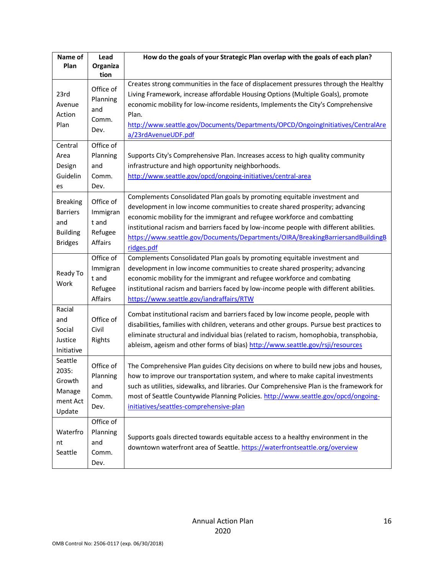| Name of<br>Plan                                                                | Lead<br>Organiza<br>tion                             | How do the goals of your Strategic Plan overlap with the goals of each plan?                                                                                                                                                                                                                                                                                                                                                     |
|--------------------------------------------------------------------------------|------------------------------------------------------|----------------------------------------------------------------------------------------------------------------------------------------------------------------------------------------------------------------------------------------------------------------------------------------------------------------------------------------------------------------------------------------------------------------------------------|
| 23rd<br>Avenue<br>Action<br>Plan                                               | Office of<br>Planning<br>and<br>Comm.<br>Dev.        | Creates strong communities in the face of displacement pressures through the Healthy<br>Living Framework, increase affordable Housing Options (Multiple Goals), promote<br>economic mobility for low-income residents, Implements the City's Comprehensive<br>Plan.<br>http://www.seattle.gov/Documents/Departments/OPCD/OngoingInitiatives/CentralAre<br>a/23rdAvenueUDF.pdf                                                    |
| Central<br>Area<br>Design<br>Guidelin<br>es                                    | Office of<br>Planning<br>and<br>Comm.<br>Dev.        | Supports City's Comprehensive Plan. Increases access to high quality community<br>infrastructure and high opportunity neighborhoods.<br>http://www.seattle.gov/opcd/ongoing-initiatives/central-area                                                                                                                                                                                                                             |
| <b>Breaking</b><br><b>Barriers</b><br>and<br><b>Building</b><br><b>Bridges</b> | Office of<br>Immigran<br>t and<br>Refugee<br>Affairs | Complements Consolidated Plan goals by promoting equitable investment and<br>development in low income communities to create shared prosperity; advancing<br>economic mobility for the immigrant and refugee workforce and combatting<br>institutional racism and barriers faced by low-income people with different abilities.<br>https://www.seattle.gov/Documents/Departments/OIRA/BreakingBarriersandBuildingB<br>ridges.pdf |
| Ready To<br>Work                                                               | Office of<br>Immigran<br>t and<br>Refugee<br>Affairs | Complements Consolidated Plan goals by promoting equitable investment and<br>development in low income communities to create shared prosperity; advancing<br>economic mobility for the immigrant and refugee workforce and combating<br>institutional racism and barriers faced by low-income people with different abilities.<br>https://www.seattle.gov/iandraffairs/RTW                                                       |
| Racial<br>and<br>Social<br>Justice<br>Initiative                               | Office of<br>Civil<br>Rights                         | Combat institutional racism and barriers faced by low income people, people with<br>disabilities, families with children, veterans and other groups. Pursue best practices to<br>eliminate structural and individual bias (related to racism, homophobia, transphobia,<br>ableism, ageism and other forms of bias) http://www.seattle.gov/rsji/resources                                                                         |
| Seattle<br>2035:<br>Growth<br>Manage<br>ment Act<br>Update                     | Office of<br>Planning<br>and<br>Comm.<br>Dev.        | The Comprehensive Plan guides City decisions on where to build new jobs and houses,<br>how to improve our transportation system, and where to make capital investments<br>such as utilities, sidewalks, and libraries. Our Comprehensive Plan is the framework for<br>most of Seattle Countywide Planning Policies. http://www.seattle.gov/opcd/ongoing-<br>initiatives/seattles-comprehensive-plan                              |
| Waterfro<br>nt<br>Seattle                                                      | Office of<br>Planning<br>and<br>Comm.<br>Dev.        | Supports goals directed towards equitable access to a healthy environment in the<br>downtown waterfront area of Seattle. https://waterfrontseattle.org/overview                                                                                                                                                                                                                                                                  |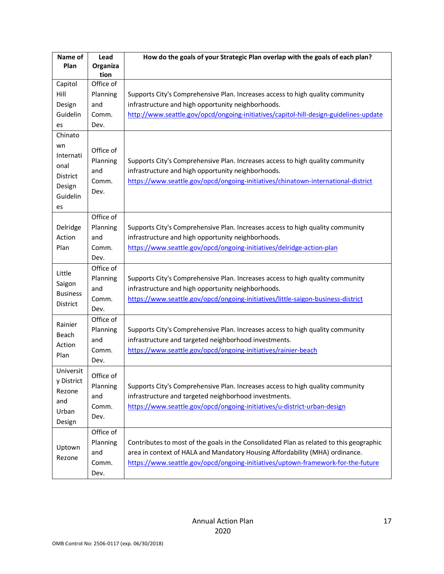| Name of                                                         | Lead                                          | How do the goals of your Strategic Plan overlap with the goals of each plan?                                                                                                                                                                                |
|-----------------------------------------------------------------|-----------------------------------------------|-------------------------------------------------------------------------------------------------------------------------------------------------------------------------------------------------------------------------------------------------------------|
| Plan                                                            | Organiza<br>tion                              |                                                                                                                                                                                                                                                             |
| Capitol                                                         | Office of                                     |                                                                                                                                                                                                                                                             |
| Hill                                                            | Planning                                      | Supports City's Comprehensive Plan. Increases access to high quality community                                                                                                                                                                              |
| Design                                                          | and                                           | infrastructure and high opportunity neighborhoods.                                                                                                                                                                                                          |
| Guidelin                                                        | Comm.                                         | http://www.seattle.gov/opcd/ongoing-initiatives/capitol-hill-design-guidelines-update                                                                                                                                                                       |
| es                                                              | Dev.                                          |                                                                                                                                                                                                                                                             |
| Chinato                                                         |                                               |                                                                                                                                                                                                                                                             |
| wn<br>Internati<br>onal<br>District<br>Design<br>Guidelin<br>es | Office of<br>Planning<br>and<br>Comm.<br>Dev. | Supports City's Comprehensive Plan. Increases access to high quality community<br>infrastructure and high opportunity neighborhoods.<br>https://www.seattle.gov/opcd/ongoing-initiatives/chinatown-international-district                                   |
| Delridge                                                        | Office of<br>Planning                         | Supports City's Comprehensive Plan. Increases access to high quality community                                                                                                                                                                              |
| Action                                                          | and                                           | infrastructure and high opportunity neighborhoods.                                                                                                                                                                                                          |
| Plan                                                            | Comm.                                         | https://www.seattle.gov/opcd/ongoing-initiatives/delridge-action-plan                                                                                                                                                                                       |
|                                                                 | Dev.                                          |                                                                                                                                                                                                                                                             |
| Little<br>Saigon<br><b>Business</b><br>District                 | Office of<br>Planning<br>and<br>Comm.<br>Dev. | Supports City's Comprehensive Plan. Increases access to high quality community<br>infrastructure and high opportunity neighborhoods.<br>https://www.seattle.gov/opcd/ongoing-initiatives/little-saigon-business-district                                    |
| Rainier<br>Beach<br>Action<br>Plan                              | Office of<br>Planning<br>and<br>Comm.<br>Dev. | Supports City's Comprehensive Plan. Increases access to high quality community<br>infrastructure and targeted neighborhood investments.<br>https://www.seattle.gov/opcd/ongoing-initiatives/rainier-beach                                                   |
| Universit<br>y District<br>Rezone<br>and<br>Urban<br>Design     | Office of<br>Planning<br>and<br>Comm.<br>Dev. | Supports City's Comprehensive Plan. Increases access to high quality community<br>infrastructure and targeted neighborhood investments.<br>https://www.seattle.gov/opcd/ongoing-initiatives/u-district-urban-design                                         |
| Uptown<br>Rezone                                                | Office of<br>Planning<br>and<br>Comm.<br>Dev. | Contributes to most of the goals in the Consolidated Plan as related to this geographic<br>area in context of HALA and Mandatory Housing Affordability (MHA) ordinance.<br>https://www.seattle.gov/opcd/ongoing-initiatives/uptown-framework-for-the-future |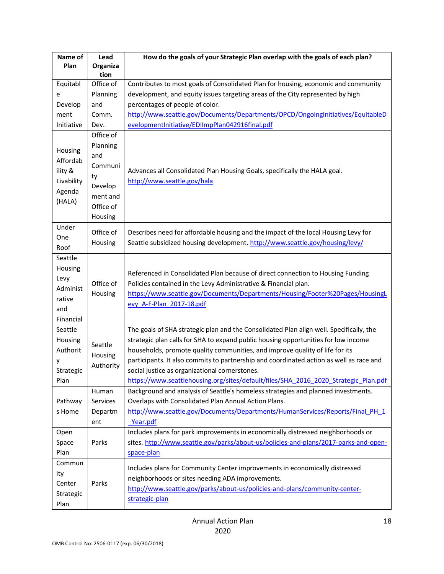| Name of                                                              | Lead                                                                                         | How do the goals of your Strategic Plan overlap with the goals of each plan?                                                                                                                                                                                                                                                                                                                                                                                                                      |
|----------------------------------------------------------------------|----------------------------------------------------------------------------------------------|---------------------------------------------------------------------------------------------------------------------------------------------------------------------------------------------------------------------------------------------------------------------------------------------------------------------------------------------------------------------------------------------------------------------------------------------------------------------------------------------------|
| Plan                                                                 | Organiza<br>tion                                                                             |                                                                                                                                                                                                                                                                                                                                                                                                                                                                                                   |
| Equitabl                                                             | Office of                                                                                    | Contributes to most goals of Consolidated Plan for housing, economic and community                                                                                                                                                                                                                                                                                                                                                                                                                |
| e                                                                    | Planning                                                                                     | development, and equity issues targeting areas of the City represented by high                                                                                                                                                                                                                                                                                                                                                                                                                    |
| Develop                                                              | and                                                                                          | percentages of people of color.                                                                                                                                                                                                                                                                                                                                                                                                                                                                   |
| ment                                                                 | Comm.                                                                                        | http://www.seattle.gov/Documents/Departments/OPCD/OngoingInitiatives/EquitableD                                                                                                                                                                                                                                                                                                                                                                                                                   |
| Initiative                                                           | Dev.                                                                                         | evelopmentInitiative/EDIImpPlan042916final.pdf                                                                                                                                                                                                                                                                                                                                                                                                                                                    |
| Housing<br>Affordab<br>ility &<br>Livability<br>Agenda<br>(HALA)     | Office of<br>Planning<br>and<br>Communi<br>ty<br>Develop<br>ment and<br>Office of<br>Housing | Advances all Consolidated Plan Housing Goals, specifically the HALA goal.<br>http://www.seattle.gov/hala                                                                                                                                                                                                                                                                                                                                                                                          |
| Under<br>One<br>Roof                                                 | Office of<br>Housing                                                                         | Describes need for affordable housing and the impact of the local Housing Levy for<br>Seattle subsidized housing development. http://www.seattle.gov/housing/levy/                                                                                                                                                                                                                                                                                                                                |
| Seattle<br>Housing<br>Levy<br>Administ<br>rative<br>and<br>Financial | Office of<br>Housing                                                                         | Referenced in Consolidated Plan because of direct connection to Housing Funding<br>Policies contained in the Levy Administrative & Financial plan.<br>https://www.seattle.gov/Documents/Departments/Housing/Footer%20Pages/HousingL<br>evy_A-F-Plan_2017-18.pdf                                                                                                                                                                                                                                   |
| Seattle<br>Housing<br>Authorit<br>у<br>Strategic<br>Plan             | Seattle<br>Housing<br>Authority                                                              | The goals of SHA strategic plan and the Consolidated Plan align well. Specifically, the<br>strategic plan calls for SHA to expand public housing opportunities for low income<br>households, promote quality communities, and improve quality of life for its<br>participants. It also commits to partnership and coordinated action as well as race and<br>social justice as organizational cornerstones.<br>https://www.seattlehousing.org/sites/default/files/SHA 2016 2020 Strategic Plan.pdf |
| Pathway<br>s Home                                                    | Human<br>Services<br>Departm<br>ent                                                          | Background and analysis of Seattle's homeless strategies and planned investments.<br>Overlaps with Consolidated Plan Annual Action Plans.<br>http://www.seattle.gov/Documents/Departments/HumanServices/Reports/Final PH 1<br>Year.pdf                                                                                                                                                                                                                                                            |
| Open<br>Space<br>Plan                                                | Parks                                                                                        | Includes plans for park improvements in economically distressed neighborhoods or<br>sites. http://www.seattle.gov/parks/about-us/policies-and-plans/2017-parks-and-open-<br>space-plan                                                                                                                                                                                                                                                                                                            |
| Commun<br>ity<br>Center<br>Strategic<br>Plan                         | Parks                                                                                        | Includes plans for Community Center improvements in economically distressed<br>neighborhoods or sites needing ADA improvements.<br>http://www.seattle.gov/parks/about-us/policies-and-plans/community-center-<br>strategic-plan                                                                                                                                                                                                                                                                   |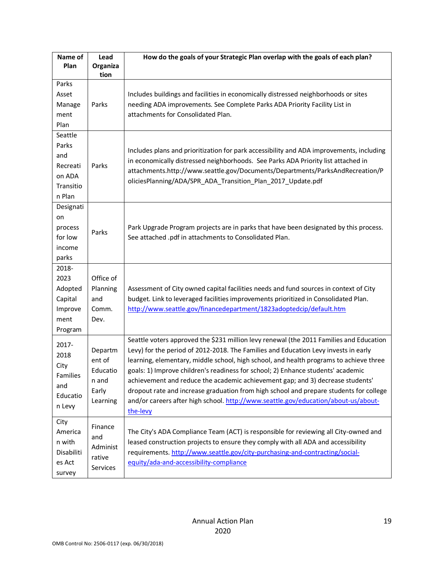| Name of    | Lead             | How do the goals of your Strategic Plan overlap with the goals of each plan?             |
|------------|------------------|------------------------------------------------------------------------------------------|
| Plan       | Organiza<br>tion |                                                                                          |
| Parks      |                  |                                                                                          |
| Asset      |                  | Includes buildings and facilities in economically distressed neighborhoods or sites      |
| Manage     | Parks            | needing ADA improvements. See Complete Parks ADA Priority Facility List in               |
| ment       |                  | attachments for Consolidated Plan.                                                       |
| Plan       |                  |                                                                                          |
| Seattle    |                  |                                                                                          |
| Parks      |                  |                                                                                          |
| and        |                  | Includes plans and prioritization for park accessibility and ADA improvements, including |
| Recreati   | Parks            | in economically distressed neighborhoods. See Parks ADA Priority list attached in        |
| on ADA     |                  | attachments.http://www.seattle.gov/Documents/Departments/ParksAndRecreation/P            |
| Transitio  |                  | oliciesPlanning/ADA/SPR_ADA_Transition_Plan_2017_Update.pdf                              |
| n Plan     |                  |                                                                                          |
| Designati  |                  |                                                                                          |
| on         |                  |                                                                                          |
| process    | Parks            | Park Upgrade Program projects are in parks that have been designated by this process.    |
| for low    |                  | See attached .pdf in attachments to Consolidated Plan.                                   |
| income     |                  |                                                                                          |
| parks      |                  |                                                                                          |
| 2018-      |                  |                                                                                          |
| 2023       | Office of        |                                                                                          |
| Adopted    | Planning         | Assessment of City owned capital facilities needs and fund sources in context of City    |
| Capital    | and              | budget. Link to leveraged facilities improvements prioritized in Consolidated Plan.      |
| Improve    | Comm.            | http://www.seattle.gov/financedepartment/1823adoptedcip/default.htm                      |
| ment       | Dev.             |                                                                                          |
| Program    |                  |                                                                                          |
| 2017-      |                  | Seattle voters approved the \$231 million levy renewal (the 2011 Families and Education  |
| 2018       | Departm          | Levy) for the period of 2012-2018. The Families and Education Levy invests in early      |
| City       | ent of           | learning, elementary, middle school, high school, and health programs to achieve three   |
| Families   | Educatio         | goals: 1) Improve children's readiness for school; 2) Enhance students' academic         |
| and        | n and            | achievement and reduce the academic achievement gap; and 3) decrease students'           |
| Educatio   | Early            | dropout rate and increase graduation from high school and prepare students for college   |
| n Levy     | Learning         | and/or careers after high school. http://www.seattle.gov/education/about-us/about-       |
|            |                  | the-levy                                                                                 |
| City       | Finance          |                                                                                          |
| America    | and              | The City's ADA Compliance Team (ACT) is responsible for reviewing all City-owned and     |
| n with     | Administ         | leased construction projects to ensure they comply with all ADA and accessibility        |
| Disabiliti | rative           | requirements. http://www.seattle.gov/city-purchasing-and-contracting/social-             |
| es Act     | Services         | equity/ada-and-accessibility-compliance                                                  |
| survey     |                  |                                                                                          |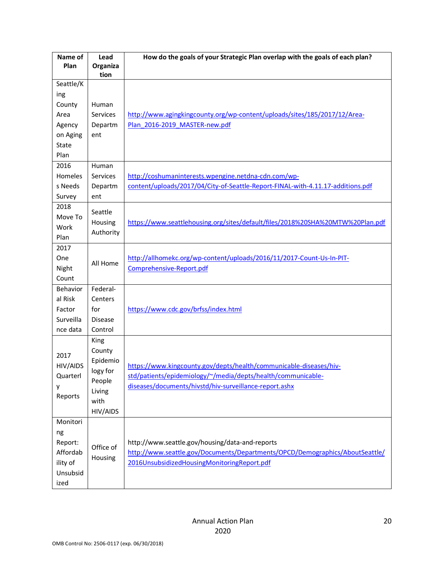| Name of         | Lead           | How do the goals of your Strategic Plan overlap with the goals of each plan?    |
|-----------------|----------------|---------------------------------------------------------------------------------|
| Plan            | Organiza       |                                                                                 |
| Seattle/K       | tion           |                                                                                 |
| ing             |                |                                                                                 |
| County          | Human          |                                                                                 |
| Area            | Services       | http://www.agingkingcounty.org/wp-content/uploads/sites/185/2017/12/Area-       |
| Agency          | Departm        | Plan 2016-2019 MASTER-new.pdf                                                   |
| on Aging        | ent            |                                                                                 |
| State           |                |                                                                                 |
| Plan            |                |                                                                                 |
| 2016            | Human          |                                                                                 |
| Homeles         | Services       | http://coshumaninterests.wpengine.netdna-cdn.com/wp-                            |
| s Needs         | Departm        | content/uploads/2017/04/City-of-Seattle-Report-FINAL-with-4.11.17-additions.pdf |
| Survey          | ent            |                                                                                 |
| 2018            | Seattle        |                                                                                 |
| Move To         | Housing        | https://www.seattlehousing.org/sites/default/files/2018%20SHA%20MTW%20Plan.pdf  |
| Work            | Authority      |                                                                                 |
| Plan            |                |                                                                                 |
| 2017            |                |                                                                                 |
| One             | All Home       | http://allhomekc.org/wp-content/uploads/2016/11/2017-Count-Us-In-PIT-           |
| Night           |                | Comprehensive-Report.pdf                                                        |
| Count           |                |                                                                                 |
| <b>Behavior</b> | Federal-       |                                                                                 |
| al Risk         | Centers        |                                                                                 |
| Factor          | for            | https://www.cdc.gov/brfss/index.html                                            |
| Surveilla       | Disease        |                                                                                 |
| nce data        | Control        |                                                                                 |
|                 | King<br>County |                                                                                 |
| 2017            | Epidemio       |                                                                                 |
| HIV/AIDS        | logy for       | https://www.kingcounty.gov/depts/health/communicable-diseases/hiv-              |
| Quarterl        | People         | std/patients/epidemiology/~/media/depts/health/communicable-                    |
| у               | Living         | diseases/documents/hivstd/hiv-surveillance-report.ashx                          |
| Reports         | with           |                                                                                 |
|                 | HIV/AIDS       |                                                                                 |
| Monitori        |                |                                                                                 |
| ng              |                |                                                                                 |
| Report:         |                | http://www.seattle.gov/housing/data-and-reports                                 |
| Affordab        | Office of      | http://www.seattle.gov/Documents/Departments/OPCD/Demographics/AboutSeattle/    |
| ility of        | Housing        | 2016UnsubsidizedHousingMonitoringReport.pdf                                     |
| Unsubsid        |                |                                                                                 |
| ized            |                |                                                                                 |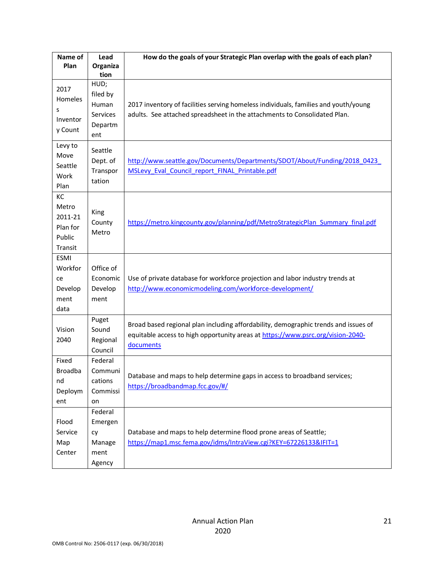| Name of<br>Plan                                         | Lead                                                    | How do the goals of your Strategic Plan overlap with the goals of each plan?                                                                                                        |
|---------------------------------------------------------|---------------------------------------------------------|-------------------------------------------------------------------------------------------------------------------------------------------------------------------------------------|
|                                                         | Organiza<br>tion                                        |                                                                                                                                                                                     |
| 2017<br>Homeles<br>S<br>Inventor<br>y Count             | HUD;<br>filed by<br>Human<br>Services<br>Departm<br>ent | 2017 inventory of facilities serving homeless individuals, families and youth/young<br>adults. See attached spreadsheet in the attachments to Consolidated Plan.                    |
| Levy to<br>Move<br>Seattle<br>Work<br>Plan              | Seattle<br>Dept. of<br>Transpor<br>tation               | http://www.seattle.gov/Documents/Departments/SDOT/About/Funding/2018 0423<br>MSLevy Eval Council report FINAL Printable.pdf                                                         |
| KC<br>Metro<br>2011-21<br>Plan for<br>Public<br>Transit | King<br>County<br>Metro                                 | https://metro.kingcounty.gov/planning/pdf/MetroStrategicPlan Summary final.pdf                                                                                                      |
| <b>ESMI</b><br>Workfor<br>ce<br>Develop<br>ment<br>data | Office of<br>Economic<br>Develop<br>ment                | Use of private database for workforce projection and labor industry trends at<br>http://www.economicmodeling.com/workforce-development/                                             |
| Vision<br>2040                                          | Puget<br>Sound<br>Regional<br>Council                   | Broad based regional plan including affordability, demographic trends and issues of<br>equitable access to high opportunity areas at https://www.psrc.org/vision-2040-<br>documents |
| Fixed<br><b>Broadba</b><br>nd<br>Deploym<br>ent         | Federal<br>Communi<br>cations<br>Commissi<br>on         | Database and maps to help determine gaps in access to broadband services;<br>https://broadbandmap.fcc.gov/#/                                                                        |
| Flood<br>Service<br>Map<br>Center                       | Federal<br>Emergen<br>cy<br>Manage<br>ment<br>Agency    | Database and maps to help determine flood prone areas of Seattle;<br>https://map1.msc.fema.gov/idms/IntraView.cgi?KEY=67226133&IFIT=1                                               |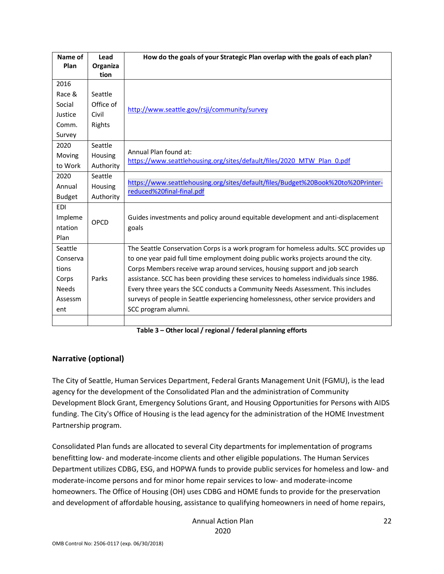| Name of<br>Plan | Lead<br>Organiza | How do the goals of your Strategic Plan overlap with the goals of each plan?                                  |
|-----------------|------------------|---------------------------------------------------------------------------------------------------------------|
|                 | tion             |                                                                                                               |
| 2016            |                  |                                                                                                               |
| Race &          | Seattle          |                                                                                                               |
| Social          | Office of        | http://www.seattle.gov/rsji/community/survey                                                                  |
| Justice         | Civil            |                                                                                                               |
| Comm.           | Rights           |                                                                                                               |
| Survey          |                  |                                                                                                               |
| 2020            | Seattle          |                                                                                                               |
| Moving          | Housing          | Annual Plan found at:<br>https://www.seattlehousing.org/sites/default/files/2020 MTW Plan 0.pdf               |
| to Work         | Authority        |                                                                                                               |
| 2020            | Seattle          |                                                                                                               |
| Annual          | Housing          | https://www.seattlehousing.org/sites/default/files/Budget%20Book%20to%20Printer-<br>reduced%20final-final.pdf |
| <b>Budget</b>   | Authority        |                                                                                                               |
| <b>EDI</b>      |                  |                                                                                                               |
| Impleme         | OPCD             | Guides investments and policy around equitable development and anti-displacement                              |
| ntation         |                  | goals                                                                                                         |
| Plan            |                  |                                                                                                               |
| Seattle         |                  | The Seattle Conservation Corps is a work program for homeless adults. SCC provides up                         |
| Conserva        |                  | to one year paid full time employment doing public works projects around the city.                            |
| tions           |                  | Corps Members receive wrap around services, housing support and job search                                    |
| Corps           | Parks            | assistance. SCC has been providing these services to homeless individuals since 1986.                         |
| <b>Needs</b>    |                  | Every three years the SCC conducts a Community Needs Assessment. This includes                                |
| Assessm         |                  | surveys of people in Seattle experiencing homelessness, other service providers and                           |
| ent             |                  | SCC program alumni.                                                                                           |
|                 |                  |                                                                                                               |

**Table 3 – Other local / regional / federal planning efforts**

#### **Narrative (optional)**

The City of Seattle, Human Services Department, Federal Grants Management Unit (FGMU), is the lead agency for the development of the Consolidated Plan and the administration of Community Development Block Grant, Emergency Solutions Grant, and Housing Opportunities for Persons with AIDS funding. The City's Office of Housing is the lead agency for the administration of the HOME Investment Partnership program.

Consolidated Plan funds are allocated to several City departments for implementation of programs benefitting low- and moderate-income clients and other eligible populations. The Human Services Department utilizes CDBG, ESG, and HOPWA funds to provide public services for homeless and low- and moderate-income persons and for minor home repair services to low- and moderate-income homeowners. The Office of Housing (OH) uses CDBG and HOME funds to provide for the preservation and development of affordable housing, assistance to qualifying homeowners in need of home repairs,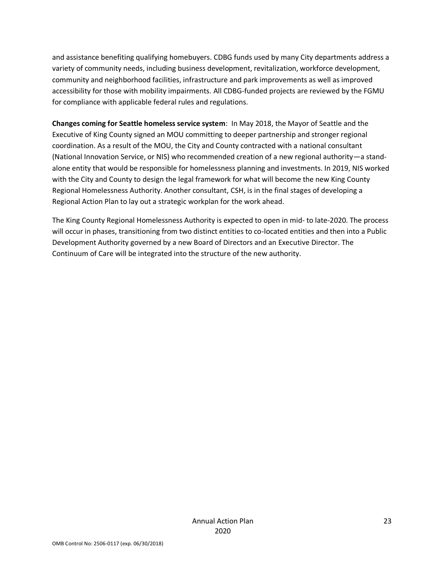and assistance benefiting qualifying homebuyers. CDBG funds used by many City departments address a variety of community needs, including business development, revitalization, workforce development, community and neighborhood facilities, infrastructure and park improvements as well as improved accessibility for those with mobility impairments. All CDBG-funded projects are reviewed by the FGMU for compliance with applicable federal rules and regulations.

**Changes coming for Seattle homeless service system**: In May 2018, the Mayor of Seattle and the Executive of King County signed an MOU committing to deeper partnership and stronger regional coordination. As a result of the MOU, the City and County contracted with a national consultant (National Innovation Service, or NIS) who recommended creation of a new regional authority—a standalone entity that would be responsible for homelessness planning and investments. In 2019, NIS worked with the City and County to design the legal framework for what will become the new King County Regional Homelessness Authority. Another consultant, CSH, is in the final stages of developing a Regional Action Plan to lay out a strategic workplan for the work ahead.

The King County Regional Homelessness Authority is expected to open in mid- to late-2020. The process will occur in phases, transitioning from two distinct entities to co-located entities and then into a Public Development Authority governed by a new Board of Directors and an Executive Director. The Continuum of Care will be integrated into the structure of the new authority.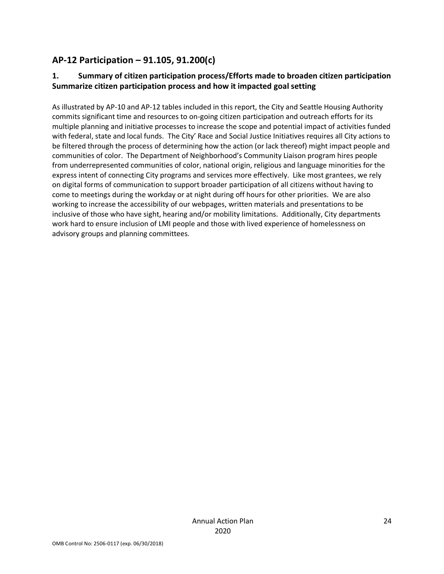## **AP-12 Participation – 91.105, 91.200(c)**

### **1. Summary of citizen participation process/Efforts made to broaden citizen participation Summarize citizen participation process and how it impacted goal setting**

As illustrated by AP-10 and AP-12 tables included in this report, the City and Seattle Housing Authority commits significant time and resources to on-going citizen participation and outreach efforts for its multiple planning and initiative processes to increase the scope and potential impact of activities funded with federal, state and local funds. The City' Race and Social Justice Initiatives requires all City actions to be filtered through the process of determining how the action (or lack thereof) might impact people and communities of color. The Department of Neighborhood's Community Liaison program hires people from underrepresented communities of color, national origin, religious and language minorities for the express intent of connecting City programs and services more effectively. Like most grantees, we rely on digital forms of communication to support broader participation of all citizens without having to come to meetings during the workday or at night during off hours for other priorities. We are also working to increase the accessibility of our webpages, written materials and presentations to be inclusive of those who have sight, hearing and/or mobility limitations. Additionally, City departments work hard to ensure inclusion of LMI people and those with lived experience of homelessness on advisory groups and planning committees.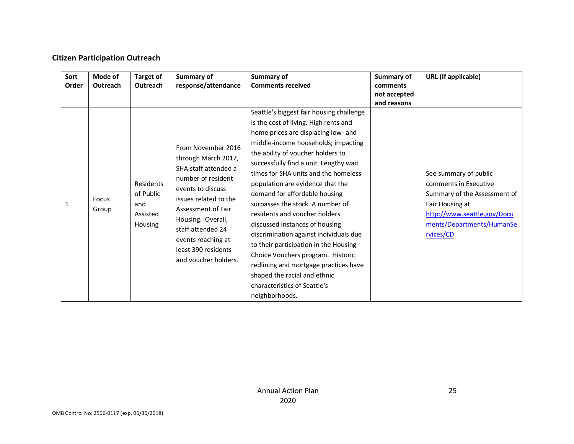#### **Citizen Participation Outreach**

| Sort<br>Order | Mode of<br>Outreach | Target of<br>Outreach                                | Summary of<br>response/attendance                                                                                                                                                                                                                                          | Summary of<br><b>Comments received</b>                                                                                                                                                                                                                                                                                                                                                                                                                                                                                                                                                                                                                                                                                | Summary of<br>comments      | <b>URL</b> (If applicable)                                                                                                                                                 |
|---------------|---------------------|------------------------------------------------------|----------------------------------------------------------------------------------------------------------------------------------------------------------------------------------------------------------------------------------------------------------------------------|-----------------------------------------------------------------------------------------------------------------------------------------------------------------------------------------------------------------------------------------------------------------------------------------------------------------------------------------------------------------------------------------------------------------------------------------------------------------------------------------------------------------------------------------------------------------------------------------------------------------------------------------------------------------------------------------------------------------------|-----------------------------|----------------------------------------------------------------------------------------------------------------------------------------------------------------------------|
|               |                     |                                                      |                                                                                                                                                                                                                                                                            |                                                                                                                                                                                                                                                                                                                                                                                                                                                                                                                                                                                                                                                                                                                       | not accepted<br>and reasons |                                                                                                                                                                            |
| 1             | Focus<br>Group      | Residents<br>of Public<br>and<br>Assisted<br>Housing | From November 2016<br>through March 2017,<br>SHA staff attended a<br>number of resident<br>events to discuss<br>issues related to the<br>Assessment of Fair<br>Housing. Overall,<br>staff attended 24<br>events reaching at<br>least 390 residents<br>and voucher holders. | Seattle's biggest fair housing challenge<br>is the cost of living. High rents and<br>home prices are displacing low- and<br>middle-income households; impacting<br>the ability of voucher holders to<br>successfully find a unit. Lengthy wait<br>times for SHA units and the homeless<br>population are evidence that the<br>demand for affordable housing<br>surpasses the stock. A number of<br>residents and voucher holders<br>discussed instances of housing<br>discrimination against individuals due<br>to their participation in the Housing<br>Choice Vouchers program. Historic<br>redlining and mortgage practices have<br>shaped the racial and ethnic<br>characteristics of Seattle's<br>neighborhoods. |                             | See summary of public<br>comments in Executive<br>Summary of the Assessment of<br>Fair Housing at<br>http://www.seattle.gov/Docu<br>ments/Departments/HumanSe<br>rvices/CD |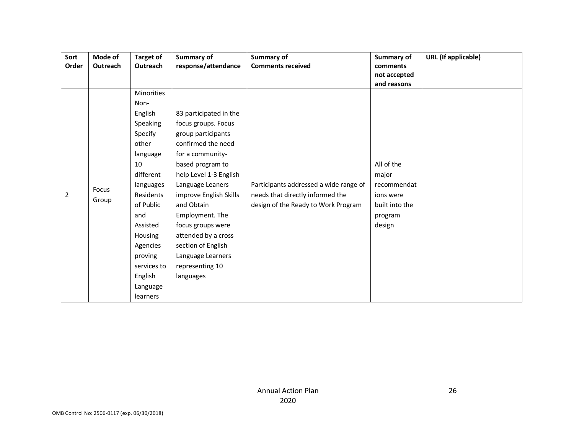| Sort           | Mode of  | <b>Target of</b> | Summary of             | Summary of                             | Summary of     | <b>URL</b> (If applicable) |
|----------------|----------|------------------|------------------------|----------------------------------------|----------------|----------------------------|
| Order          | Outreach | Outreach         | response/attendance    | <b>Comments received</b>               | comments       |                            |
|                |          |                  |                        |                                        | not accepted   |                            |
|                |          |                  |                        |                                        | and reasons    |                            |
|                |          | Minorities       |                        |                                        |                |                            |
|                |          | Non-             |                        |                                        |                |                            |
|                |          | English          | 83 participated in the |                                        |                |                            |
|                |          | Speaking         | focus groups. Focus    |                                        |                |                            |
|                |          | Specify          | group participants     |                                        |                |                            |
|                |          | other            | confirmed the need     |                                        |                |                            |
|                |          | language         | for a community-       |                                        |                |                            |
|                |          | 10               | based program to       |                                        | All of the     |                            |
|                |          | different        | help Level 1-3 English |                                        | major          |                            |
|                | Focus    | languages        | Language Leaners       | Participants addressed a wide range of | recommendat    |                            |
| $\overline{2}$ |          | Residents        | improve English Skills | needs that directly informed the       | ions were      |                            |
|                | Group    | of Public        | and Obtain             | design of the Ready to Work Program    | built into the |                            |
|                |          | and              | Employment. The        |                                        | program        |                            |
|                |          | Assisted         | focus groups were      |                                        | design         |                            |
|                |          | Housing          | attended by a cross    |                                        |                |                            |
|                |          | Agencies         | section of English     |                                        |                |                            |
|                |          | proving          | Language Learners      |                                        |                |                            |
|                |          | services to      | representing 10        |                                        |                |                            |
|                |          | English          | languages              |                                        |                |                            |
|                |          | Language         |                        |                                        |                |                            |
|                |          | learners         |                        |                                        |                |                            |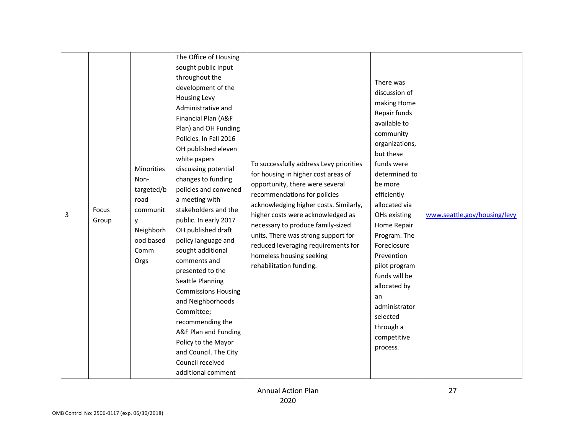| 3 | Focus<br>Group | Minorities<br>Non-<br>targeted/b<br>road<br>communit<br>у<br>Neighborh<br>ood based<br>Comm<br>Orgs | The Office of Housing<br>sought public input<br>throughout the<br>development of the<br><b>Housing Levy</b><br>Administrative and<br>Financial Plan (A&F<br>Plan) and OH Funding<br>Policies. In Fall 2016<br>OH published eleven<br>white papers<br>discussing potential<br>changes to funding<br>policies and convened<br>a meeting with<br>stakeholders and the<br>public. In early 2017<br>OH published draft<br>policy language and<br>sought additional<br>comments and<br>presented to the<br>Seattle Planning<br><b>Commissions Housing</b><br>and Neighborhoods<br>Committee;<br>recommending the<br>A&F Plan and Funding<br>Policy to the Mayor<br>and Council. The City<br>Council received<br>additional comment | To successfully address Levy priorities<br>for housing in higher cost areas of<br>opportunity, there were several<br>recommendations for policies<br>acknowledging higher costs. Similarly,<br>higher costs were acknowledged as<br>necessary to produce family-sized<br>units. There was strong support for<br>reduced leveraging requirements for<br>homeless housing seeking<br>rehabilitation funding. | There was<br>discussion of<br>making Home<br>Repair funds<br>available to<br>community<br>organizations,<br>but these<br>funds were<br>determined to<br>be more<br>efficiently<br>allocated via<br>OHs existing<br>Home Repair<br>Program. The<br>Foreclosure<br>Prevention<br>pilot program<br>funds will be<br>allocated by<br>an<br>administrator<br>selected<br>through a<br>competitive<br>process. | www.seattle.gov/housing/levy |
|---|----------------|-----------------------------------------------------------------------------------------------------|------------------------------------------------------------------------------------------------------------------------------------------------------------------------------------------------------------------------------------------------------------------------------------------------------------------------------------------------------------------------------------------------------------------------------------------------------------------------------------------------------------------------------------------------------------------------------------------------------------------------------------------------------------------------------------------------------------------------------|------------------------------------------------------------------------------------------------------------------------------------------------------------------------------------------------------------------------------------------------------------------------------------------------------------------------------------------------------------------------------------------------------------|----------------------------------------------------------------------------------------------------------------------------------------------------------------------------------------------------------------------------------------------------------------------------------------------------------------------------------------------------------------------------------------------------------|------------------------------|
|---|----------------|-----------------------------------------------------------------------------------------------------|------------------------------------------------------------------------------------------------------------------------------------------------------------------------------------------------------------------------------------------------------------------------------------------------------------------------------------------------------------------------------------------------------------------------------------------------------------------------------------------------------------------------------------------------------------------------------------------------------------------------------------------------------------------------------------------------------------------------------|------------------------------------------------------------------------------------------------------------------------------------------------------------------------------------------------------------------------------------------------------------------------------------------------------------------------------------------------------------------------------------------------------------|----------------------------------------------------------------------------------------------------------------------------------------------------------------------------------------------------------------------------------------------------------------------------------------------------------------------------------------------------------------------------------------------------------|------------------------------|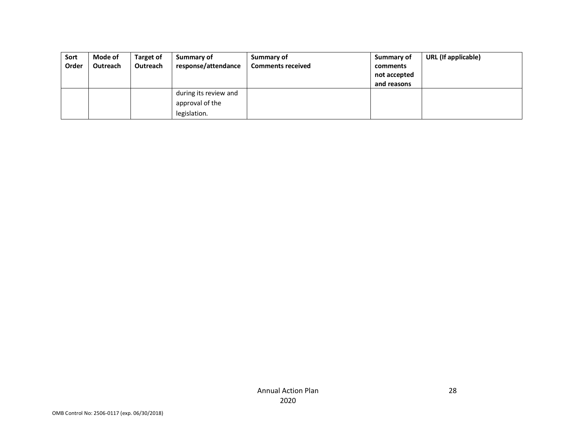| Sort  | Mode of  | Target of | Summary of            | Summary of               | Summary of   | URL (If applicable) |
|-------|----------|-----------|-----------------------|--------------------------|--------------|---------------------|
| Order | Outreach | Outreach  | response/attendance   | <b>Comments received</b> | comments     |                     |
|       |          |           |                       |                          | not accepted |                     |
|       |          |           |                       |                          | and reasons  |                     |
|       |          |           | during its review and |                          |              |                     |
|       |          |           | approval of the       |                          |              |                     |
|       |          |           | legislation.          |                          |              |                     |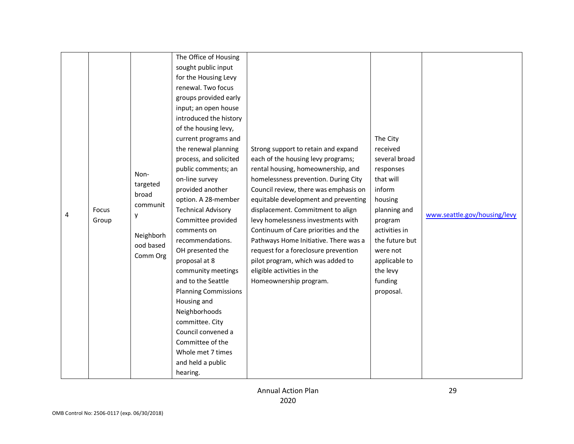|  | Non-<br>targeted                   | The Office of Housing<br>sought public input<br>for the Housing Levy<br>renewal. Two focus<br>groups provided early<br>input; an open house<br>introduced the history<br>of the housing levy,<br>current programs and<br>the renewal planning<br>process, and solicited<br>public comments; an<br>on-line survey | Strong support to retain and expand<br>each of the housing levy programs;<br>rental housing, homeownership, and<br>homelessness prevention. During City                    | The City<br>received<br>several broad<br>responses<br>that will                 |  |
|--|------------------------------------|------------------------------------------------------------------------------------------------------------------------------------------------------------------------------------------------------------------------------------------------------------------------------------------------------------------|----------------------------------------------------------------------------------------------------------------------------------------------------------------------------|---------------------------------------------------------------------------------|--|
|  | Neighborh<br>ood based<br>Comm Org | recommendations.<br>OH presented the<br>proposal at 8<br>community meetings<br>and to the Seattle<br><b>Planning Commissions</b><br>Housing and<br>Neighborhoods<br>committee. City                                                                                                                              | Pathways Home Initiative. There was a<br>request for a foreclosure prevention<br>pilot program, which was added to<br>eligible activities in the<br>Homeownership program. | the future but<br>were not<br>applicable to<br>the levy<br>funding<br>proposal. |  |
|  |                                    | Council convened a<br>Committee of the<br>Whole met 7 times<br>and held a public<br>hearing.                                                                                                                                                                                                                     |                                                                                                                                                                            |                                                                                 |  |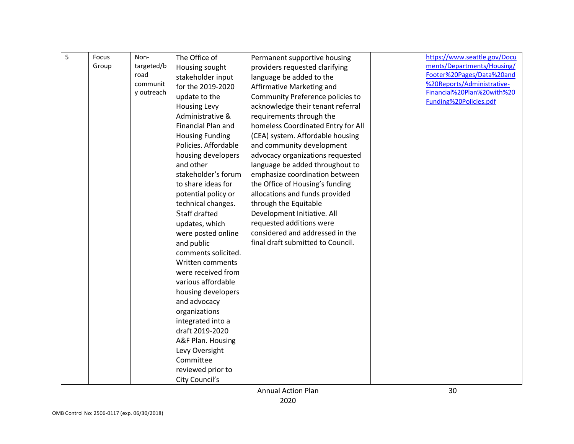| 5 | Focus | Non-       | The Office of          | Permanent supportive housing       | https://www.seattle.gov/Docu |
|---|-------|------------|------------------------|------------------------------------|------------------------------|
|   | Group | targeted/b | Housing sought         | providers requested clarifying     | ments/Departments/Housing/   |
|   |       | road       | stakeholder input      | language be added to the           | Footer%20Pages/Data%20and    |
|   |       | communit   | for the 2019-2020      |                                    | %20Reports/Administrative-   |
|   |       | y outreach |                        | Affirmative Marketing and          | Financial%20Plan%20with%20   |
|   |       |            | update to the          | Community Preference policies to   | Funding%20Policies.pdf       |
|   |       |            | <b>Housing Levy</b>    | acknowledge their tenant referral  |                              |
|   |       |            | Administrative &       | requirements through the           |                              |
|   |       |            | Financial Plan and     | homeless Coordinated Entry for All |                              |
|   |       |            | <b>Housing Funding</b> | (CEA) system. Affordable housing   |                              |
|   |       |            | Policies. Affordable   | and community development          |                              |
|   |       |            | housing developers     | advocacy organizations requested   |                              |
|   |       |            | and other              | language be added throughout to    |                              |
|   |       |            | stakeholder's forum    | emphasize coordination between     |                              |
|   |       |            | to share ideas for     | the Office of Housing's funding    |                              |
|   |       |            | potential policy or    | allocations and funds provided     |                              |
|   |       |            | technical changes.     | through the Equitable              |                              |
|   |       |            | Staff drafted          | Development Initiative. All        |                              |
|   |       |            | updates, which         | requested additions were           |                              |
|   |       |            | were posted online     | considered and addressed in the    |                              |
|   |       |            | and public             | final draft submitted to Council.  |                              |
|   |       |            | comments solicited.    |                                    |                              |
|   |       |            | Written comments       |                                    |                              |
|   |       |            | were received from     |                                    |                              |
|   |       |            | various affordable     |                                    |                              |
|   |       |            | housing developers     |                                    |                              |
|   |       |            | and advocacy           |                                    |                              |
|   |       |            | organizations          |                                    |                              |
|   |       |            | integrated into a      |                                    |                              |
|   |       |            | draft 2019-2020        |                                    |                              |
|   |       |            | A&F Plan. Housing      |                                    |                              |
|   |       |            | Levy Oversight         |                                    |                              |
|   |       |            | Committee              |                                    |                              |
|   |       |            | reviewed prior to      |                                    |                              |
|   |       |            | City Council's         |                                    |                              |
|   |       |            |                        | <b>Annual Action Plan</b>          | 30                           |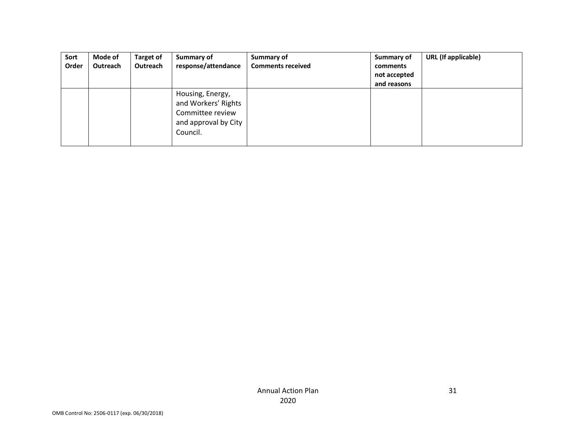| Sort  | Mode of  | <b>Target of</b> | Summary of                                                                                      | Summary of               | Summary of   | URL (If applicable) |
|-------|----------|------------------|-------------------------------------------------------------------------------------------------|--------------------------|--------------|---------------------|
| Order | Outreach | Outreach         | response/attendance                                                                             | <b>Comments received</b> | comments     |                     |
|       |          |                  |                                                                                                 |                          | not accepted |                     |
|       |          |                  |                                                                                                 |                          | and reasons  |                     |
|       |          |                  | Housing, Energy,<br>and Workers' Rights<br>Committee review<br>and approval by City<br>Council. |                          |              |                     |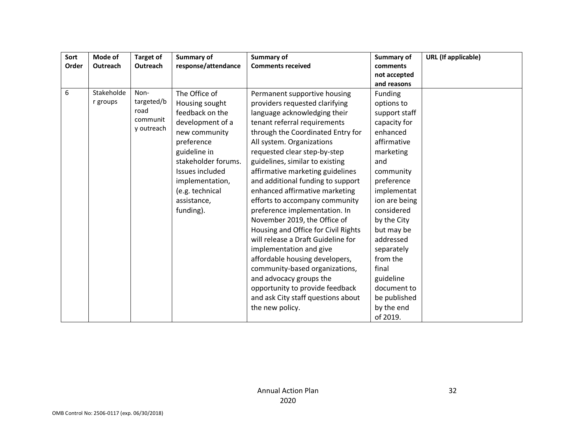| Sort  | Mode of    | <b>Target of</b> | Summary of          | Summary of                          | Summary of    | <b>URL</b> (If applicable) |
|-------|------------|------------------|---------------------|-------------------------------------|---------------|----------------------------|
| Order | Outreach   | Outreach         | response/attendance | <b>Comments received</b>            | comments      |                            |
|       |            |                  |                     |                                     | not accepted  |                            |
|       |            |                  |                     |                                     | and reasons   |                            |
| 6     | Stakeholde | Non-             | The Office of       | Permanent supportive housing        | Funding       |                            |
|       | r groups   | targeted/b       | Housing sought      | providers requested clarifying      | options to    |                            |
|       |            | road             | feedback on the     | language acknowledging their        | support staff |                            |
|       |            | communit         | development of a    | tenant referral requirements        | capacity for  |                            |
|       |            | y outreach       | new community       | through the Coordinated Entry for   | enhanced      |                            |
|       |            |                  | preference          | All system. Organizations           | affirmative   |                            |
|       |            |                  | guideline in        | requested clear step-by-step        | marketing     |                            |
|       |            |                  | stakeholder forums. | guidelines, similar to existing     | and           |                            |
|       |            |                  | Issues included     | affirmative marketing guidelines    | community     |                            |
|       |            |                  | implementation,     | and additional funding to support   | preference    |                            |
|       |            |                  | (e.g. technical     | enhanced affirmative marketing      | implementat   |                            |
|       |            |                  | assistance,         | efforts to accompany community      | ion are being |                            |
|       |            |                  | funding).           | preference implementation. In       | considered    |                            |
|       |            |                  |                     | November 2019, the Office of        | by the City   |                            |
|       |            |                  |                     | Housing and Office for Civil Rights | but may be    |                            |
|       |            |                  |                     | will release a Draft Guideline for  | addressed     |                            |
|       |            |                  |                     | implementation and give             | separately    |                            |
|       |            |                  |                     | affordable housing developers,      | from the      |                            |
|       |            |                  |                     | community-based organizations,      | final         |                            |
|       |            |                  |                     | and advocacy groups the             | guideline     |                            |
|       |            |                  |                     | opportunity to provide feedback     | document to   |                            |
|       |            |                  |                     | and ask City staff questions about  | be published  |                            |
|       |            |                  |                     | the new policy.                     | by the end    |                            |
|       |            |                  |                     |                                     | of 2019.      |                            |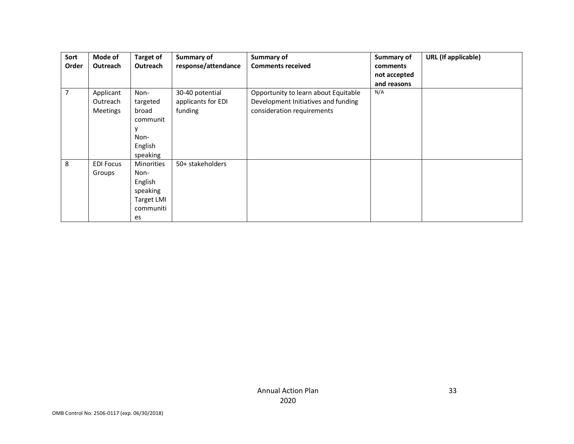| Sort  | Mode of          | Target of         | Summary of          | Summary of                           | Summary of   | <b>URL</b> (If applicable) |
|-------|------------------|-------------------|---------------------|--------------------------------------|--------------|----------------------------|
| Order | <b>Outreach</b>  | <b>Outreach</b>   | response/attendance | <b>Comments received</b>             | comments     |                            |
|       |                  |                   |                     |                                      | not accepted |                            |
|       |                  |                   |                     |                                      | and reasons  |                            |
| 7     | Applicant        | Non-              | 30-40 potential     | Opportunity to learn about Equitable | N/A          |                            |
|       | Outreach         | targeted          | applicants for EDI  | Development Initiatives and funding  |              |                            |
|       | <b>Meetings</b>  | broad             | funding             | consideration requirements           |              |                            |
|       |                  | communit          |                     |                                      |              |                            |
|       |                  |                   |                     |                                      |              |                            |
|       |                  | Non-              |                     |                                      |              |                            |
|       |                  | English           |                     |                                      |              |                            |
|       |                  | speaking          |                     |                                      |              |                            |
| 8     | <b>EDI Focus</b> | <b>Minorities</b> | 50+ stakeholders    |                                      |              |                            |
|       | Groups           | Non-              |                     |                                      |              |                            |
|       |                  | English           |                     |                                      |              |                            |
|       |                  | speaking          |                     |                                      |              |                            |
|       |                  | <b>Target LMI</b> |                     |                                      |              |                            |
|       |                  | communiti         |                     |                                      |              |                            |
|       |                  | es                |                     |                                      |              |                            |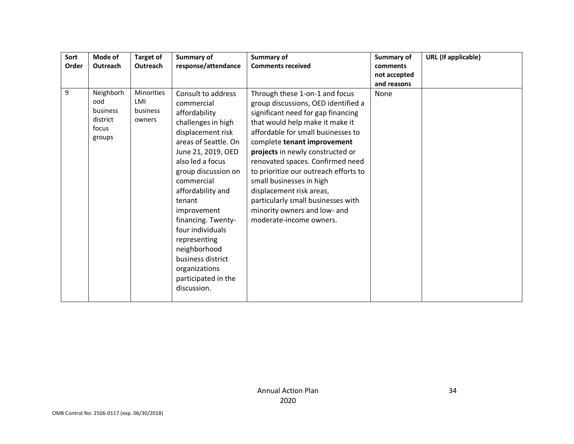| Sort<br>Order | Mode of<br>Outreach                                         | <b>Target of</b><br><b>Outreach</b>            | Summary of<br>response/attendance                                                                                                                                                                                                                                                                                                                                                                       | Summary of<br><b>Comments received</b>                                                                                                                                                                                                                                                                                                                                                                                                                                                        | Summary of<br>comments<br>not accepted<br>and reasons | <b>URL</b> (If applicable) |
|---------------|-------------------------------------------------------------|------------------------------------------------|---------------------------------------------------------------------------------------------------------------------------------------------------------------------------------------------------------------------------------------------------------------------------------------------------------------------------------------------------------------------------------------------------------|-----------------------------------------------------------------------------------------------------------------------------------------------------------------------------------------------------------------------------------------------------------------------------------------------------------------------------------------------------------------------------------------------------------------------------------------------------------------------------------------------|-------------------------------------------------------|----------------------------|
| 9             | Neighborh<br>ood<br>business<br>district<br>focus<br>groups | <b>Minorities</b><br>LMI<br>business<br>owners | Consult to address<br>commercial<br>affordability<br>challenges in high<br>displacement risk<br>areas of Seattle. On<br>June 21, 2019, OED<br>also led a focus<br>group discussion on<br>commercial<br>affordability and<br>tenant<br>improvement<br>financing. Twenty-<br>four individuals<br>representing<br>neighborhood<br>business district<br>organizations<br>participated in the<br>discussion. | Through these 1-on-1 and focus<br>group discussions, OED identified a<br>significant need for gap financing<br>that would help make it make it<br>affordable for small businesses to<br>complete tenant improvement<br>projects in newly constructed or<br>renovated spaces. Confirmed need<br>to prioritize our outreach efforts to<br>small businesses in high<br>displacement risk areas,<br>particularly small businesses with<br>minority owners and low- and<br>moderate-income owners. | None                                                  |                            |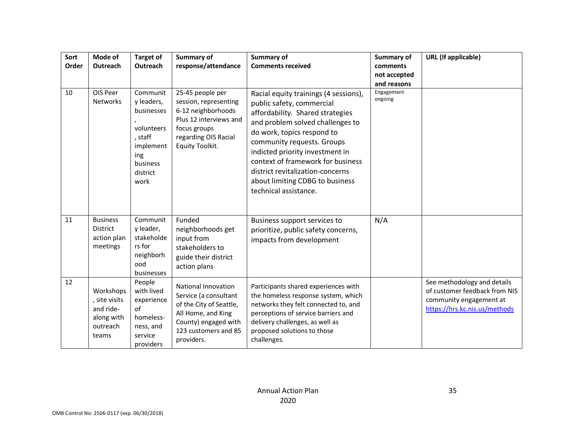| Sort<br>Order<br>10 | Mode of<br>Outreach<br>OIS Peer<br>Networks                                | <b>Target of</b><br>Outreach<br>Communit<br>y leaders,<br>businesses<br>volunteers<br>, staff<br>implement<br>ing<br>business<br>district<br>work | Summary of<br>response/attendance<br>25-45 people per<br>session, representing<br>6-12 neighborhoods<br>Plus 12 interviews and<br>focus groups<br>regarding OIS Racial<br>Equity Toolkit. | Summary of<br><b>Comments received</b><br>Racial equity trainings (4 sessions),<br>public safety, commercial<br>affordability. Shared strategies<br>and problem solved challenges to<br>do work, topics respond to<br>community requests. Groups<br>indicted priority investment in<br>context of framework for business<br>district revitalization-concerns<br>about limiting CDBG to business<br>technical assistance. | Summary of<br>comments<br>not accepted<br>and reasons<br>Engagement<br>ongoing | <b>URL</b> (If applicable)                                                                                               |
|---------------------|----------------------------------------------------------------------------|---------------------------------------------------------------------------------------------------------------------------------------------------|-------------------------------------------------------------------------------------------------------------------------------------------------------------------------------------------|--------------------------------------------------------------------------------------------------------------------------------------------------------------------------------------------------------------------------------------------------------------------------------------------------------------------------------------------------------------------------------------------------------------------------|--------------------------------------------------------------------------------|--------------------------------------------------------------------------------------------------------------------------|
| 11                  | <b>Business</b><br><b>District</b><br>action plan<br>meetings              | Communit<br>y leader,<br>stakeholde<br>rs for<br>neighborh<br>ood<br>businesses                                                                   | Funded<br>neighborhoods get<br>input from<br>stakeholders to<br>guide their district<br>action plans                                                                                      | Business support services to<br>prioritize, public safety concerns,<br>impacts from development                                                                                                                                                                                                                                                                                                                          | N/A                                                                            |                                                                                                                          |
| 12                  | Workshops<br>, site visits<br>and ride-<br>along with<br>outreach<br>teams | People<br>with lived<br>experience<br>of<br>homeless-<br>ness, and<br>service<br>providers                                                        | <b>National Innovation</b><br>Service (a consultant<br>of the City of Seattle,<br>All Home, and King<br>County) engaged with<br>123 customers and 85<br>providers.                        | Participants shared experiences with<br>the homeless response system, which<br>networks they felt connected to, and<br>perceptions of service barriers and<br>delivery challenges, as well as<br>proposed solutions to those<br>challenges.                                                                                                                                                                              |                                                                                | See methodology and details<br>of customer feedback from NIS<br>community engagement at<br>https://hrs.kc.nis.us/methods |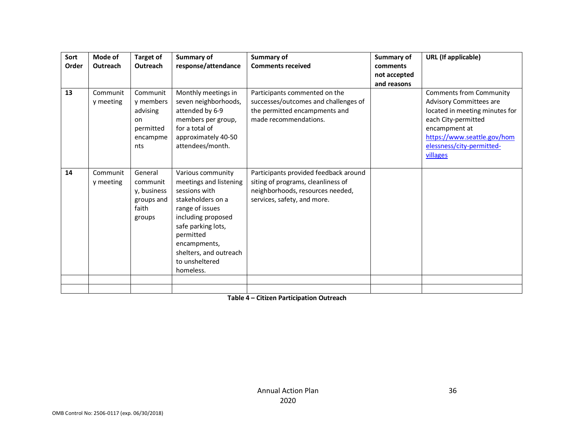| Sort<br>Order | Mode of<br>Outreach   | <b>Target of</b><br>Outreach                                            | Summary of<br>response/attendance                                                                                                                                                                                                      | Summary of<br><b>Comments received</b>                                                                                                         | Summary of<br>comments<br>not accepted<br>and reasons | <b>URL</b> (If applicable)                                                                                                                                                                                  |
|---------------|-----------------------|-------------------------------------------------------------------------|----------------------------------------------------------------------------------------------------------------------------------------------------------------------------------------------------------------------------------------|------------------------------------------------------------------------------------------------------------------------------------------------|-------------------------------------------------------|-------------------------------------------------------------------------------------------------------------------------------------------------------------------------------------------------------------|
| 13            | Communit<br>y meeting | Communit<br>y members<br>advising<br>on<br>permitted<br>encampme<br>nts | Monthly meetings in<br>seven neighborhoods,<br>attended by 6-9<br>members per group,<br>for a total of<br>approximately 40-50<br>attendees/month.                                                                                      | Participants commented on the<br>successes/outcomes and challenges of<br>the permitted encampments and<br>made recommendations.                |                                                       | <b>Comments from Community</b><br>Advisory Committees are<br>located in meeting minutes for<br>each City-permitted<br>encampment at<br>https://www.seattle.gov/hom<br>elessness/city-permitted-<br>villages |
| 14            | Communit<br>y meeting | General<br>communit<br>y, business<br>groups and<br>faith<br>groups     | Various community<br>meetings and listening<br>sessions with<br>stakeholders on a<br>range of issues<br>including proposed<br>safe parking lots,<br>permitted<br>encampments,<br>shelters, and outreach<br>to unsheltered<br>homeless. | Participants provided feedback around<br>siting of programs, cleanliness of<br>neighborhoods, resources needed,<br>services, safety, and more. |                                                       |                                                                                                                                                                                                             |
|               |                       |                                                                         |                                                                                                                                                                                                                                        |                                                                                                                                                |                                                       |                                                                                                                                                                                                             |

**Table 4 – Citizen Participation Outreach**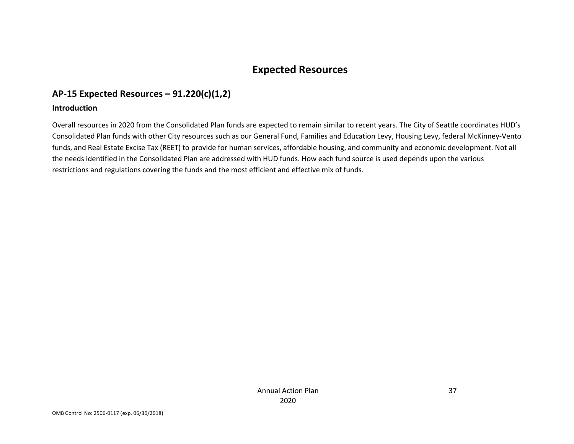# **Expected Resources**

## **AP-15 Expected Resources – 91.220(c)(1,2)**

#### **Introduction**

Overall resources in 2020 from the Consolidated Plan funds are expected to remain similar to recent years. The City of Seattle coordinates HUD's Consolidated Plan funds with other City resources such as our General Fund, Families and Education Levy, Housing Levy, federal McKinney-Vento funds, and Real Estate Excise Tax (REET) to provide for human services, affordable housing, and community and economic development. Not all the needs identified in the Consolidated Plan are addressed with HUD funds. How each fund source is used depends upon the various restrictions and regulations covering the funds and the most efficient and effective mix of funds.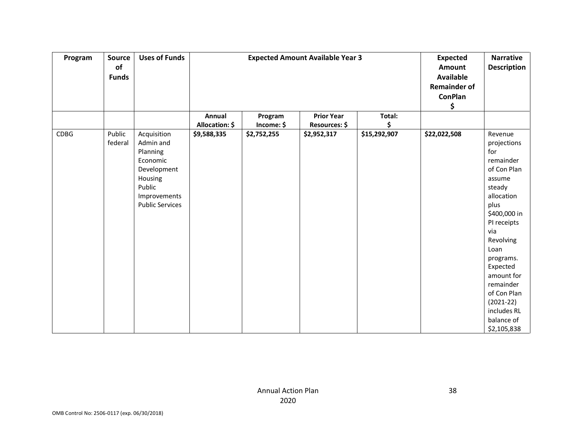| Program     | <b>Source</b><br>of<br><b>Funds</b> | <b>Uses of Funds</b>                                                                                                           |                          |                       | <b>Expected Amount Available Year 3</b> |              | <b>Expected</b><br>Amount<br><b>Available</b><br><b>Remainder of</b><br><b>ConPlan</b><br>\$ | <b>Narrative</b><br><b>Description</b>                                                                                                                                                                                                                                                       |
|-------------|-------------------------------------|--------------------------------------------------------------------------------------------------------------------------------|--------------------------|-----------------------|-----------------------------------------|--------------|----------------------------------------------------------------------------------------------|----------------------------------------------------------------------------------------------------------------------------------------------------------------------------------------------------------------------------------------------------------------------------------------------|
|             |                                     |                                                                                                                                | Annual<br>Allocation: \$ | Program<br>Income: \$ | <b>Prior Year</b><br>Resources: \$      | Total:<br>\$ |                                                                                              |                                                                                                                                                                                                                                                                                              |
| <b>CDBG</b> | Public<br>federal                   | Acquisition<br>Admin and<br>Planning<br>Economic<br>Development<br>Housing<br>Public<br>Improvements<br><b>Public Services</b> | \$9,588,335              | \$2,752,255           | \$2,952,317                             | \$15,292,907 | \$22,022,508                                                                                 | Revenue<br>projections<br>for<br>remainder<br>of Con Plan<br>assume<br>steady<br>allocation<br>plus<br>\$400,000 in<br>PI receipts<br>via<br>Revolving<br>Loan<br>programs.<br>Expected<br>amount for<br>remainder<br>of Con Plan<br>$(2021-22)$<br>includes RL<br>balance of<br>\$2,105,838 |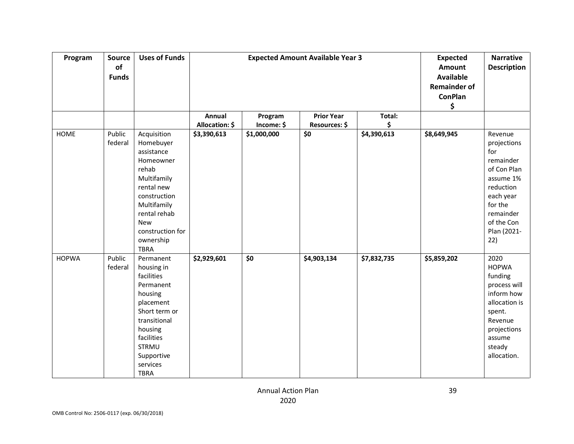| Program      | Source<br>of<br><b>Funds</b> | <b>Uses of Funds</b>                                                                                                                                                                            |                          |                                                             | <b>Expected Amount Available Year 3</b> |              | <b>Expected</b><br>Amount<br><b>Available</b><br><b>Remainder of</b><br><b>ConPlan</b><br>\$ | <b>Narrative</b><br><b>Description</b>                                                                                                                       |
|--------------|------------------------------|-------------------------------------------------------------------------------------------------------------------------------------------------------------------------------------------------|--------------------------|-------------------------------------------------------------|-----------------------------------------|--------------|----------------------------------------------------------------------------------------------|--------------------------------------------------------------------------------------------------------------------------------------------------------------|
|              |                              |                                                                                                                                                                                                 | Annual<br>Allocation: \$ | Program<br>Income: \$                                       | <b>Prior Year</b><br>Resources: \$      | Total:<br>\$ |                                                                                              |                                                                                                                                                              |
| <b>HOME</b>  | Public<br>federal            | Acquisition<br>Homebuyer<br>assistance<br>Homeowner<br>rehab<br>Multifamily<br>rental new<br>construction<br>Multifamily<br>rental rehab<br>New<br>construction for<br>ownership<br><b>TBRA</b> | \$3,390,613              | \$1,000,000                                                 | $\overline{\boldsymbol{\zeta_0}}$       | \$4,390,613  | \$8,649,945                                                                                  | Revenue<br>projections<br>for<br>remainder<br>of Con Plan<br>assume 1%<br>reduction<br>each year<br>for the<br>remainder<br>of the Con<br>Plan (2021-<br>22) |
| <b>HOPWA</b> | Public<br>federal            | Permanent<br>housing in<br>facilities<br>Permanent<br>housing<br>placement<br>Short term or<br>transitional<br>housing<br>facilities<br><b>STRMU</b><br>Supportive<br>services<br><b>TBRA</b>   | \$2,929,601              | $\overline{\boldsymbol{\mathsf{S}}\boldsymbol{\mathsf{O}}}$ | \$4,903,134                             | \$7,832,735  | \$5,859,202                                                                                  | 2020<br><b>HOPWA</b><br>funding<br>process will<br>inform how<br>allocation is<br>spent.<br>Revenue<br>projections<br>assume<br>steady<br>allocation.        |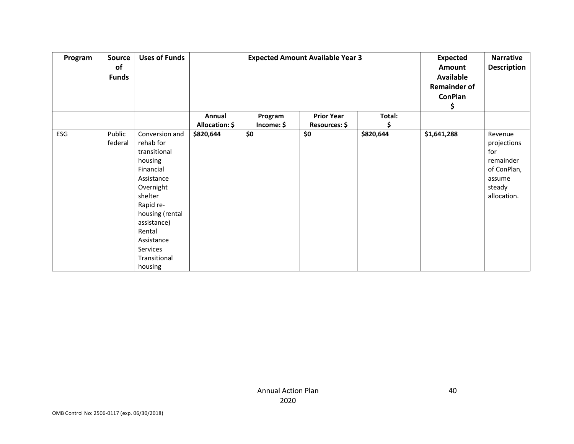| Program | Source<br>of<br><b>Funds</b> | <b>Uses of Funds</b>                                                                                                                                                                                                    |                          |                       | <b>Expected Amount Available Year 3</b> |           | <b>Expected</b><br>Amount<br><b>Available</b><br><b>Remainder of</b><br><b>ConPlan</b><br>Ş | <b>Narrative</b><br><b>Description</b>                                                       |
|---------|------------------------------|-------------------------------------------------------------------------------------------------------------------------------------------------------------------------------------------------------------------------|--------------------------|-----------------------|-----------------------------------------|-----------|---------------------------------------------------------------------------------------------|----------------------------------------------------------------------------------------------|
|         |                              |                                                                                                                                                                                                                         | Annual<br>Allocation: \$ | Program<br>Income: \$ | <b>Prior Year</b><br>Resources: \$      | Total:    |                                                                                             |                                                                                              |
| ESG     | Public<br>federal            | Conversion and<br>rehab for<br>transitional<br>housing<br>Financial<br>Assistance<br>Overnight<br>shelter<br>Rapid re-<br>housing (rental<br>assistance)<br>Rental<br>Assistance<br>Services<br>Transitional<br>housing | \$820,644                | \$0                   | \$0                                     | \$820,644 | \$1,641,288                                                                                 | Revenue<br>projections<br>for<br>remainder<br>of ConPlan,<br>assume<br>steady<br>allocation. |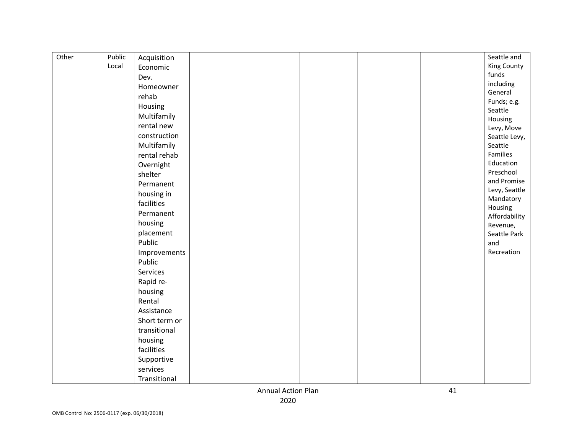| Other | Public | Acquisition   | Seattle and              |
|-------|--------|---------------|--------------------------|
|       | Local  | Economic      | <b>King County</b>       |
|       |        | Dev.          | funds                    |
|       |        | Homeowner     | including                |
|       |        | rehab         | General                  |
|       |        | Housing       | Funds; e.g.              |
|       |        | Multifamily   | Seattle                  |
|       |        | rental new    | Housing                  |
|       |        | construction  | Levy, Move               |
|       |        | Multifamily   | Seattle Levy,<br>Seattle |
|       |        | rental rehab  | Families                 |
|       |        | Overnight     | Education                |
|       |        | shelter       | Preschool                |
|       |        | Permanent     | and Promise              |
|       |        |               | Levy, Seattle            |
|       |        | housing in    | Mandatory                |
|       |        | facilities    | Housing                  |
|       |        | Permanent     | Affordability            |
|       |        | housing       | Revenue,                 |
|       |        | placement     | Seattle Park             |
|       |        | Public        | and                      |
|       |        | Improvements  | Recreation               |
|       |        | Public        |                          |
|       |        | Services      |                          |
|       |        | Rapid re-     |                          |
|       |        | housing       |                          |
|       |        | Rental        |                          |
|       |        | Assistance    |                          |
|       |        | Short term or |                          |
|       |        | transitional  |                          |
|       |        | housing       |                          |
|       |        | facilities    |                          |
|       |        | Supportive    |                          |
|       |        | services      |                          |
|       |        | Transitional  |                          |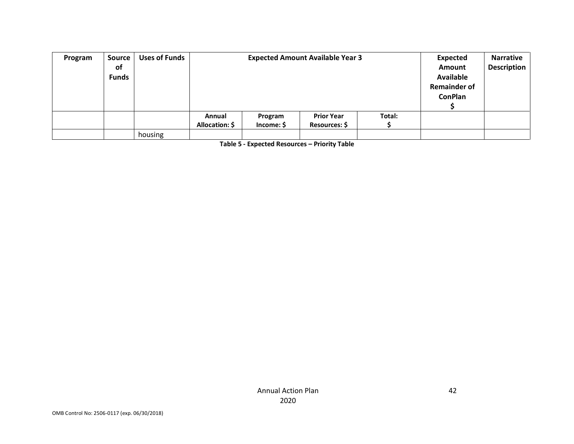| Program | <b>Source</b><br><b>of</b><br><b>Funds</b> | <b>Uses of Funds</b> |                          |                       | <b>Expected Amount Available Year 3</b> |        | Expected<br>Amount<br><b>Available</b><br><b>Remainder of</b><br><b>ConPlan</b> | <b>Narrative</b><br><b>Description</b> |
|---------|--------------------------------------------|----------------------|--------------------------|-----------------------|-----------------------------------------|--------|---------------------------------------------------------------------------------|----------------------------------------|
|         |                                            |                      | Annual<br>Allocation: \$ | Program<br>Income: \$ | <b>Prior Year</b><br>Resources: \$      | Total: |                                                                                 |                                        |
|         |                                            | housing              |                          |                       |                                         |        |                                                                                 |                                        |

**Table 5 - Expected Resources – Priority Table**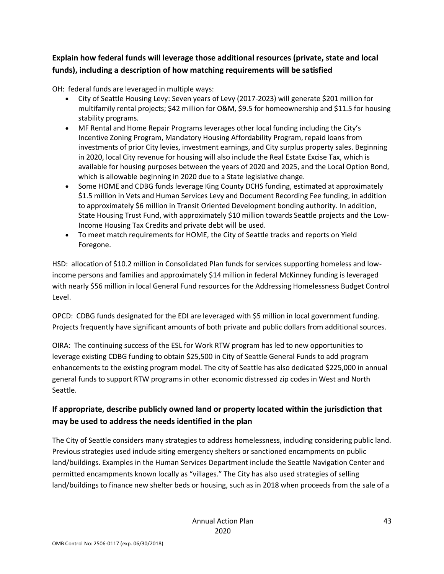## **Explain how federal funds will leverage those additional resources (private, state and local funds), including a description of how matching requirements will be satisfied**

OH: federal funds are leveraged in multiple ways:

- City of Seattle Housing Levy: Seven years of Levy (2017-2023) will generate \$201 million for multifamily rental projects; \$42 million for O&M, \$9.5 for homeownership and \$11.5 for housing stability programs.
- MF Rental and Home Repair Programs leverages other local funding including the City's Incentive Zoning Program, Mandatory Housing Affordability Program, repaid loans from investments of prior City levies, investment earnings, and City surplus property sales. Beginning in 2020, local City revenue for housing will also include the Real Estate Excise Tax, which is available for housing purposes between the years of 2020 and 2025, and the Local Option Bond, which is allowable beginning in 2020 due to a State legislative change.
- Some HOME and CDBG funds leverage King County DCHS funding, estimated at approximately \$1.5 million in Vets and Human Services Levy and Document Recording Fee funding, in addition to approximately \$6 million in Transit Oriented Development bonding authority. In addition, State Housing Trust Fund, with approximately \$10 million towards Seattle projects and the Low-Income Housing Tax Credits and private debt will be used.
- To meet match requirements for HOME, the City of Seattle tracks and reports on Yield Foregone.

HSD: allocation of \$10.2 million in Consolidated Plan funds for services supporting homeless and lowincome persons and families and approximately \$14 million in federal McKinney funding is leveraged with nearly \$56 million in local General Fund resources for the Addressing Homelessness Budget Control Level.

OPCD: CDBG funds designated for the EDI are leveraged with \$5 million in local government funding. Projects frequently have significant amounts of both private and public dollars from additional sources.

OIRA: The continuing success of the ESL for Work RTW program has led to new opportunities to leverage existing CDBG funding to obtain \$25,500 in City of Seattle General Funds to add program enhancements to the existing program model. The city of Seattle has also dedicated \$225,000 in annual general funds to support RTW programs in other economic distressed zip codes in West and North Seattle.

### **If appropriate, describe publicly owned land or property located within the jurisdiction that may be used to address the needs identified in the plan**

The City of Seattle considers many strategies to address homelessness, including considering public land. Previous strategies used include siting emergency shelters or sanctioned encampments on public land/buildings. Examples in the Human Services Department include the Seattle Navigation Center and permitted encampments known locally as "villages." The City has also used strategies of selling land/buildings to finance new shelter beds or housing, such as in 2018 when proceeds from the sale of a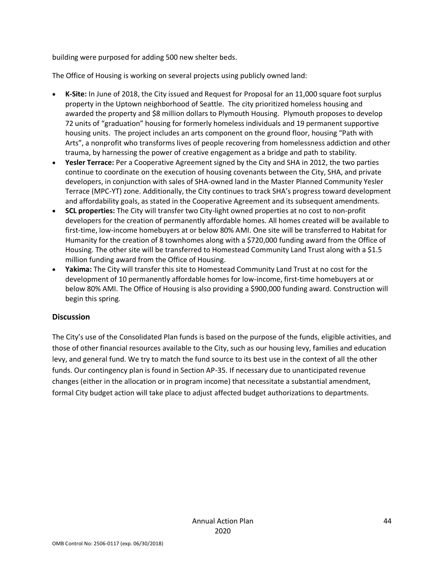building were purposed for adding 500 new shelter beds.

The Office of Housing is working on several projects using publicly owned land:

- **K-Site:** In June of 2018, the City issued and Request for Proposal for an 11,000 square foot surplus property in the Uptown neighborhood of Seattle. The city prioritized homeless housing and awarded the property and \$8 million dollars to Plymouth Housing. Plymouth proposes to develop 72 units of "graduation" housing for formerly homeless individuals and 19 permanent supportive housing units. The project includes an arts component on the ground floor, housing "Path with Arts", a nonprofit who transforms lives of people recovering from homelessness addiction and other trauma, by harnessing the power of creative engagement as a bridge and path to stability.
- **Yesler Terrace:** Per a Cooperative Agreement signed by the City and SHA in 2012, the two parties continue to coordinate on the execution of housing covenants between the City, SHA, and private developers, in conjunction with sales of SHA-owned land in the Master Planned Community Yesler Terrace (MPC-YT) zone. Additionally, the City continues to track SHA's progress toward development and affordability goals, as stated in the Cooperative Agreement and its subsequent amendments.
- **SCL properties:** The City will transfer two City-light owned properties at no cost to non-profit developers for the creation of permanently affordable homes. All homes created will be available to first-time, low-income homebuyers at or below 80% AMI. One site will be transferred to Habitat for Humanity for the creation of 8 townhomes along with a \$720,000 funding award from the Office of Housing. The other site will be transferred to Homestead Community Land Trust along with a \$1.5 million funding award from the Office of Housing.
- **Yakima:** The City will transfer this site to Homestead Community Land Trust at no cost for the development of 10 permanently affordable homes for low-income, first-time homebuyers at or below 80% AMI. The Office of Housing is also providing a \$900,000 funding award. Construction will begin this spring.

#### **Discussion**

The City's use of the Consolidated Plan funds is based on the purpose of the funds, eligible activities, and those of other financial resources available to the City, such as our housing levy, families and education levy, and general fund. We try to match the fund source to its best use in the context of all the other funds. Our contingency plan is found in Section AP-35. If necessary due to unanticipated revenue changes (either in the allocation or in program income) that necessitate a substantial amendment, formal City budget action will take place to adjust affected budget authorizations to departments.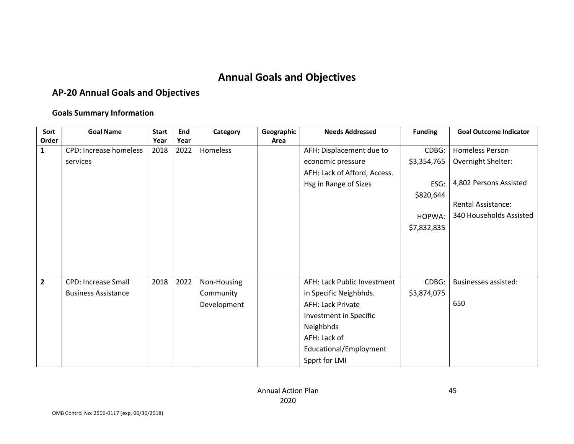# **Annual Goals and Objectives**

## **AP-20 Annual Goals and Objectives**

#### **Goals Summary Information**

| Sort<br>Order  | <b>Goal Name</b>              | <b>Start</b><br>Year | End<br>Year | Category    | Geographic<br>Area | <b>Needs Addressed</b>       | <b>Funding</b> | <b>Goal Outcome Indicator</b> |
|----------------|-------------------------------|----------------------|-------------|-------------|--------------------|------------------------------|----------------|-------------------------------|
| $\mathbf{1}$   | <b>CPD: Increase homeless</b> | 2018                 | 2022        | Homeless    |                    | AFH: Displacement due to     | CDBG:          | Homeless Person               |
|                | services                      |                      |             |             |                    | economic pressure            | \$3,354,765    | Overnight Shelter:            |
|                |                               |                      |             |             |                    | AFH: Lack of Afford, Access. |                |                               |
|                |                               |                      |             |             |                    | Hsg in Range of Sizes        | ESG:           | 4,802 Persons Assisted        |
|                |                               |                      |             |             |                    |                              | \$820,644      |                               |
|                |                               |                      |             |             |                    |                              |                | <b>Rental Assistance:</b>     |
|                |                               |                      |             |             |                    |                              | HOPWA:         | 340 Households Assisted       |
|                |                               |                      |             |             |                    |                              | \$7,832,835    |                               |
|                |                               |                      |             |             |                    |                              |                |                               |
|                |                               |                      |             |             |                    |                              |                |                               |
|                |                               |                      |             |             |                    |                              |                |                               |
|                |                               |                      |             |             |                    |                              |                |                               |
| $\overline{2}$ | <b>CPD: Increase Small</b>    | 2018                 | 2022        | Non-Housing |                    | AFH: Lack Public Investment  | CDBG:          | <b>Businesses assisted:</b>   |
|                | <b>Business Assistance</b>    |                      |             | Community   |                    | in Specific Neighbhds.       | \$3,874,075    |                               |
|                |                               |                      |             | Development |                    | <b>AFH: Lack Private</b>     |                | 650                           |
|                |                               |                      |             |             |                    | Investment in Specific       |                |                               |
|                |                               |                      |             |             |                    | Neighbhds                    |                |                               |
|                |                               |                      |             |             |                    | AFH: Lack of                 |                |                               |
|                |                               |                      |             |             |                    | Educational/Employment       |                |                               |
|                |                               |                      |             |             |                    | Spprt for LMI                |                |                               |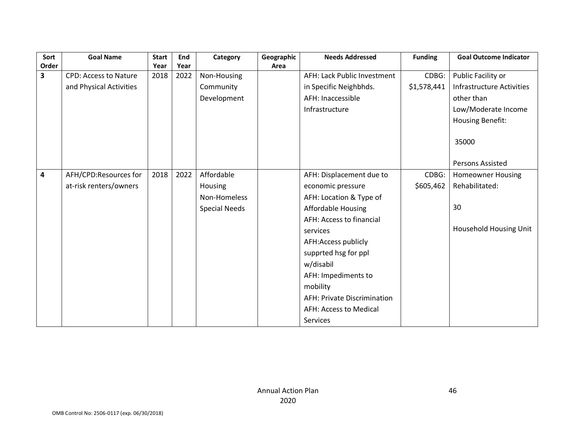| Sort  | <b>Goal Name</b>             | <b>Start</b> | End  | Category             | Geographic | <b>Needs Addressed</b>             | <b>Funding</b> | <b>Goal Outcome Indicator</b>    |
|-------|------------------------------|--------------|------|----------------------|------------|------------------------------------|----------------|----------------------------------|
| Order |                              | Year         | Year |                      | Area       |                                    |                |                                  |
| 3     | <b>CPD: Access to Nature</b> | 2018         | 2022 | Non-Housing          |            | AFH: Lack Public Investment        | CDBG:          | Public Facility or               |
|       | and Physical Activities      |              |      | Community            |            | in Specific Neighbhds.             | \$1,578,441    | <b>Infrastructure Activities</b> |
|       |                              |              |      | Development          |            | AFH: Inaccessible                  |                | other than                       |
|       |                              |              |      |                      |            | Infrastructure                     |                | Low/Moderate Income              |
|       |                              |              |      |                      |            |                                    |                | Housing Benefit:                 |
|       |                              |              |      |                      |            |                                    |                |                                  |
|       |                              |              |      |                      |            |                                    |                | 35000                            |
|       |                              |              |      |                      |            |                                    |                |                                  |
|       |                              |              |      |                      |            |                                    |                | Persons Assisted                 |
| 4     | AFH/CPD:Resources for        | 2018         | 2022 | Affordable           |            | AFH: Displacement due to           | CDBG:          | <b>Homeowner Housing</b>         |
|       | at-risk renters/owners       |              |      | Housing              |            | economic pressure                  | \$605,462      | Rehabilitated:                   |
|       |                              |              |      | Non-Homeless         |            | AFH: Location & Type of            |                |                                  |
|       |                              |              |      | <b>Special Needs</b> |            | Affordable Housing                 |                | 30                               |
|       |                              |              |      |                      |            | AFH: Access to financial           |                |                                  |
|       |                              |              |      |                      |            | services                           |                | Household Housing Unit           |
|       |                              |              |      |                      |            | AFH:Access publicly                |                |                                  |
|       |                              |              |      |                      |            | supprted hsg for ppl               |                |                                  |
|       |                              |              |      |                      |            | w/disabil                          |                |                                  |
|       |                              |              |      |                      |            | AFH: Impediments to                |                |                                  |
|       |                              |              |      |                      |            | mobility                           |                |                                  |
|       |                              |              |      |                      |            | <b>AFH: Private Discrimination</b> |                |                                  |
|       |                              |              |      |                      |            | AFH: Access to Medical             |                |                                  |
|       |                              |              |      |                      |            | Services                           |                |                                  |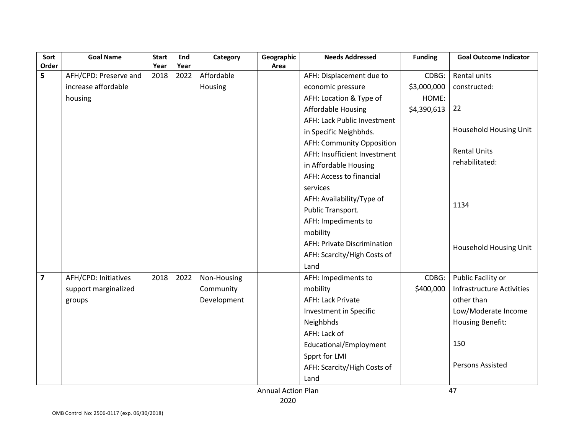| Sort                    | <b>Goal Name</b>            | <b>Start</b> | End  | Category    | Geographic | <b>Needs Addressed</b>             | <b>Funding</b> | <b>Goal Outcome Indicator</b>    |
|-------------------------|-----------------------------|--------------|------|-------------|------------|------------------------------------|----------------|----------------------------------|
| Order                   |                             | Year         | Year |             | Area       |                                    |                |                                  |
| 5                       | AFH/CPD: Preserve and       | 2018         | 2022 | Affordable  |            | AFH: Displacement due to           | CDBG:          | Rental units                     |
|                         | increase affordable         |              |      | Housing     |            | economic pressure                  | \$3,000,000    | constructed:                     |
|                         | housing                     |              |      |             |            | AFH: Location & Type of            | HOME:          |                                  |
|                         |                             |              |      |             |            | <b>Affordable Housing</b>          | \$4,390,613    | 22                               |
|                         |                             |              |      |             |            | AFH: Lack Public Investment        |                |                                  |
|                         |                             |              |      |             |            | in Specific Neighbhds.             |                | Household Housing Unit           |
|                         |                             |              |      |             |            | AFH: Community Opposition          |                |                                  |
|                         |                             |              |      |             |            | AFH: Insufficient Investment       |                | <b>Rental Units</b>              |
|                         |                             |              |      |             |            | in Affordable Housing              |                | rehabilitated:                   |
|                         |                             |              |      |             |            | AFH: Access to financial           |                |                                  |
|                         |                             |              |      |             |            | services                           |                |                                  |
|                         |                             |              |      |             |            | AFH: Availability/Type of          |                |                                  |
|                         |                             |              |      |             |            | Public Transport.                  |                | 1134                             |
|                         |                             |              |      |             |            | AFH: Impediments to                |                |                                  |
|                         |                             |              |      |             |            | mobility                           |                |                                  |
|                         |                             |              |      |             |            | <b>AFH: Private Discrimination</b> |                | Household Housing Unit           |
|                         |                             |              |      |             |            | AFH: Scarcity/High Costs of        |                |                                  |
|                         |                             |              |      |             |            | Land                               |                |                                  |
| $\overline{\mathbf{z}}$ | <b>AFH/CPD: Initiatives</b> | 2018         | 2022 | Non-Housing |            | AFH: Impediments to                | CDBG:          | Public Facility or               |
|                         | support marginalized        |              |      | Community   |            | mobility                           | \$400,000      | <b>Infrastructure Activities</b> |
|                         | groups                      |              |      | Development |            | <b>AFH: Lack Private</b>           |                | other than                       |
|                         |                             |              |      |             |            | Investment in Specific             |                | Low/Moderate Income              |
|                         |                             |              |      |             |            | Neighbhds                          |                | <b>Housing Benefit:</b>          |
|                         |                             |              |      |             |            | AFH: Lack of                       |                |                                  |
|                         |                             |              |      |             |            | Educational/Employment             |                | 150                              |
|                         |                             |              |      |             |            | Spprt for LMI                      |                |                                  |
|                         |                             |              |      |             |            | AFH: Scarcity/High Costs of        |                | <b>Persons Assisted</b>          |
|                         |                             |              |      |             |            | Land                               |                |                                  |
|                         |                             |              |      |             |            |                                    |                |                                  |

Annual Action Plan 2020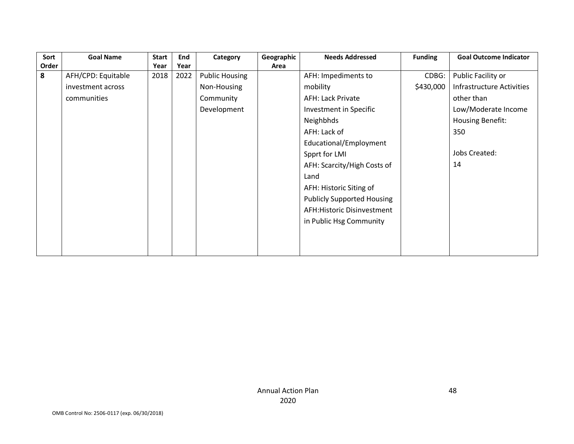| Sort  | <b>Goal Name</b>   | <b>Start</b> | End  | Category              | Geographic | <b>Needs Addressed</b>            | <b>Funding</b> | <b>Goal Outcome Indicator</b> |
|-------|--------------------|--------------|------|-----------------------|------------|-----------------------------------|----------------|-------------------------------|
| Order |                    | Year         | Year |                       | Area       |                                   |                |                               |
| 8     | AFH/CPD: Equitable | 2018         | 2022 | <b>Public Housing</b> |            | AFH: Impediments to               | CDBG:          | Public Facility or            |
|       | investment across  |              |      | Non-Housing           |            | mobility                          | \$430,000      | Infrastructure Activities     |
|       | communities        |              |      | Community             |            | <b>AFH: Lack Private</b>          |                | other than                    |
|       |                    |              |      | Development           |            | Investment in Specific            |                | Low/Moderate Income           |
|       |                    |              |      |                       |            | Neighbhds                         |                | Housing Benefit:              |
|       |                    |              |      |                       |            | AFH: Lack of                      |                | 350                           |
|       |                    |              |      |                       |            | Educational/Employment            |                |                               |
|       |                    |              |      |                       |            | Spprt for LMI                     |                | <b>Jobs Created:</b>          |
|       |                    |              |      |                       |            | AFH: Scarcity/High Costs of       |                | 14                            |
|       |                    |              |      |                       |            | Land                              |                |                               |
|       |                    |              |      |                       |            | AFH: Historic Siting of           |                |                               |
|       |                    |              |      |                       |            | <b>Publicly Supported Housing</b> |                |                               |
|       |                    |              |      |                       |            | AFH: Historic Disinvestment       |                |                               |
|       |                    |              |      |                       |            | in Public Hsg Community           |                |                               |
|       |                    |              |      |                       |            |                                   |                |                               |
|       |                    |              |      |                       |            |                                   |                |                               |
|       |                    |              |      |                       |            |                                   |                |                               |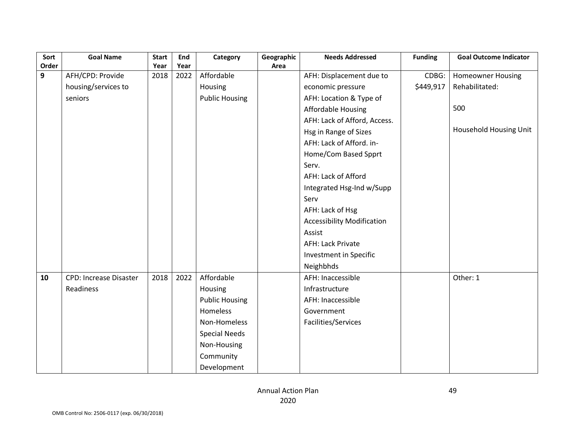| Sort  | <b>Goal Name</b>              | <b>Start</b> | End  | Category              | Geographic | <b>Needs Addressed</b>            | <b>Funding</b> | <b>Goal Outcome Indicator</b> |
|-------|-------------------------------|--------------|------|-----------------------|------------|-----------------------------------|----------------|-------------------------------|
| Order |                               | Year         | Year |                       | Area       |                                   |                |                               |
| 9     | AFH/CPD: Provide              | 2018         | 2022 | Affordable            |            | AFH: Displacement due to          | CDBG:          | <b>Homeowner Housing</b>      |
|       | housing/services to           |              |      | Housing               |            | economic pressure                 | \$449,917      | Rehabilitated:                |
|       | seniors                       |              |      | <b>Public Housing</b> |            | AFH: Location & Type of           |                |                               |
|       |                               |              |      |                       |            | <b>Affordable Housing</b>         |                | 500                           |
|       |                               |              |      |                       |            | AFH: Lack of Afford, Access.      |                |                               |
|       |                               |              |      |                       |            | Hsg in Range of Sizes             |                | Household Housing Unit        |
|       |                               |              |      |                       |            | AFH: Lack of Afford. in-          |                |                               |
|       |                               |              |      |                       |            | Home/Com Based Spprt              |                |                               |
|       |                               |              |      |                       |            | Serv.                             |                |                               |
|       |                               |              |      |                       |            | AFH: Lack of Afford               |                |                               |
|       |                               |              |      |                       |            | Integrated Hsg-Ind w/Supp         |                |                               |
|       |                               |              |      |                       |            | Serv                              |                |                               |
|       |                               |              |      |                       |            | AFH: Lack of Hsg                  |                |                               |
|       |                               |              |      |                       |            | <b>Accessibility Modification</b> |                |                               |
|       |                               |              |      |                       |            | Assist                            |                |                               |
|       |                               |              |      |                       |            | <b>AFH: Lack Private</b>          |                |                               |
|       |                               |              |      |                       |            | Investment in Specific            |                |                               |
|       |                               |              |      |                       |            | Neighbhds                         |                |                               |
| 10    | <b>CPD: Increase Disaster</b> | 2018         | 2022 | Affordable            |            | AFH: Inaccessible                 |                | Other: 1                      |
|       | Readiness                     |              |      | Housing               |            | Infrastructure                    |                |                               |
|       |                               |              |      | <b>Public Housing</b> |            | AFH: Inaccessible                 |                |                               |
|       |                               |              |      | Homeless              |            | Government                        |                |                               |
|       |                               |              |      | Non-Homeless          |            | Facilities/Services               |                |                               |
|       |                               |              |      | <b>Special Needs</b>  |            |                                   |                |                               |
|       |                               |              |      | Non-Housing           |            |                                   |                |                               |
|       |                               |              |      | Community             |            |                                   |                |                               |
|       |                               |              |      | Development           |            |                                   |                |                               |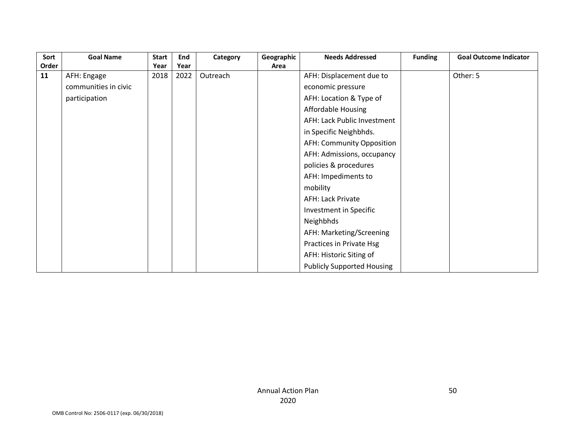| Sort  | <b>Goal Name</b>     | <b>Start</b> | End  | Category | Geographic | <b>Needs Addressed</b>            | <b>Funding</b> | <b>Goal Outcome Indicator</b> |
|-------|----------------------|--------------|------|----------|------------|-----------------------------------|----------------|-------------------------------|
| Order |                      | Year         | Year |          | Area       |                                   |                |                               |
| 11    | AFH: Engage          | 2018         | 2022 | Outreach |            | AFH: Displacement due to          |                | Other: 5                      |
|       | communities in civic |              |      |          |            | economic pressure                 |                |                               |
|       | participation        |              |      |          |            | AFH: Location & Type of           |                |                               |
|       |                      |              |      |          |            | Affordable Housing                |                |                               |
|       |                      |              |      |          |            | AFH: Lack Public Investment       |                |                               |
|       |                      |              |      |          |            | in Specific Neighbhds.            |                |                               |
|       |                      |              |      |          |            | AFH: Community Opposition         |                |                               |
|       |                      |              |      |          |            | AFH: Admissions, occupancy        |                |                               |
|       |                      |              |      |          |            | policies & procedures             |                |                               |
|       |                      |              |      |          |            | AFH: Impediments to               |                |                               |
|       |                      |              |      |          |            | mobility                          |                |                               |
|       |                      |              |      |          |            | <b>AFH: Lack Private</b>          |                |                               |
|       |                      |              |      |          |            | Investment in Specific            |                |                               |
|       |                      |              |      |          |            | Neighbhds                         |                |                               |
|       |                      |              |      |          |            | AFH: Marketing/Screening          |                |                               |
|       |                      |              |      |          |            | Practices in Private Hsg          |                |                               |
|       |                      |              |      |          |            | AFH: Historic Siting of           |                |                               |
|       |                      |              |      |          |            | <b>Publicly Supported Housing</b> |                |                               |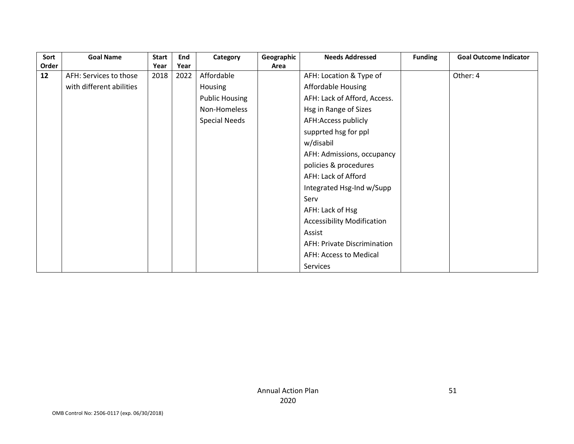| Sort  | <b>Goal Name</b>         | Start | End  | Category              | Geographic | <b>Needs Addressed</b>            | <b>Funding</b> | <b>Goal Outcome Indicator</b> |
|-------|--------------------------|-------|------|-----------------------|------------|-----------------------------------|----------------|-------------------------------|
| Order |                          | Year  | Year |                       | Area       |                                   |                |                               |
| 12    | AFH: Services to those   | 2018  | 2022 | Affordable            |            | AFH: Location & Type of           |                | Other: 4                      |
|       | with different abilities |       |      | Housing               |            | <b>Affordable Housing</b>         |                |                               |
|       |                          |       |      | <b>Public Housing</b> |            | AFH: Lack of Afford, Access.      |                |                               |
|       |                          |       |      | Non-Homeless          |            | Hsg in Range of Sizes             |                |                               |
|       |                          |       |      | <b>Special Needs</b>  |            | AFH:Access publicly               |                |                               |
|       |                          |       |      |                       |            | supprted hsg for ppl              |                |                               |
|       |                          |       |      |                       |            | w/disabil                         |                |                               |
|       |                          |       |      |                       |            | AFH: Admissions, occupancy        |                |                               |
|       |                          |       |      |                       |            | policies & procedures             |                |                               |
|       |                          |       |      |                       |            | AFH: Lack of Afford               |                |                               |
|       |                          |       |      |                       |            | Integrated Hsg-Ind w/Supp         |                |                               |
|       |                          |       |      |                       |            | Serv                              |                |                               |
|       |                          |       |      |                       |            | AFH: Lack of Hsg                  |                |                               |
|       |                          |       |      |                       |            | <b>Accessibility Modification</b> |                |                               |
|       |                          |       |      |                       |            | Assist                            |                |                               |
|       |                          |       |      |                       |            | AFH: Private Discrimination       |                |                               |
|       |                          |       |      |                       |            | AFH: Access to Medical            |                |                               |
|       |                          |       |      |                       |            | Services                          |                |                               |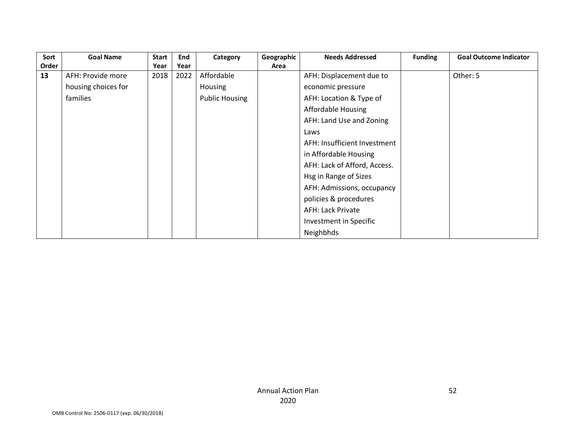| Sort  | <b>Goal Name</b>    | <b>Start</b> | End  | Category              | Geographic | <b>Needs Addressed</b>       | <b>Funding</b> | <b>Goal Outcome Indicator</b> |
|-------|---------------------|--------------|------|-----------------------|------------|------------------------------|----------------|-------------------------------|
| Order |                     | Year         | Year |                       | Area       |                              |                |                               |
| 13    | AFH: Provide more   | 2018         | 2022 | Affordable            |            | AFH: Displacement due to     |                | Other: 5                      |
|       | housing choices for |              |      | <b>Housing</b>        |            | economic pressure            |                |                               |
|       | families            |              |      | <b>Public Housing</b> |            | AFH: Location & Type of      |                |                               |
|       |                     |              |      |                       |            | <b>Affordable Housing</b>    |                |                               |
|       |                     |              |      |                       |            | AFH: Land Use and Zoning     |                |                               |
|       |                     |              |      |                       |            | Laws                         |                |                               |
|       |                     |              |      |                       |            | AFH: Insufficient Investment |                |                               |
|       |                     |              |      |                       |            | in Affordable Housing        |                |                               |
|       |                     |              |      |                       |            | AFH: Lack of Afford, Access. |                |                               |
|       |                     |              |      |                       |            | Hsg in Range of Sizes        |                |                               |
|       |                     |              |      |                       |            | AFH: Admissions, occupancy   |                |                               |
|       |                     |              |      |                       |            | policies & procedures        |                |                               |
|       |                     |              |      |                       |            | <b>AFH: Lack Private</b>     |                |                               |
|       |                     |              |      |                       |            | Investment in Specific       |                |                               |
|       |                     |              |      |                       |            | Neighbhds                    |                |                               |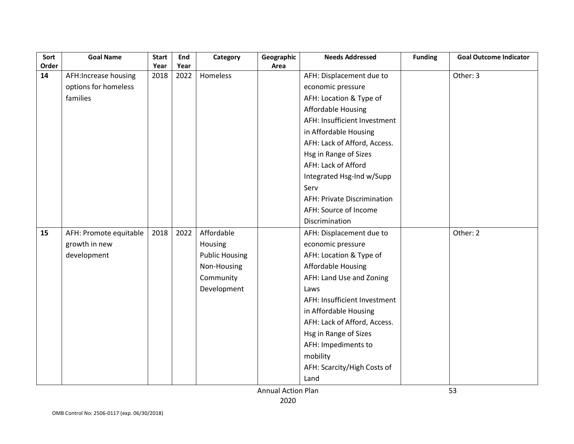| Sort  | <b>Goal Name</b>       | <b>Start</b> | End  | Category              | Geographic                | <b>Needs Addressed</b>             | <b>Funding</b> | <b>Goal Outcome Indicator</b> |
|-------|------------------------|--------------|------|-----------------------|---------------------------|------------------------------------|----------------|-------------------------------|
| Order |                        | Year         | Year |                       | Area                      |                                    |                |                               |
| 14    | AFH:Increase housing   | 2018         | 2022 | Homeless              |                           | AFH: Displacement due to           |                | Other: 3                      |
|       | options for homeless   |              |      |                       |                           | economic pressure                  |                |                               |
|       | families               |              |      |                       |                           | AFH: Location & Type of            |                |                               |
|       |                        |              |      |                       |                           | <b>Affordable Housing</b>          |                |                               |
|       |                        |              |      |                       |                           | AFH: Insufficient Investment       |                |                               |
|       |                        |              |      |                       |                           | in Affordable Housing              |                |                               |
|       |                        |              |      |                       |                           | AFH: Lack of Afford, Access.       |                |                               |
|       |                        |              |      |                       |                           | Hsg in Range of Sizes              |                |                               |
|       |                        |              |      |                       |                           | AFH: Lack of Afford                |                |                               |
|       |                        |              |      |                       |                           | Integrated Hsg-Ind w/Supp          |                |                               |
|       |                        |              |      |                       |                           | Serv                               |                |                               |
|       |                        |              |      |                       |                           | <b>AFH: Private Discrimination</b> |                |                               |
|       |                        |              |      |                       |                           | AFH: Source of Income              |                |                               |
|       |                        |              |      |                       |                           | Discrimination                     |                |                               |
| 15    | AFH: Promote equitable | 2018         | 2022 | Affordable            |                           | AFH: Displacement due to           |                | Other: 2                      |
|       | growth in new          |              |      | Housing               |                           | economic pressure                  |                |                               |
|       | development            |              |      | <b>Public Housing</b> |                           | AFH: Location & Type of            |                |                               |
|       |                        |              |      | Non-Housing           |                           | <b>Affordable Housing</b>          |                |                               |
|       |                        |              |      | Community             |                           | AFH: Land Use and Zoning           |                |                               |
|       |                        |              |      | Development           |                           | Laws                               |                |                               |
|       |                        |              |      |                       |                           | AFH: Insufficient Investment       |                |                               |
|       |                        |              |      |                       |                           | in Affordable Housing              |                |                               |
|       |                        |              |      |                       |                           | AFH: Lack of Afford, Access.       |                |                               |
|       |                        |              |      |                       |                           | Hsg in Range of Sizes              |                |                               |
|       |                        |              |      |                       |                           | AFH: Impediments to                |                |                               |
|       |                        |              |      |                       |                           | mobility                           |                |                               |
|       |                        |              |      |                       |                           | AFH: Scarcity/High Costs of        |                |                               |
|       |                        |              |      |                       |                           | Land                               |                |                               |
|       |                        |              |      |                       | <b>Annual Action Plan</b> |                                    |                | 53                            |

Annual Action Plan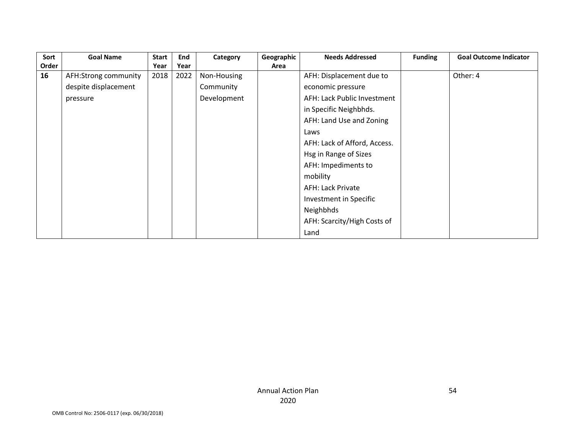| Sort  | <b>Goal Name</b>     | <b>Start</b> | End  | Category    | Geographic | <b>Needs Addressed</b>       | <b>Funding</b> | <b>Goal Outcome Indicator</b> |
|-------|----------------------|--------------|------|-------------|------------|------------------------------|----------------|-------------------------------|
| Order |                      | Year         | Year |             | Area       |                              |                |                               |
| 16    | AFH:Strong community | 2018         | 2022 | Non-Housing |            | AFH: Displacement due to     |                | Other: 4                      |
|       | despite displacement |              |      | Community   |            | economic pressure            |                |                               |
|       | pressure             |              |      | Development |            | AFH: Lack Public Investment  |                |                               |
|       |                      |              |      |             |            | in Specific Neighbhds.       |                |                               |
|       |                      |              |      |             |            | AFH: Land Use and Zoning     |                |                               |
|       |                      |              |      |             |            | Laws                         |                |                               |
|       |                      |              |      |             |            | AFH: Lack of Afford, Access. |                |                               |
|       |                      |              |      |             |            | Hsg in Range of Sizes        |                |                               |
|       |                      |              |      |             |            | AFH: Impediments to          |                |                               |
|       |                      |              |      |             |            | mobility                     |                |                               |
|       |                      |              |      |             |            | <b>AFH: Lack Private</b>     |                |                               |
|       |                      |              |      |             |            | Investment in Specific       |                |                               |
|       |                      |              |      |             |            | Neighbhds                    |                |                               |
|       |                      |              |      |             |            | AFH: Scarcity/High Costs of  |                |                               |
|       |                      |              |      |             |            | Land                         |                |                               |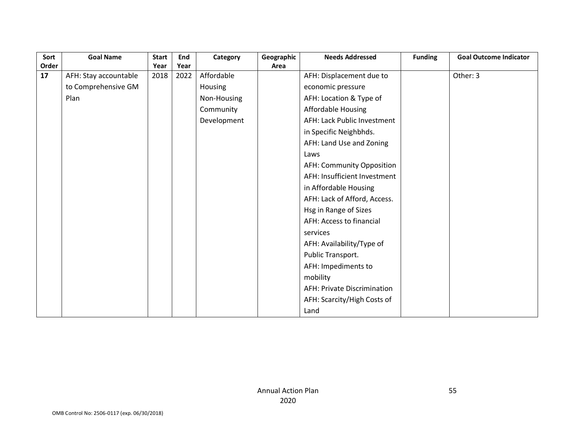| Sort  | <b>Goal Name</b>      | <b>Start</b> | End  | Category    | Geographic | <b>Needs Addressed</b>             | <b>Funding</b> | <b>Goal Outcome Indicator</b> |
|-------|-----------------------|--------------|------|-------------|------------|------------------------------------|----------------|-------------------------------|
| Order |                       | Year         | Year |             | Area       |                                    |                |                               |
| 17    | AFH: Stay accountable | 2018         | 2022 | Affordable  |            | AFH: Displacement due to           |                | Other: 3                      |
|       | to Comprehensive GM   |              |      | Housing     |            | economic pressure                  |                |                               |
|       | Plan                  |              |      | Non-Housing |            | AFH: Location & Type of            |                |                               |
|       |                       |              |      | Community   |            | Affordable Housing                 |                |                               |
|       |                       |              |      | Development |            | AFH: Lack Public Investment        |                |                               |
|       |                       |              |      |             |            | in Specific Neighbhds.             |                |                               |
|       |                       |              |      |             |            | AFH: Land Use and Zoning           |                |                               |
|       |                       |              |      |             |            | Laws                               |                |                               |
|       |                       |              |      |             |            | <b>AFH: Community Opposition</b>   |                |                               |
|       |                       |              |      |             |            | AFH: Insufficient Investment       |                |                               |
|       |                       |              |      |             |            | in Affordable Housing              |                |                               |
|       |                       |              |      |             |            | AFH: Lack of Afford, Access.       |                |                               |
|       |                       |              |      |             |            | Hsg in Range of Sizes              |                |                               |
|       |                       |              |      |             |            | AFH: Access to financial           |                |                               |
|       |                       |              |      |             |            | services                           |                |                               |
|       |                       |              |      |             |            | AFH: Availability/Type of          |                |                               |
|       |                       |              |      |             |            | Public Transport.                  |                |                               |
|       |                       |              |      |             |            | AFH: Impediments to                |                |                               |
|       |                       |              |      |             |            | mobility                           |                |                               |
|       |                       |              |      |             |            | <b>AFH: Private Discrimination</b> |                |                               |
|       |                       |              |      |             |            | AFH: Scarcity/High Costs of        |                |                               |
|       |                       |              |      |             |            | Land                               |                |                               |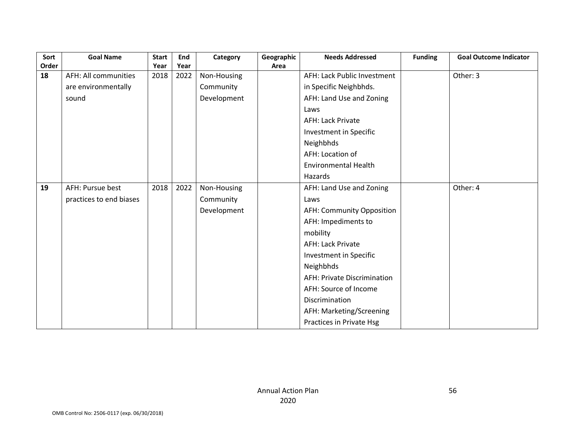| Sort  | <b>Goal Name</b>        | <b>Start</b> | End  | Category    | Geographic | <b>Needs Addressed</b>             | <b>Funding</b> | <b>Goal Outcome Indicator</b> |
|-------|-------------------------|--------------|------|-------------|------------|------------------------------------|----------------|-------------------------------|
| Order |                         | Year         | Year |             | Area       |                                    |                |                               |
| 18    | AFH: All communities    | 2018         | 2022 | Non-Housing |            | AFH: Lack Public Investment        |                | Other: 3                      |
|       | are environmentally     |              |      | Community   |            | in Specific Neighbhds.             |                |                               |
|       | sound                   |              |      | Development |            | AFH: Land Use and Zoning           |                |                               |
|       |                         |              |      |             |            | Laws                               |                |                               |
|       |                         |              |      |             |            | <b>AFH: Lack Private</b>           |                |                               |
|       |                         |              |      |             |            | Investment in Specific             |                |                               |
|       |                         |              |      |             |            | Neighbhds                          |                |                               |
|       |                         |              |      |             |            | AFH: Location of                   |                |                               |
|       |                         |              |      |             |            | <b>Environmental Health</b>        |                |                               |
|       |                         |              |      |             |            | Hazards                            |                |                               |
| 19    | AFH: Pursue best        | 2018         | 2022 | Non-Housing |            | AFH: Land Use and Zoning           |                | Other: 4                      |
|       | practices to end biases |              |      | Community   |            | Laws                               |                |                               |
|       |                         |              |      | Development |            | AFH: Community Opposition          |                |                               |
|       |                         |              |      |             |            | AFH: Impediments to                |                |                               |
|       |                         |              |      |             |            | mobility                           |                |                               |
|       |                         |              |      |             |            | <b>AFH: Lack Private</b>           |                |                               |
|       |                         |              |      |             |            | Investment in Specific             |                |                               |
|       |                         |              |      |             |            | Neighbhds                          |                |                               |
|       |                         |              |      |             |            | <b>AFH: Private Discrimination</b> |                |                               |
|       |                         |              |      |             |            | AFH: Source of Income              |                |                               |
|       |                         |              |      |             |            | Discrimination                     |                |                               |
|       |                         |              |      |             |            | AFH: Marketing/Screening           |                |                               |
|       |                         |              |      |             |            | Practices in Private Hsg           |                |                               |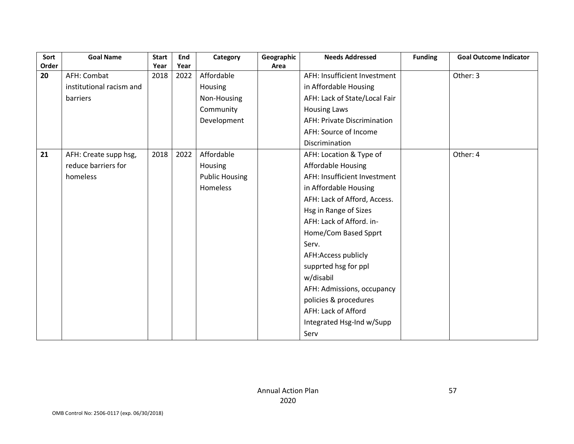| Sort  | <b>Goal Name</b>         | <b>Start</b> | End  | Category              | Geographic | <b>Needs Addressed</b>        | <b>Funding</b> | <b>Goal Outcome Indicator</b> |
|-------|--------------------------|--------------|------|-----------------------|------------|-------------------------------|----------------|-------------------------------|
| Order |                          | Year         | Year |                       | Area       |                               |                |                               |
| 20    | AFH: Combat              | 2018         | 2022 | Affordable            |            | AFH: Insufficient Investment  |                | Other: 3                      |
|       | institutional racism and |              |      | Housing               |            | in Affordable Housing         |                |                               |
|       | barriers                 |              |      | Non-Housing           |            | AFH: Lack of State/Local Fair |                |                               |
|       |                          |              |      | Community             |            | <b>Housing Laws</b>           |                |                               |
|       |                          |              |      | Development           |            | AFH: Private Discrimination   |                |                               |
|       |                          |              |      |                       |            | AFH: Source of Income         |                |                               |
|       |                          |              |      |                       |            | Discrimination                |                |                               |
| 21    | AFH: Create supp hsg,    | 2018         | 2022 | Affordable            |            | AFH: Location & Type of       |                | Other: 4                      |
|       | reduce barriers for      |              |      | Housing               |            | <b>Affordable Housing</b>     |                |                               |
|       | homeless                 |              |      | <b>Public Housing</b> |            | AFH: Insufficient Investment  |                |                               |
|       |                          |              |      | Homeless              |            | in Affordable Housing         |                |                               |
|       |                          |              |      |                       |            | AFH: Lack of Afford, Access.  |                |                               |
|       |                          |              |      |                       |            | Hsg in Range of Sizes         |                |                               |
|       |                          |              |      |                       |            | AFH: Lack of Afford. in-      |                |                               |
|       |                          |              |      |                       |            | Home/Com Based Spprt          |                |                               |
|       |                          |              |      |                       |            | Serv.                         |                |                               |
|       |                          |              |      |                       |            | AFH:Access publicly           |                |                               |
|       |                          |              |      |                       |            | supprted hsg for ppl          |                |                               |
|       |                          |              |      |                       |            | w/disabil                     |                |                               |
|       |                          |              |      |                       |            | AFH: Admissions, occupancy    |                |                               |
|       |                          |              |      |                       |            | policies & procedures         |                |                               |
|       |                          |              |      |                       |            | AFH: Lack of Afford           |                |                               |
|       |                          |              |      |                       |            | Integrated Hsg-Ind w/Supp     |                |                               |
|       |                          |              |      |                       |            | Serv                          |                |                               |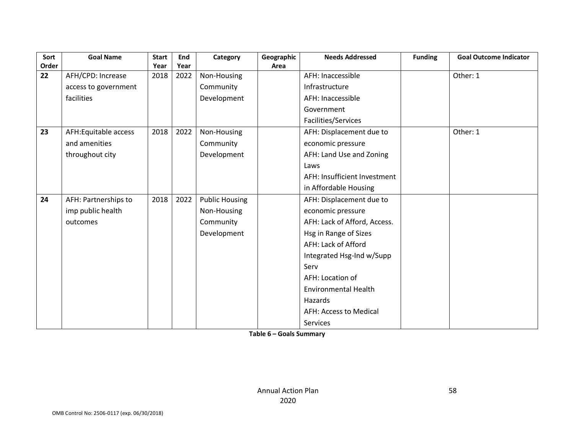| Sort  | <b>Goal Name</b>     | <b>Start</b> | End  | Category              | Geographic | <b>Needs Addressed</b>       | <b>Funding</b> | <b>Goal Outcome Indicator</b> |
|-------|----------------------|--------------|------|-----------------------|------------|------------------------------|----------------|-------------------------------|
| Order |                      | Year         | Year |                       | Area       |                              |                |                               |
| 22    | AFH/CPD: Increase    | 2018         | 2022 | Non-Housing           |            | AFH: Inaccessible            |                | Other: 1                      |
|       | access to government |              |      | Community             |            | Infrastructure               |                |                               |
|       | facilities           |              |      | Development           |            | AFH: Inaccessible            |                |                               |
|       |                      |              |      |                       |            | Government                   |                |                               |
|       |                      |              |      |                       |            | Facilities/Services          |                |                               |
| 23    | AFH:Equitable access | 2018         | 2022 | Non-Housing           |            | AFH: Displacement due to     |                | Other: 1                      |
|       | and amenities        |              |      | Community             |            | economic pressure            |                |                               |
|       | throughout city      |              |      | Development           |            | AFH: Land Use and Zoning     |                |                               |
|       |                      |              |      |                       |            | Laws                         |                |                               |
|       |                      |              |      |                       |            | AFH: Insufficient Investment |                |                               |
|       |                      |              |      |                       |            | in Affordable Housing        |                |                               |
| 24    | AFH: Partnerships to | 2018         | 2022 | <b>Public Housing</b> |            | AFH: Displacement due to     |                |                               |
|       | imp public health    |              |      | Non-Housing           |            | economic pressure            |                |                               |
|       | outcomes             |              |      | Community             |            | AFH: Lack of Afford, Access. |                |                               |
|       |                      |              |      | Development           |            | Hsg in Range of Sizes        |                |                               |
|       |                      |              |      |                       |            | AFH: Lack of Afford          |                |                               |
|       |                      |              |      |                       |            | Integrated Hsg-Ind w/Supp    |                |                               |
|       |                      |              |      |                       |            | Serv                         |                |                               |
|       |                      |              |      |                       |            | AFH: Location of             |                |                               |
|       |                      |              |      |                       |            | <b>Environmental Health</b>  |                |                               |
|       |                      |              |      |                       |            | Hazards                      |                |                               |
|       |                      |              |      |                       |            | AFH: Access to Medical       |                |                               |
|       |                      |              |      |                       |            | Services                     |                |                               |

**Table 6 – Goals Summary**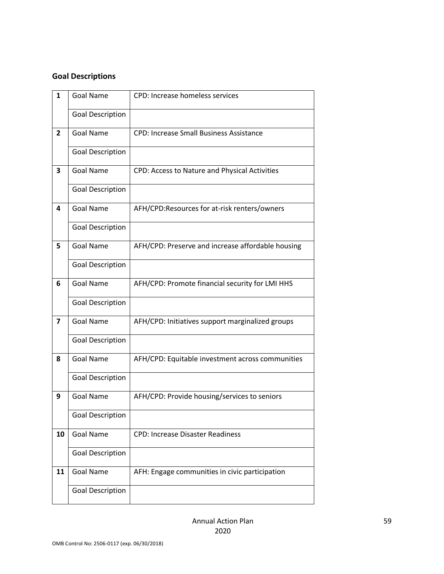#### **Goal Descriptions**

| $\mathbf{1}$   | <b>Goal Name</b>        | CPD: Increase homeless services                   |
|----------------|-------------------------|---------------------------------------------------|
|                | <b>Goal Description</b> |                                                   |
| $\overline{2}$ | <b>Goal Name</b>        | <b>CPD: Increase Small Business Assistance</b>    |
|                | <b>Goal Description</b> |                                                   |
| 3              | <b>Goal Name</b>        | CPD: Access to Nature and Physical Activities     |
|                | <b>Goal Description</b> |                                                   |
| 4              | <b>Goal Name</b>        | AFH/CPD:Resources for at-risk renters/owners      |
|                | <b>Goal Description</b> |                                                   |
| 5              | <b>Goal Name</b>        | AFH/CPD: Preserve and increase affordable housing |
|                | <b>Goal Description</b> |                                                   |
| 6              | <b>Goal Name</b>        | AFH/CPD: Promote financial security for LMI HHS   |
|                | <b>Goal Description</b> |                                                   |
| $\overline{ }$ | <b>Goal Name</b>        | AFH/CPD: Initiatives support marginalized groups  |
|                | <b>Goal Description</b> |                                                   |
| 8              | <b>Goal Name</b>        | AFH/CPD: Equitable investment across communities  |
|                | <b>Goal Description</b> |                                                   |
| 9              | <b>Goal Name</b>        | AFH/CPD: Provide housing/services to seniors      |
|                | <b>Goal Description</b> |                                                   |
| 10             | <b>Goal Name</b>        | <b>CPD: Increase Disaster Readiness</b>           |
|                | <b>Goal Description</b> |                                                   |
| 11             | <b>Goal Name</b>        | AFH: Engage communities in civic participation    |
|                | <b>Goal Description</b> |                                                   |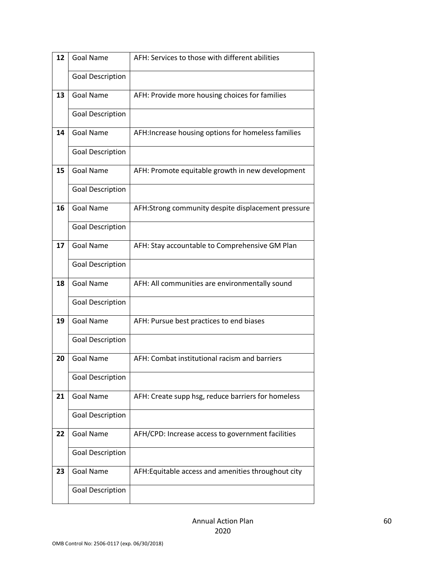| 12 | <b>Goal Name</b>        | AFH: Services to those with different abilities     |
|----|-------------------------|-----------------------------------------------------|
|    | <b>Goal Description</b> |                                                     |
| 13 | <b>Goal Name</b>        | AFH: Provide more housing choices for families      |
|    | <b>Goal Description</b> |                                                     |
| 14 | <b>Goal Name</b>        | AFH: Increase housing options for homeless families |
|    | <b>Goal Description</b> |                                                     |
| 15 | <b>Goal Name</b>        | AFH: Promote equitable growth in new development    |
|    | <b>Goal Description</b> |                                                     |
| 16 | <b>Goal Name</b>        | AFH:Strong community despite displacement pressure  |
|    | <b>Goal Description</b> |                                                     |
| 17 | <b>Goal Name</b>        | AFH: Stay accountable to Comprehensive GM Plan      |
|    | <b>Goal Description</b> |                                                     |
| 18 | <b>Goal Name</b>        | AFH: All communities are environmentally sound      |
|    | <b>Goal Description</b> |                                                     |
| 19 | <b>Goal Name</b>        | AFH: Pursue best practices to end biases            |
|    | <b>Goal Description</b> |                                                     |
| 20 | <b>Goal Name</b>        | AFH: Combat institutional racism and barriers       |
|    | <b>Goal Description</b> |                                                     |
| 21 | <b>Goal Name</b>        | AFH: Create supp hsg, reduce barriers for homeless  |
|    | <b>Goal Description</b> |                                                     |
| 22 | <b>Goal Name</b>        | AFH/CPD: Increase access to government facilities   |
|    | <b>Goal Description</b> |                                                     |
| 23 | <b>Goal Name</b>        | AFH: Equitable access and amenities throughout city |
|    | <b>Goal Description</b> |                                                     |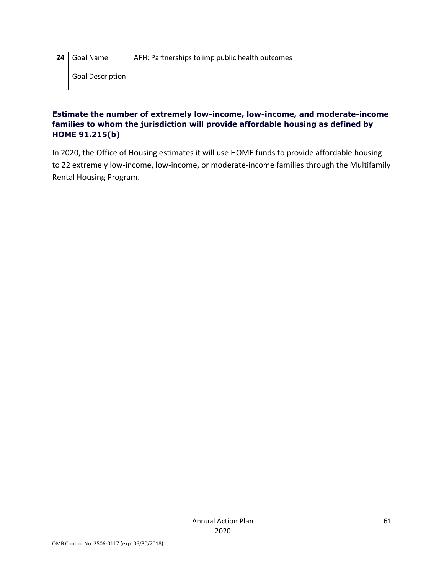| 24 | Goal Name               | AFH: Partnerships to imp public health outcomes |
|----|-------------------------|-------------------------------------------------|
|    | <b>Goal Description</b> |                                                 |

#### **Estimate the number of extremely low-income, low-income, and moderate-income families to whom the jurisdiction will provide affordable housing as defined by HOME 91.215(b)**

In 2020, the Office of Housing estimates it will use HOME funds to provide affordable housing to 22 extremely low-income, low-income, or moderate-income families through the Multifamily Rental Housing Program.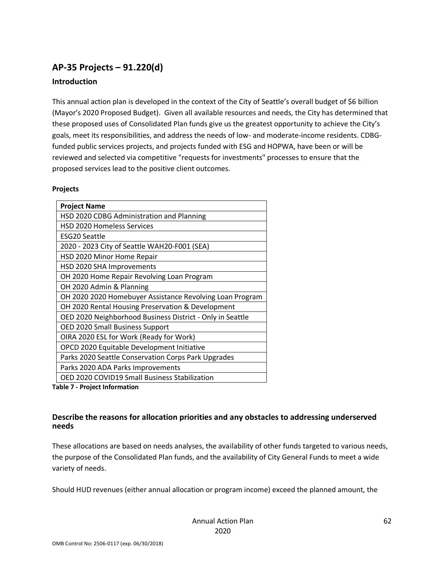# **AP-35 Projects – 91.220(d)**

#### **Introduction**

This annual action plan is developed in the context of the City of Seattle's overall budget of \$6 billion (Mayor's 2020 Proposed Budget). Given all available resources and needs, the City has determined that these proposed uses of Consolidated Plan funds give us the greatest opportunity to achieve the City's goals, meet its responsibilities, and address the needs of low- and moderate-income residents. CDBGfunded public services projects, and projects funded with ESG and HOPWA, have been or will be reviewed and selected via competitive "requests for investments" processes to ensure that the proposed services lead to the positive client outcomes.

#### **Projects**

| <b>Project Name</b>                                       |
|-----------------------------------------------------------|
| HSD 2020 CDBG Administration and Planning                 |
| <b>HSD 2020 Homeless Services</b>                         |
| <b>ESG20 Seattle</b>                                      |
| 2020 - 2023 City of Seattle WAH20-F001 (SEA)              |
| HSD 2020 Minor Home Repair                                |
| HSD 2020 SHA Improvements                                 |
| OH 2020 Home Repair Revolving Loan Program                |
| OH 2020 Admin & Planning                                  |
| OH 2020 2020 Homebuyer Assistance Revolving Loan Program  |
| OH 2020 Rental Housing Preservation & Development         |
| OED 2020 Neighborhood Business District - Only in Seattle |
| OED 2020 Small Business Support                           |
| OIRA 2020 ESL for Work (Ready for Work)                   |
| OPCD 2020 Equitable Development Initiative                |
| Parks 2020 Seattle Conservation Corps Park Upgrades       |
| Parks 2020 ADA Parks Improvements                         |
| OED 2020 COVID19 Small Business Stabilization             |

**Table 7 - Project Information**

#### **Describe the reasons for allocation priorities and any obstacles to addressing underserved needs**

These allocations are based on needs analyses, the availability of other funds targeted to various needs, the purpose of the Consolidated Plan funds, and the availability of City General Funds to meet a wide variety of needs.

Should HUD revenues (either annual allocation or program income) exceed the planned amount, the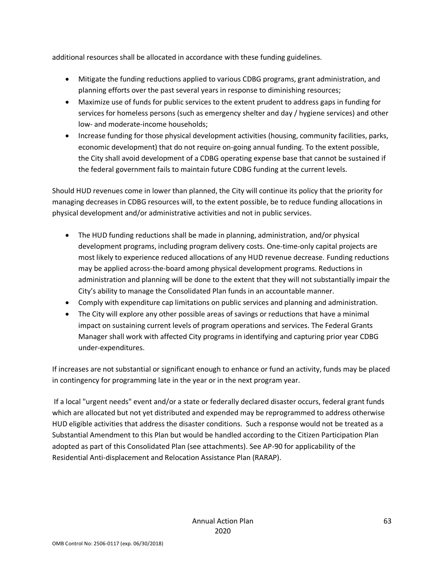additional resources shall be allocated in accordance with these funding guidelines.

- Mitigate the funding reductions applied to various CDBG programs, grant administration, and planning efforts over the past several years in response to diminishing resources;
- Maximize use of funds for public services to the extent prudent to address gaps in funding for services for homeless persons (such as emergency shelter and day / hygiene services) and other low- and moderate-income households;
- Increase funding for those physical development activities (housing, community facilities, parks, economic development) that do not require on-going annual funding. To the extent possible, the City shall avoid development of a CDBG operating expense base that cannot be sustained if the federal government fails to maintain future CDBG funding at the current levels.

Should HUD revenues come in lower than planned, the City will continue its policy that the priority for managing decreases in CDBG resources will, to the extent possible, be to reduce funding allocations in physical development and/or administrative activities and not in public services.

- The HUD funding reductions shall be made in planning, administration, and/or physical development programs, including program delivery costs. One-time-only capital projects are most likely to experience reduced allocations of any HUD revenue decrease. Funding reductions may be applied across-the-board among physical development programs. Reductions in administration and planning will be done to the extent that they will not substantially impair the City's ability to manage the Consolidated Plan funds in an accountable manner.
- Comply with expenditure cap limitations on public services and planning and administration.
- The City will explore any other possible areas of savings or reductions that have a minimal impact on sustaining current levels of program operations and services. The Federal Grants Manager shall work with affected City programs in identifying and capturing prior year CDBG under-expenditures.

If increases are not substantial or significant enough to enhance or fund an activity, funds may be placed in contingency for programming late in the year or in the next program year.

If a local "urgent needs" event and/or a state or federally declared disaster occurs, federal grant funds which are allocated but not yet distributed and expended may be reprogrammed to address otherwise HUD eligible activities that address the disaster conditions. Such a response would not be treated as a Substantial Amendment to this Plan but would be handled according to the Citizen Participation Plan adopted as part of this Consolidated Plan (see attachments). See AP-90 for applicability of the Residential Anti-displacement and Relocation Assistance Plan (RARAP).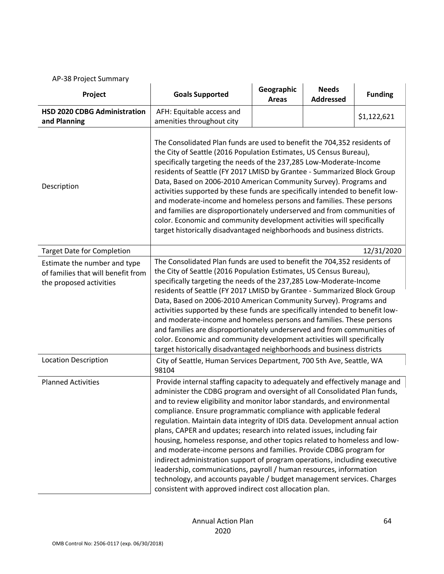AP-38 Project Summary

| Project                                                                                       | <b>Goals Supported</b>                                                                                                                                                                                                                                                                                                                                                                                                                                                                                                                                                                                                                                                                                                                                                                                                                                                                                          | Geographic<br><b>Areas</b> | <b>Needs</b><br><b>Addressed</b> | <b>Funding</b> |  |  |  |
|-----------------------------------------------------------------------------------------------|-----------------------------------------------------------------------------------------------------------------------------------------------------------------------------------------------------------------------------------------------------------------------------------------------------------------------------------------------------------------------------------------------------------------------------------------------------------------------------------------------------------------------------------------------------------------------------------------------------------------------------------------------------------------------------------------------------------------------------------------------------------------------------------------------------------------------------------------------------------------------------------------------------------------|----------------------------|----------------------------------|----------------|--|--|--|
| <b>HSD 2020 CDBG Administration</b><br>and Planning                                           | AFH: Equitable access and<br>amenities throughout city                                                                                                                                                                                                                                                                                                                                                                                                                                                                                                                                                                                                                                                                                                                                                                                                                                                          |                            |                                  | \$1,122,621    |  |  |  |
| Description                                                                                   | The Consolidated Plan funds are used to benefit the 704,352 residents of<br>the City of Seattle (2016 Population Estimates, US Census Bureau),<br>specifically targeting the needs of the 237,285 Low-Moderate-Income<br>residents of Seattle (FY 2017 LMISD by Grantee - Summarized Block Group<br>Data, Based on 2006-2010 American Community Survey). Programs and<br>activities supported by these funds are specifically intended to benefit low-<br>and moderate-income and homeless persons and families. These persons<br>and families are disproportionately underserved and from communities of<br>color. Economic and community development activities will specifically<br>target historically disadvantaged neighborhoods and business districts.                                                                                                                                                  |                            |                                  |                |  |  |  |
| <b>Target Date for Completion</b>                                                             |                                                                                                                                                                                                                                                                                                                                                                                                                                                                                                                                                                                                                                                                                                                                                                                                                                                                                                                 |                            |                                  | 12/31/2020     |  |  |  |
| Estimate the number and type<br>of families that will benefit from<br>the proposed activities | The Consolidated Plan funds are used to benefit the 704,352 residents of<br>the City of Seattle (2016 Population Estimates, US Census Bureau),<br>specifically targeting the needs of the 237,285 Low-Moderate-Income<br>residents of Seattle (FY 2017 LMISD by Grantee - Summarized Block Group<br>Data, Based on 2006-2010 American Community Survey). Programs and<br>activities supported by these funds are specifically intended to benefit low-<br>and moderate-income and homeless persons and families. These persons<br>and families are disproportionately underserved and from communities of<br>color. Economic and community development activities will specifically<br>target historically disadvantaged neighborhoods and business districts                                                                                                                                                   |                            |                                  |                |  |  |  |
| <b>Location Description</b>                                                                   | City of Seattle, Human Services Department, 700 5th Ave, Seattle, WA<br>98104                                                                                                                                                                                                                                                                                                                                                                                                                                                                                                                                                                                                                                                                                                                                                                                                                                   |                            |                                  |                |  |  |  |
| <b>Planned Activities</b>                                                                     | Provide internal staffing capacity to adequately and effectively manage and<br>administer the CDBG program and oversight of all Consolidated Plan funds,<br>and to review eligibility and monitor labor standards, and environmental<br>compliance. Ensure programmatic compliance with applicable federal<br>regulation. Maintain data integrity of IDIS data. Development annual action<br>plans, CAPER and updates; research into related issues, including fair<br>housing, homeless response, and other topics related to homeless and low-<br>and moderate-income persons and families. Provide CDBG program for<br>indirect administration support of program operations, including executive<br>leadership, communications, payroll / human resources, information<br>technology, and accounts payable / budget management services. Charges<br>consistent with approved indirect cost allocation plan. |                            |                                  |                |  |  |  |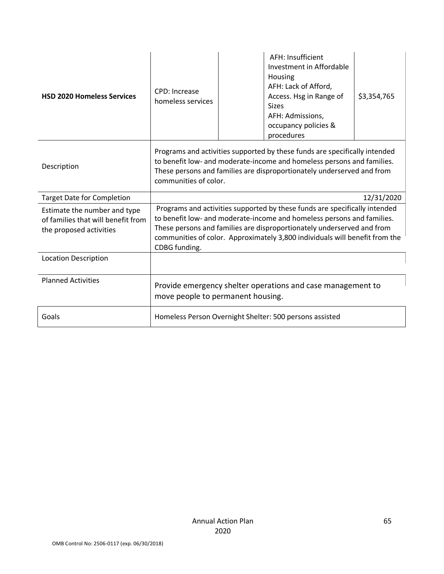| <b>HSD 2020 Homeless Services</b>                                                             | <b>CPD: Increase</b><br>homeless services                                                                                                                                                                                                                                                                                      |  | AFH: Insufficient<br>Investment in Affordable<br>Housing<br>AFH: Lack of Afford,<br>Access. Hsg in Range of<br><b>Sizes</b><br>AFH: Admissions,<br>occupancy policies &<br>procedures | \$3,354,765 |
|-----------------------------------------------------------------------------------------------|--------------------------------------------------------------------------------------------------------------------------------------------------------------------------------------------------------------------------------------------------------------------------------------------------------------------------------|--|---------------------------------------------------------------------------------------------------------------------------------------------------------------------------------------|-------------|
| Description                                                                                   | Programs and activities supported by these funds are specifically intended<br>to benefit low- and moderate-income and homeless persons and families.<br>These persons and families are disproportionately underserved and from<br>communities of color.                                                                        |  |                                                                                                                                                                                       |             |
| <b>Target Date for Completion</b>                                                             | 12/31/2020                                                                                                                                                                                                                                                                                                                     |  |                                                                                                                                                                                       |             |
| Estimate the number and type<br>of families that will benefit from<br>the proposed activities | Programs and activities supported by these funds are specifically intended<br>to benefit low- and moderate-income and homeless persons and families.<br>These persons and families are disproportionately underserved and from<br>communities of color. Approximately 3,800 individuals will benefit from the<br>CDBG funding. |  |                                                                                                                                                                                       |             |
| <b>Location Description</b>                                                                   |                                                                                                                                                                                                                                                                                                                                |  |                                                                                                                                                                                       |             |
| <b>Planned Activities</b>                                                                     | Provide emergency shelter operations and case management to<br>move people to permanent housing.                                                                                                                                                                                                                               |  |                                                                                                                                                                                       |             |
| Goals                                                                                         |                                                                                                                                                                                                                                                                                                                                |  | Homeless Person Overnight Shelter: 500 persons assisted                                                                                                                               |             |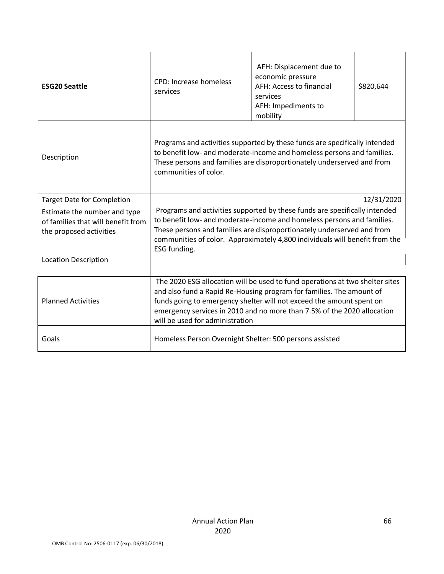| <b>ESG20 Seattle</b>                                                                          | <b>CPD: Increase homeless</b><br>services                                                                                                                                                                                                                                                                                                  | AFH: Displacement due to<br>economic pressure<br>AFH: Access to financial<br>services<br>AFH: Impediments to<br>mobility | \$820,644  |
|-----------------------------------------------------------------------------------------------|--------------------------------------------------------------------------------------------------------------------------------------------------------------------------------------------------------------------------------------------------------------------------------------------------------------------------------------------|--------------------------------------------------------------------------------------------------------------------------|------------|
| Description                                                                                   | Programs and activities supported by these funds are specifically intended<br>to benefit low- and moderate-income and homeless persons and families.<br>These persons and families are disproportionately underserved and from<br>communities of color.                                                                                    |                                                                                                                          |            |
| <b>Target Date for Completion</b>                                                             |                                                                                                                                                                                                                                                                                                                                            |                                                                                                                          | 12/31/2020 |
| Estimate the number and type<br>of families that will benefit from<br>the proposed activities | Programs and activities supported by these funds are specifically intended<br>to benefit low- and moderate-income and homeless persons and families.<br>These persons and families are disproportionately underserved and from<br>communities of color. Approximately 4,800 individuals will benefit from the<br>ESG funding.              |                                                                                                                          |            |
| <b>Location Description</b>                                                                   |                                                                                                                                                                                                                                                                                                                                            |                                                                                                                          |            |
| <b>Planned Activities</b>                                                                     | The 2020 ESG allocation will be used to fund operations at two shelter sites<br>and also fund a Rapid Re-Housing program for families. The amount of<br>funds going to emergency shelter will not exceed the amount spent on<br>emergency services in 2010 and no more than 7.5% of the 2020 allocation<br>will be used for administration |                                                                                                                          |            |
| Goals                                                                                         | Homeless Person Overnight Shelter: 500 persons assisted                                                                                                                                                                                                                                                                                    |                                                                                                                          |            |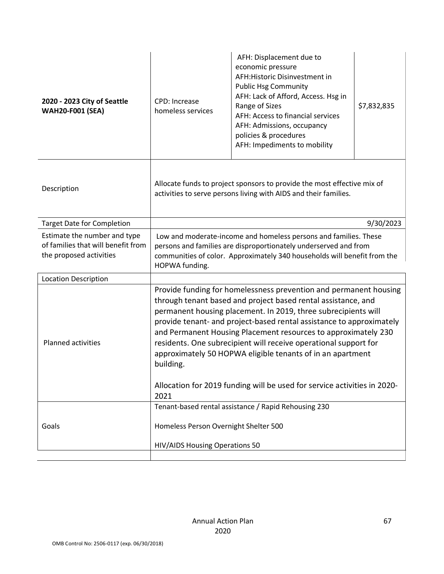| 2020 - 2023 City of Seattle<br><b>WAH20-F001 (SEA)</b>                                        | CPD: Increase<br>homeless services                                                                                                                                                                                                                                                                                                                                                                                                                                                                                                                                                | AFH: Displacement due to<br>economic pressure<br>AFH: Historic Disinvestment in<br><b>Public Hsg Community</b><br>AFH: Lack of Afford, Access. Hsg in<br>Range of Sizes<br>AFH: Access to financial services<br>AFH: Admissions, occupancy<br>policies & procedures<br>AFH: Impediments to mobility | \$7,832,835 |
|-----------------------------------------------------------------------------------------------|-----------------------------------------------------------------------------------------------------------------------------------------------------------------------------------------------------------------------------------------------------------------------------------------------------------------------------------------------------------------------------------------------------------------------------------------------------------------------------------------------------------------------------------------------------------------------------------|-----------------------------------------------------------------------------------------------------------------------------------------------------------------------------------------------------------------------------------------------------------------------------------------------------|-------------|
| Description                                                                                   | Allocate funds to project sponsors to provide the most effective mix of<br>activities to serve persons living with AIDS and their families.                                                                                                                                                                                                                                                                                                                                                                                                                                       |                                                                                                                                                                                                                                                                                                     |             |
| <b>Target Date for Completion</b>                                                             |                                                                                                                                                                                                                                                                                                                                                                                                                                                                                                                                                                                   |                                                                                                                                                                                                                                                                                                     | 9/30/2023   |
| Estimate the number and type<br>of families that will benefit from<br>the proposed activities | Low and moderate-income and homeless persons and families. These<br>persons and families are disproportionately underserved and from<br>communities of color. Approximately 340 households will benefit from the<br>HOPWA funding.                                                                                                                                                                                                                                                                                                                                                |                                                                                                                                                                                                                                                                                                     |             |
| <b>Location Description</b>                                                                   |                                                                                                                                                                                                                                                                                                                                                                                                                                                                                                                                                                                   |                                                                                                                                                                                                                                                                                                     |             |
| <b>Planned activities</b>                                                                     | Provide funding for homelessness prevention and permanent housing<br>through tenant based and project based rental assistance, and<br>permanent housing placement. In 2019, three subrecipients will<br>provide tenant- and project-based rental assistance to approximately<br>and Permanent Housing Placement resources to approximately 230<br>residents. One subrecipient will receive operational support for<br>approximately 50 HOPWA eligible tenants of in an apartment<br>building.<br>Allocation for 2019 funding will be used for service activities in 2020-<br>2021 |                                                                                                                                                                                                                                                                                                     |             |
|                                                                                               |                                                                                                                                                                                                                                                                                                                                                                                                                                                                                                                                                                                   | Tenant-based rental assistance / Rapid Rehousing 230                                                                                                                                                                                                                                                |             |
| Goals                                                                                         | Homeless Person Overnight Shelter 500<br>HIV/AIDS Housing Operations 50                                                                                                                                                                                                                                                                                                                                                                                                                                                                                                           |                                                                                                                                                                                                                                                                                                     |             |
|                                                                                               |                                                                                                                                                                                                                                                                                                                                                                                                                                                                                                                                                                                   |                                                                                                                                                                                                                                                                                                     |             |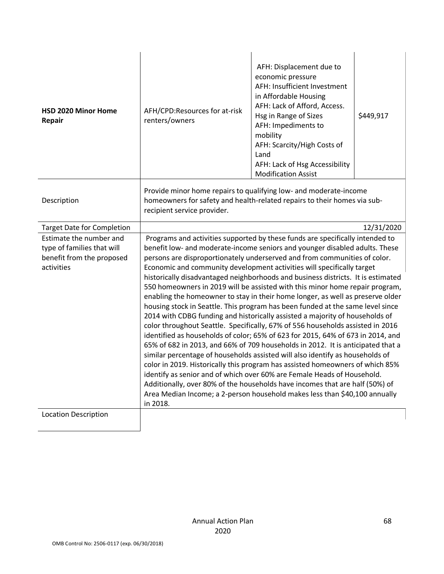| HSD 2020 Minor Home<br>Repair     | AFH/CPD:Resources for at-risk<br>renters/owners                                                                                                                              | AFH: Displacement due to<br>economic pressure<br>AFH: Insufficient Investment<br>in Affordable Housing<br>AFH: Lack of Afford, Access.<br>Hsg in Range of Sizes<br>AFH: Impediments to<br>mobility<br>AFH: Scarcity/High Costs of<br>Land<br>AFH: Lack of Hsg Accessibility<br><b>Modification Assist</b> | \$449,917  |  |
|-----------------------------------|------------------------------------------------------------------------------------------------------------------------------------------------------------------------------|-----------------------------------------------------------------------------------------------------------------------------------------------------------------------------------------------------------------------------------------------------------------------------------------------------------|------------|--|
| Description                       | Provide minor home repairs to qualifying low- and moderate-income<br>homeowners for safety and health-related repairs to their homes via sub-<br>recipient service provider. |                                                                                                                                                                                                                                                                                                           |            |  |
| <b>Target Date for Completion</b> |                                                                                                                                                                              |                                                                                                                                                                                                                                                                                                           | 12/31/2020 |  |
| Estimate the number and           | Programs and activities supported by these funds are specifically intended to                                                                                                |                                                                                                                                                                                                                                                                                                           |            |  |
| type of families that will        | benefit low- and moderate-income seniors and younger disabled adults. These                                                                                                  |                                                                                                                                                                                                                                                                                                           |            |  |
| benefit from the proposed         | persons are disproportionately underserved and from communities of color.                                                                                                    |                                                                                                                                                                                                                                                                                                           |            |  |
| activities                        | Economic and community development activities will specifically target<br>historically disadvantaged neighborhoods and business districts. It is estimated                   |                                                                                                                                                                                                                                                                                                           |            |  |
|                                   |                                                                                                                                                                              |                                                                                                                                                                                                                                                                                                           |            |  |
|                                   | 550 homeowners in 2019 will be assisted with this minor home repair program,<br>enabling the homeowner to stay in their home longer, as well as preserve older               |                                                                                                                                                                                                                                                                                                           |            |  |
|                                   | housing stock in Seattle. This program has been funded at the same level since                                                                                               |                                                                                                                                                                                                                                                                                                           |            |  |
|                                   | 2014 with CDBG funding and historically assisted a majority of households of                                                                                                 |                                                                                                                                                                                                                                                                                                           |            |  |
|                                   | color throughout Seattle. Specifically, 67% of 556 households assisted in 2016                                                                                               |                                                                                                                                                                                                                                                                                                           |            |  |
|                                   | identified as households of color; 65% of 623 for 2015, 64% of 673 in 2014, and                                                                                              |                                                                                                                                                                                                                                                                                                           |            |  |
|                                   | 65% of 682 in 2013, and 66% of 709 households in 2012. It is anticipated that a                                                                                              |                                                                                                                                                                                                                                                                                                           |            |  |
|                                   | similar percentage of households assisted will also identify as households of                                                                                                |                                                                                                                                                                                                                                                                                                           |            |  |
|                                   | color in 2019. Historically this program has assisted homeowners of which 85%                                                                                                |                                                                                                                                                                                                                                                                                                           |            |  |
|                                   | identify as senior and of which over 60% are Female Heads of Household.                                                                                                      |                                                                                                                                                                                                                                                                                                           |            |  |
|                                   | Additionally, over 80% of the households have incomes that are half (50%) of                                                                                                 |                                                                                                                                                                                                                                                                                                           |            |  |
|                                   | Area Median Income; a 2-person household makes less than \$40,100 annually<br>in 2018.                                                                                       |                                                                                                                                                                                                                                                                                                           |            |  |
| <b>Location Description</b>       |                                                                                                                                                                              |                                                                                                                                                                                                                                                                                                           |            |  |
|                                   |                                                                                                                                                                              |                                                                                                                                                                                                                                                                                                           |            |  |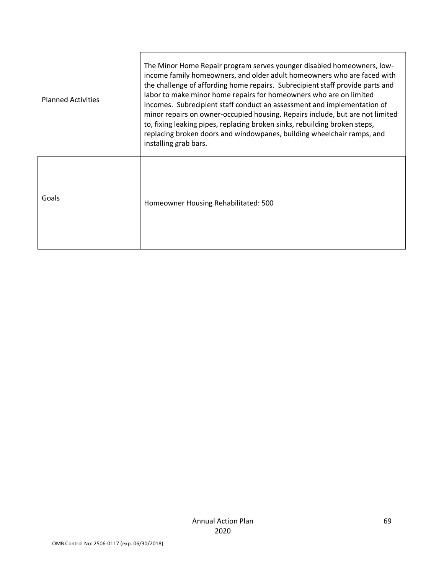| <b>Planned Activities</b> | The Minor Home Repair program serves younger disabled homeowners, low-<br>income family homeowners, and older adult homeowners who are faced with<br>the challenge of affording home repairs. Subrecipient staff provide parts and<br>labor to make minor home repairs for homeowners who are on limited<br>incomes. Subrecipient staff conduct an assessment and implementation of<br>minor repairs on owner-occupied housing. Repairs include, but are not limited<br>to, fixing leaking pipes, replacing broken sinks, rebuilding broken steps,<br>replacing broken doors and windowpanes, building wheelchair ramps, and<br>installing grab bars. |
|---------------------------|-------------------------------------------------------------------------------------------------------------------------------------------------------------------------------------------------------------------------------------------------------------------------------------------------------------------------------------------------------------------------------------------------------------------------------------------------------------------------------------------------------------------------------------------------------------------------------------------------------------------------------------------------------|
| Goals                     | Homeowner Housing Rehabilitated: 500                                                                                                                                                                                                                                                                                                                                                                                                                                                                                                                                                                                                                  |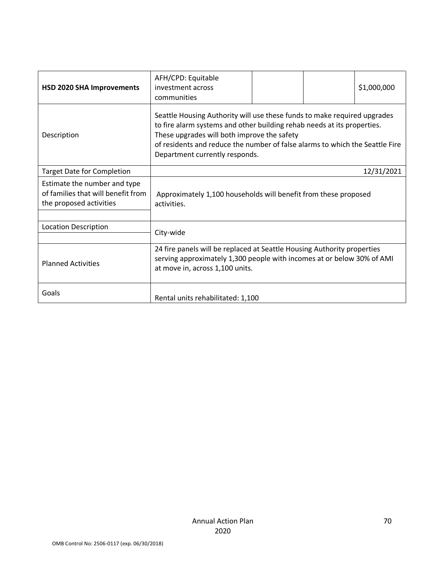| HSD 2020 SHA Improvements                                                                     | AFH/CPD: Equitable<br>investment across<br>communities                                                                                                                                                                                                                                                               |  |  | \$1,000,000 |
|-----------------------------------------------------------------------------------------------|----------------------------------------------------------------------------------------------------------------------------------------------------------------------------------------------------------------------------------------------------------------------------------------------------------------------|--|--|-------------|
| Description                                                                                   | Seattle Housing Authority will use these funds to make required upgrades<br>to fire alarm systems and other building rehab needs at its properties.<br>These upgrades will both improve the safety<br>of residents and reduce the number of false alarms to which the Seattle Fire<br>Department currently responds. |  |  |             |
| <b>Target Date for Completion</b>                                                             |                                                                                                                                                                                                                                                                                                                      |  |  | 12/31/2021  |
| Estimate the number and type<br>of families that will benefit from<br>the proposed activities | Approximately 1,100 households will benefit from these proposed<br>activities.                                                                                                                                                                                                                                       |  |  |             |
| <b>Location Description</b>                                                                   | City-wide                                                                                                                                                                                                                                                                                                            |  |  |             |
| <b>Planned Activities</b>                                                                     | 24 fire panels will be replaced at Seattle Housing Authority properties<br>serving approximately 1,300 people with incomes at or below 30% of AMI<br>at move in, across 1,100 units.                                                                                                                                 |  |  |             |
| Goals                                                                                         | Rental units rehabilitated: 1,100                                                                                                                                                                                                                                                                                    |  |  |             |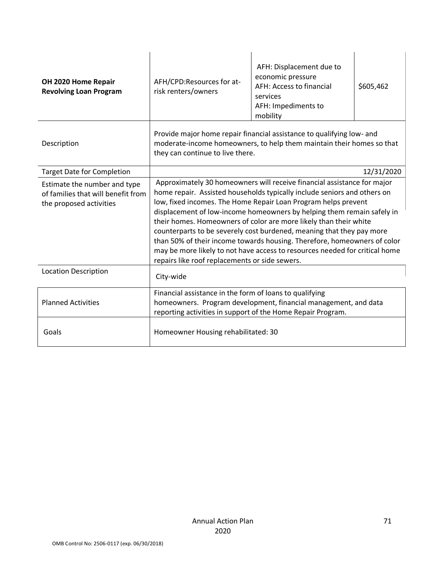| OH 2020 Home Repair<br><b>Revolving Loan Program</b>                                          | AFH/CPD:Resources for at-<br>risk renters/owners                                                                                                                                                                                                                                                                                                                                                                                                                                                                                                                                                                                                           | AFH: Displacement due to<br>economic pressure<br>AFH: Access to financial<br>services<br>AFH: Impediments to<br>mobility | \$605,462  |  |
|-----------------------------------------------------------------------------------------------|------------------------------------------------------------------------------------------------------------------------------------------------------------------------------------------------------------------------------------------------------------------------------------------------------------------------------------------------------------------------------------------------------------------------------------------------------------------------------------------------------------------------------------------------------------------------------------------------------------------------------------------------------------|--------------------------------------------------------------------------------------------------------------------------|------------|--|
| Description                                                                                   | Provide major home repair financial assistance to qualifying low- and<br>moderate-income homeowners, to help them maintain their homes so that<br>they can continue to live there.                                                                                                                                                                                                                                                                                                                                                                                                                                                                         |                                                                                                                          |            |  |
| <b>Target Date for Completion</b>                                                             |                                                                                                                                                                                                                                                                                                                                                                                                                                                                                                                                                                                                                                                            |                                                                                                                          | 12/31/2020 |  |
| Estimate the number and type<br>of families that will benefit from<br>the proposed activities | Approximately 30 homeowners will receive financial assistance for major<br>home repair. Assisted households typically include seniors and others on<br>low, fixed incomes. The Home Repair Loan Program helps prevent<br>displacement of low-income homeowners by helping them remain safely in<br>their homes. Homeowners of color are more likely than their white<br>counterparts to be severely cost burdened, meaning that they pay more<br>than 50% of their income towards housing. Therefore, homeowners of color<br>may be more likely to not have access to resources needed for critical home<br>repairs like roof replacements or side sewers. |                                                                                                                          |            |  |
| <b>Location Description</b>                                                                   | City-wide                                                                                                                                                                                                                                                                                                                                                                                                                                                                                                                                                                                                                                                  |                                                                                                                          |            |  |
| <b>Planned Activities</b>                                                                     | Financial assistance in the form of loans to qualifying<br>homeowners. Program development, financial management, and data<br>reporting activities in support of the Home Repair Program.                                                                                                                                                                                                                                                                                                                                                                                                                                                                  |                                                                                                                          |            |  |
| Goals                                                                                         | Homeowner Housing rehabilitated: 30                                                                                                                                                                                                                                                                                                                                                                                                                                                                                                                                                                                                                        |                                                                                                                          |            |  |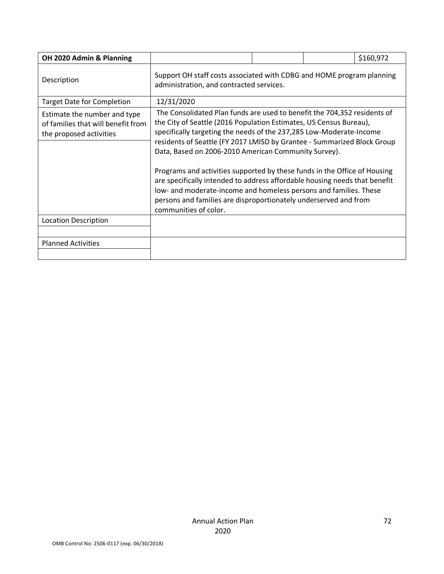| OH 2020 Admin & Planning                                                                      |                                                                                                                                                                                                                                                                                                                                                                                                                                                                                                                                                                                                                                                                                       |  |  | \$160,972 |
|-----------------------------------------------------------------------------------------------|---------------------------------------------------------------------------------------------------------------------------------------------------------------------------------------------------------------------------------------------------------------------------------------------------------------------------------------------------------------------------------------------------------------------------------------------------------------------------------------------------------------------------------------------------------------------------------------------------------------------------------------------------------------------------------------|--|--|-----------|
| Description                                                                                   | Support OH staff costs associated with CDBG and HOME program planning<br>administration, and contracted services.                                                                                                                                                                                                                                                                                                                                                                                                                                                                                                                                                                     |  |  |           |
| <b>Target Date for Completion</b>                                                             | 12/31/2020                                                                                                                                                                                                                                                                                                                                                                                                                                                                                                                                                                                                                                                                            |  |  |           |
| Estimate the number and type<br>of families that will benefit from<br>the proposed activities | The Consolidated Plan funds are used to benefit the 704,352 residents of<br>the City of Seattle (2016 Population Estimates, US Census Bureau),<br>specifically targeting the needs of the 237,285 Low-Moderate-Income<br>residents of Seattle (FY 2017 LMISD by Grantee - Summarized Block Group<br>Data, Based on 2006-2010 American Community Survey).<br>Programs and activities supported by these funds in the Office of Housing<br>are specifically intended to address affordable housing needs that benefit<br>low- and moderate-income and homeless persons and families. These<br>persons and families are disproportionately underserved and from<br>communities of color. |  |  |           |
| <b>Location Description</b>                                                                   |                                                                                                                                                                                                                                                                                                                                                                                                                                                                                                                                                                                                                                                                                       |  |  |           |
| <b>Planned Activities</b>                                                                     |                                                                                                                                                                                                                                                                                                                                                                                                                                                                                                                                                                                                                                                                                       |  |  |           |
|                                                                                               |                                                                                                                                                                                                                                                                                                                                                                                                                                                                                                                                                                                                                                                                                       |  |  |           |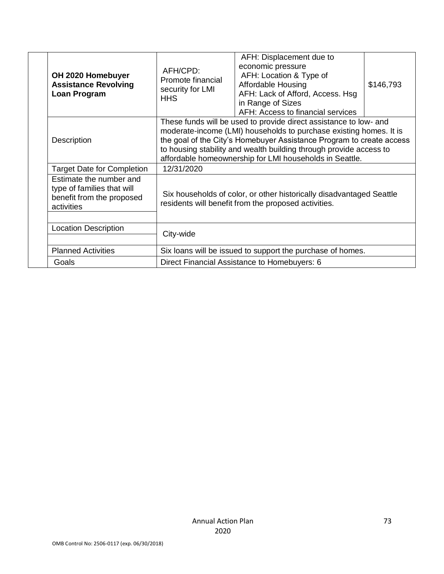| OH 2020 Homebuyer<br><b>Assistance Revolving</b><br>Loan Program                                 | AFH/CPD:<br>Promote financial<br>security for LMI<br><b>HHS</b>                                                                                                                                                                                                                                                                                  | AFH: Displacement due to<br>economic pressure<br>AFH: Location & Type of<br><b>Affordable Housing</b><br>AFH: Lack of Afford, Access. Hsg<br>in Range of Sizes<br>AFH: Access to financial services | \$146,793 |
|--------------------------------------------------------------------------------------------------|--------------------------------------------------------------------------------------------------------------------------------------------------------------------------------------------------------------------------------------------------------------------------------------------------------------------------------------------------|-----------------------------------------------------------------------------------------------------------------------------------------------------------------------------------------------------|-----------|
| <b>Description</b>                                                                               | These funds will be used to provide direct assistance to low- and<br>moderate-income (LMI) households to purchase existing homes. It is<br>the goal of the City's Homebuyer Assistance Program to create access<br>to housing stability and wealth building through provide access to<br>affordable homeownership for LMI households in Seattle. |                                                                                                                                                                                                     |           |
| <b>Target Date for Completion</b>                                                                | 12/31/2020                                                                                                                                                                                                                                                                                                                                       |                                                                                                                                                                                                     |           |
| Estimate the number and<br>type of families that will<br>benefit from the proposed<br>activities | Six households of color, or other historically disadvantaged Seattle<br>residents will benefit from the proposed activities.                                                                                                                                                                                                                     |                                                                                                                                                                                                     |           |
| <b>Location Description</b>                                                                      | City-wide                                                                                                                                                                                                                                                                                                                                        |                                                                                                                                                                                                     |           |
| <b>Planned Activities</b>                                                                        |                                                                                                                                                                                                                                                                                                                                                  | Six loans will be issued to support the purchase of homes.                                                                                                                                          |           |
| Goals                                                                                            | Direct Financial Assistance to Homebuyers: 6                                                                                                                                                                                                                                                                                                     |                                                                                                                                                                                                     |           |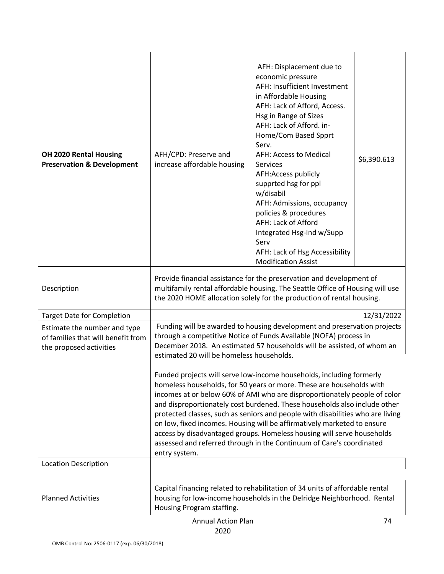| OH 2020 Rental Housing<br><b>Preservation &amp; Development</b>                               | AFH/CPD: Preserve and<br>increase affordable housing                                                                                                                                                                                                                                                                                                                                                                                                                                                                                                                                                                                   | AFH: Displacement due to<br>economic pressure<br>AFH: Insufficient Investment<br>in Affordable Housing<br>AFH: Lack of Afford, Access.<br>Hsg in Range of Sizes<br>AFH: Lack of Afford. in-<br>Home/Com Based Spprt<br>Serv.<br>AFH: Access to Medical<br><b>Services</b><br>AFH:Access publicly<br>supprted hsg for ppl<br>w/disabil<br>AFH: Admissions, occupancy<br>policies & procedures<br>AFH: Lack of Afford<br>Integrated Hsg-Ind w/Supp<br>Serv<br>AFH: Lack of Hsg Accessibility<br><b>Modification Assist</b> | \$6,390.613 |
|-----------------------------------------------------------------------------------------------|----------------------------------------------------------------------------------------------------------------------------------------------------------------------------------------------------------------------------------------------------------------------------------------------------------------------------------------------------------------------------------------------------------------------------------------------------------------------------------------------------------------------------------------------------------------------------------------------------------------------------------------|--------------------------------------------------------------------------------------------------------------------------------------------------------------------------------------------------------------------------------------------------------------------------------------------------------------------------------------------------------------------------------------------------------------------------------------------------------------------------------------------------------------------------|-------------|
| Description                                                                                   |                                                                                                                                                                                                                                                                                                                                                                                                                                                                                                                                                                                                                                        | Provide financial assistance for the preservation and development of<br>multifamily rental affordable housing. The Seattle Office of Housing will use<br>the 2020 HOME allocation solely for the production of rental housing.                                                                                                                                                                                                                                                                                           |             |
| <b>Target Date for Completion</b>                                                             |                                                                                                                                                                                                                                                                                                                                                                                                                                                                                                                                                                                                                                        |                                                                                                                                                                                                                                                                                                                                                                                                                                                                                                                          | 12/31/2022  |
| Estimate the number and type<br>of families that will benefit from<br>the proposed activities | estimated 20 will be homeless households.                                                                                                                                                                                                                                                                                                                                                                                                                                                                                                                                                                                              | Funding will be awarded to housing development and preservation projects<br>through a competitive Notice of Funds Available (NOFA) process in<br>December 2018. An estimated 57 households will be assisted, of whom an                                                                                                                                                                                                                                                                                                  |             |
|                                                                                               | Funded projects will serve low-income households, including formerly<br>homeless households, for 50 years or more. These are households with<br>incomes at or below 60% of AMI who are disproportionately people of color<br>and disproportionately cost burdened. These households also include other<br>protected classes, such as seniors and people with disabilities who are living<br>on low, fixed incomes. Housing will be affirmatively marketed to ensure<br>access by disadvantaged groups. Homeless housing will serve households<br>assessed and referred through in the Continuum of Care's coordinated<br>entry system. |                                                                                                                                                                                                                                                                                                                                                                                                                                                                                                                          |             |
| <b>Location Description</b>                                                                   |                                                                                                                                                                                                                                                                                                                                                                                                                                                                                                                                                                                                                                        |                                                                                                                                                                                                                                                                                                                                                                                                                                                                                                                          |             |
| <b>Planned Activities</b>                                                                     | Housing Program staffing.                                                                                                                                                                                                                                                                                                                                                                                                                                                                                                                                                                                                              | Capital financing related to rehabilitation of 34 units of affordable rental<br>housing for low-income households in the Delridge Neighborhood. Rental                                                                                                                                                                                                                                                                                                                                                                   |             |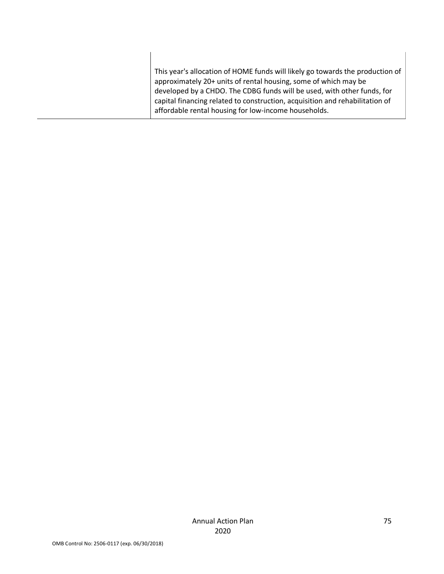| This year's allocation of HOME funds will likely go towards the production of<br>approximately 20+ units of rental housing, some of which may be<br>developed by a CHDO. The CDBG funds will be used, with other funds, for<br>capital financing related to construction, acquisition and rehabilitation of<br>affordable rental housing for low-income households. |
|---------------------------------------------------------------------------------------------------------------------------------------------------------------------------------------------------------------------------------------------------------------------------------------------------------------------------------------------------------------------|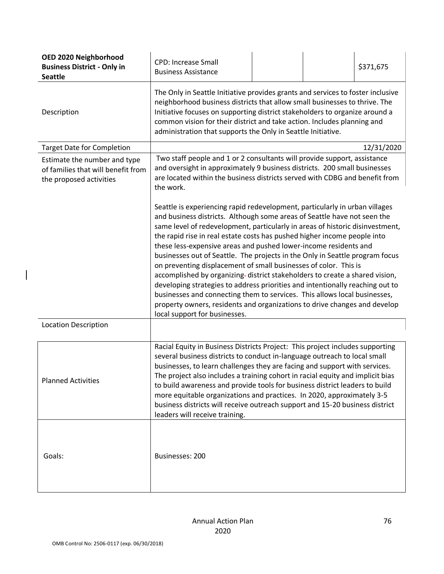| OED 2020 Neighborhood<br><b>Business District - Only in</b><br><b>Seattle</b>                 | <b>CPD: Increase Small</b><br><b>Business Assistance</b>                                                                                                                                                                                                                                                                                                                                                                                                                                                                                                                                                                                                                                                                                                                                                                                                                                                |  | \$371,675  |
|-----------------------------------------------------------------------------------------------|---------------------------------------------------------------------------------------------------------------------------------------------------------------------------------------------------------------------------------------------------------------------------------------------------------------------------------------------------------------------------------------------------------------------------------------------------------------------------------------------------------------------------------------------------------------------------------------------------------------------------------------------------------------------------------------------------------------------------------------------------------------------------------------------------------------------------------------------------------------------------------------------------------|--|------------|
| Description                                                                                   | The Only in Seattle Initiative provides grants and services to foster inclusive<br>neighborhood business districts that allow small businesses to thrive. The<br>Initiative focuses on supporting district stakeholders to organize around a<br>common vision for their district and take action. Includes planning and<br>administration that supports the Only in Seattle Initiative.                                                                                                                                                                                                                                                                                                                                                                                                                                                                                                                 |  |            |
| <b>Target Date for Completion</b>                                                             |                                                                                                                                                                                                                                                                                                                                                                                                                                                                                                                                                                                                                                                                                                                                                                                                                                                                                                         |  | 12/31/2020 |
| Estimate the number and type<br>of families that will benefit from<br>the proposed activities | Two staff people and 1 or 2 consultants will provide support, assistance<br>and oversight in approximately 9 business districts. 200 small businesses<br>are located within the business districts served with CDBG and benefit from<br>the work.                                                                                                                                                                                                                                                                                                                                                                                                                                                                                                                                                                                                                                                       |  |            |
|                                                                                               | Seattle is experiencing rapid redevelopment, particularly in urban villages<br>and business districts. Although some areas of Seattle have not seen the<br>same level of redevelopment, particularly in areas of historic disinvestment,<br>the rapid rise in real estate costs has pushed higher income people into<br>these less-expensive areas and pushed lower-income residents and<br>businesses out of Seattle. The projects in the Only in Seattle program focus<br>on preventing displacement of small businesses of color. This is<br>accomplished by organizing-district stakeholders to create a shared vision,<br>developing strategies to address priorities and intentionally reaching out to<br>businesses and connecting them to services. This allows local businesses,<br>property owners, residents and organizations to drive changes and develop<br>local support for businesses. |  |            |
| <b>Location Description</b>                                                                   |                                                                                                                                                                                                                                                                                                                                                                                                                                                                                                                                                                                                                                                                                                                                                                                                                                                                                                         |  |            |
| <b>Planned Activities</b>                                                                     | Racial Equity in Business Districts Project: This project includes supporting<br>several business districts to conduct in-language outreach to local small<br>businesses, to learn challenges they are facing and support with services.<br>The project also includes a training cohort in racial equity and implicit bias<br>to build awareness and provide tools for business district leaders to build<br>more equitable organizations and practices. In 2020, approximately 3-5<br>business districts will receive outreach support and 15-20 business district<br>leaders will receive training.                                                                                                                                                                                                                                                                                                   |  |            |
| Goals:                                                                                        | Businesses: 200                                                                                                                                                                                                                                                                                                                                                                                                                                                                                                                                                                                                                                                                                                                                                                                                                                                                                         |  |            |

 $\overline{\phantom{a}}$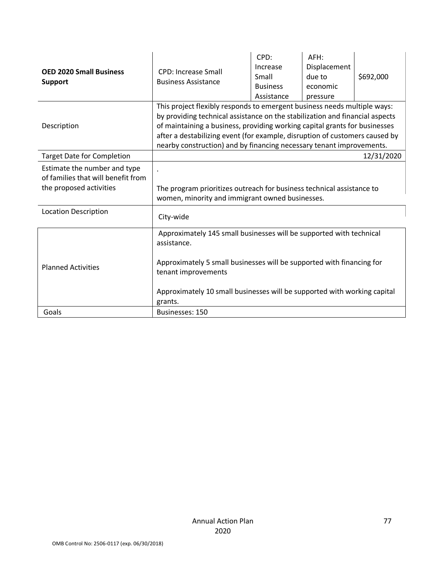| <b>OED 2020 Small Business</b><br><b>Support</b>                                              | <b>CPD: Increase Small</b><br><b>Business Assistance</b>                                                                                                                                                                                                                                                                                                                                      | CPD:<br>Increase<br>Small<br><b>Business</b><br>Assistance | AFH:<br>Displacement<br>due to<br>economic<br>pressure | \$692,000  |
|-----------------------------------------------------------------------------------------------|-----------------------------------------------------------------------------------------------------------------------------------------------------------------------------------------------------------------------------------------------------------------------------------------------------------------------------------------------------------------------------------------------|------------------------------------------------------------|--------------------------------------------------------|------------|
| Description                                                                                   | This project flexibly responds to emergent business needs multiple ways:<br>by providing technical assistance on the stabilization and financial aspects<br>of maintaining a business, providing working capital grants for businesses<br>after a destabilizing event (for example, disruption of customers caused by<br>nearby construction) and by financing necessary tenant improvements. |                                                            |                                                        |            |
| <b>Target Date for Completion</b>                                                             |                                                                                                                                                                                                                                                                                                                                                                                               |                                                            |                                                        | 12/31/2020 |
| Estimate the number and type<br>of families that will benefit from<br>the proposed activities | The program prioritizes outreach for business technical assistance to<br>women, minority and immigrant owned businesses.                                                                                                                                                                                                                                                                      |                                                            |                                                        |            |
| <b>Location Description</b>                                                                   | City-wide                                                                                                                                                                                                                                                                                                                                                                                     |                                                            |                                                        |            |
| <b>Planned Activities</b>                                                                     | Approximately 145 small businesses will be supported with technical<br>assistance.<br>Approximately 5 small businesses will be supported with financing for<br>tenant improvements<br>Approximately 10 small businesses will be supported with working capital<br>grants.                                                                                                                     |                                                            |                                                        |            |
| Goals                                                                                         | Businesses: 150                                                                                                                                                                                                                                                                                                                                                                               |                                                            |                                                        |            |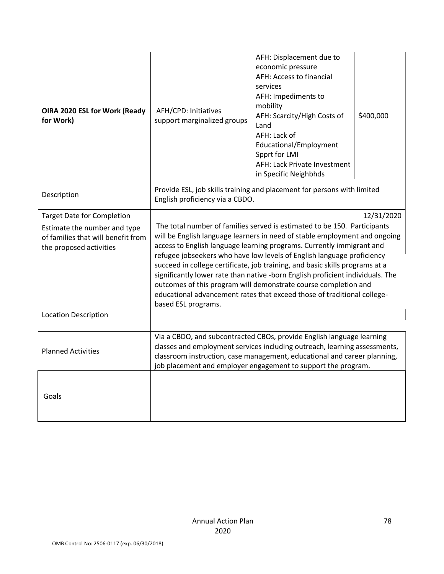| OIRA 2020 ESL for Work (Ready<br>for Work)                                                    | AFH/CPD: Initiatives<br>support marginalized groups                                                                                                                                                                                                                                                                                                                                                                                                                                                                                                                                                                                              | AFH: Displacement due to<br>economic pressure<br>AFH: Access to financial<br>services<br>AFH: Impediments to<br>mobility<br>AFH: Scarcity/High Costs of<br>Land<br>AFH: Lack of<br>Educational/Employment<br>Spprt for LMI<br>AFH: Lack Private Investment<br>in Specific Neighbhds | \$400,000  |
|-----------------------------------------------------------------------------------------------|--------------------------------------------------------------------------------------------------------------------------------------------------------------------------------------------------------------------------------------------------------------------------------------------------------------------------------------------------------------------------------------------------------------------------------------------------------------------------------------------------------------------------------------------------------------------------------------------------------------------------------------------------|-------------------------------------------------------------------------------------------------------------------------------------------------------------------------------------------------------------------------------------------------------------------------------------|------------|
| Description                                                                                   | Provide ESL, job skills training and placement for persons with limited<br>English proficiency via a CBDO.                                                                                                                                                                                                                                                                                                                                                                                                                                                                                                                                       |                                                                                                                                                                                                                                                                                     |            |
| <b>Target Date for Completion</b>                                                             |                                                                                                                                                                                                                                                                                                                                                                                                                                                                                                                                                                                                                                                  |                                                                                                                                                                                                                                                                                     | 12/31/2020 |
| Estimate the number and type<br>of families that will benefit from<br>the proposed activities | The total number of families served is estimated to be 150. Participants<br>will be English language learners in need of stable employment and ongoing<br>access to English language learning programs. Currently immigrant and<br>refugee jobseekers who have low levels of English language proficiency<br>succeed in college certificate, job training, and basic skills programs at a<br>significantly lower rate than native -born English proficient individuals. The<br>outcomes of this program will demonstrate course completion and<br>educational advancement rates that exceed those of traditional college-<br>based ESL programs. |                                                                                                                                                                                                                                                                                     |            |
| <b>Location Description</b>                                                                   |                                                                                                                                                                                                                                                                                                                                                                                                                                                                                                                                                                                                                                                  |                                                                                                                                                                                                                                                                                     |            |
| <b>Planned Activities</b>                                                                     | Via a CBDO, and subcontracted CBOs, provide English language learning<br>classes and employment services including outreach, learning assessments,<br>classroom instruction, case management, educational and career planning,<br>job placement and employer engagement to support the program.                                                                                                                                                                                                                                                                                                                                                  |                                                                                                                                                                                                                                                                                     |            |
| Goals                                                                                         |                                                                                                                                                                                                                                                                                                                                                                                                                                                                                                                                                                                                                                                  |                                                                                                                                                                                                                                                                                     |            |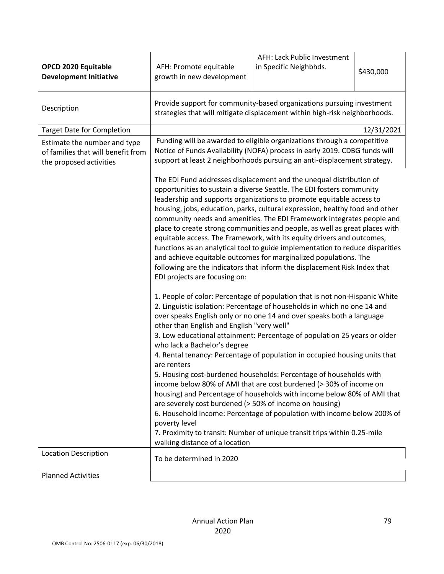| <b>OPCD 2020 Equitable</b><br><b>Development Initiative</b>                                   | AFH: Promote equitable<br>growth in new development                                                                                                                                                    | AFH: Lack Public Investment<br>in Specific Neighbhds.                                                                                                                                                                                                                                                                                                                                                                                                                                                                                                                                                                                                                                                                                                                                                                                                                                                                                                                                                                                                                                                                                                                                                                                                                                                                                                                                                                                                                                                                                                                                                                                                                                                                                                                                       | \$430,000  |
|-----------------------------------------------------------------------------------------------|--------------------------------------------------------------------------------------------------------------------------------------------------------------------------------------------------------|---------------------------------------------------------------------------------------------------------------------------------------------------------------------------------------------------------------------------------------------------------------------------------------------------------------------------------------------------------------------------------------------------------------------------------------------------------------------------------------------------------------------------------------------------------------------------------------------------------------------------------------------------------------------------------------------------------------------------------------------------------------------------------------------------------------------------------------------------------------------------------------------------------------------------------------------------------------------------------------------------------------------------------------------------------------------------------------------------------------------------------------------------------------------------------------------------------------------------------------------------------------------------------------------------------------------------------------------------------------------------------------------------------------------------------------------------------------------------------------------------------------------------------------------------------------------------------------------------------------------------------------------------------------------------------------------------------------------------------------------------------------------------------------------|------------|
| Description                                                                                   |                                                                                                                                                                                                        | Provide support for community-based organizations pursuing investment<br>strategies that will mitigate displacement within high-risk neighborhoods.                                                                                                                                                                                                                                                                                                                                                                                                                                                                                                                                                                                                                                                                                                                                                                                                                                                                                                                                                                                                                                                                                                                                                                                                                                                                                                                                                                                                                                                                                                                                                                                                                                         |            |
| <b>Target Date for Completion</b>                                                             |                                                                                                                                                                                                        |                                                                                                                                                                                                                                                                                                                                                                                                                                                                                                                                                                                                                                                                                                                                                                                                                                                                                                                                                                                                                                                                                                                                                                                                                                                                                                                                                                                                                                                                                                                                                                                                                                                                                                                                                                                             | 12/31/2021 |
| Estimate the number and type<br>of families that will benefit from<br>the proposed activities | EDI projects are focusing on:<br>other than English and English "very well"<br>who lack a Bachelor's degree<br>are renters<br>are severely cost burdened (> 50% of income on housing)<br>poverty level | Funding will be awarded to eligible organizations through a competitive<br>Notice of Funds Availability (NOFA) process in early 2019. CDBG funds will<br>support at least 2 neighborhoods pursuing an anti-displacement strategy.<br>The EDI Fund addresses displacement and the unequal distribution of<br>opportunities to sustain a diverse Seattle. The EDI fosters community<br>leadership and supports organizations to promote equitable access to<br>housing, jobs, education, parks, cultural expression, healthy food and other<br>community needs and amenities. The EDI Framework integrates people and<br>place to create strong communities and people, as well as great places with<br>equitable access. The Framework, with its equity drivers and outcomes,<br>functions as an analytical tool to guide implementation to reduce disparities<br>and achieve equitable outcomes for marginalized populations. The<br>following are the indicators that inform the displacement Risk Index that<br>1. People of color: Percentage of population that is not non-Hispanic White<br>2. Linguistic isolation: Percentage of households in which no one 14 and<br>over speaks English only or no one 14 and over speaks both a language<br>3. Low educational attainment: Percentage of population 25 years or older<br>4. Rental tenancy: Percentage of population in occupied housing units that<br>5. Housing cost-burdened households: Percentage of households with<br>income below 80% of AMI that are cost burdened (> 30% of income on<br>housing) and Percentage of households with income below 80% of AMI that<br>6. Household income: Percentage of population with income below 200% of<br>7. Proximity to transit: Number of unique transit trips within 0.25-mile |            |
| <b>Location Description</b>                                                                   | walking distance of a location                                                                                                                                                                         |                                                                                                                                                                                                                                                                                                                                                                                                                                                                                                                                                                                                                                                                                                                                                                                                                                                                                                                                                                                                                                                                                                                                                                                                                                                                                                                                                                                                                                                                                                                                                                                                                                                                                                                                                                                             |            |
|                                                                                               | To be determined in 2020                                                                                                                                                                               |                                                                                                                                                                                                                                                                                                                                                                                                                                                                                                                                                                                                                                                                                                                                                                                                                                                                                                                                                                                                                                                                                                                                                                                                                                                                                                                                                                                                                                                                                                                                                                                                                                                                                                                                                                                             |            |
| <b>Planned Activities</b>                                                                     |                                                                                                                                                                                                        |                                                                                                                                                                                                                                                                                                                                                                                                                                                                                                                                                                                                                                                                                                                                                                                                                                                                                                                                                                                                                                                                                                                                                                                                                                                                                                                                                                                                                                                                                                                                                                                                                                                                                                                                                                                             |            |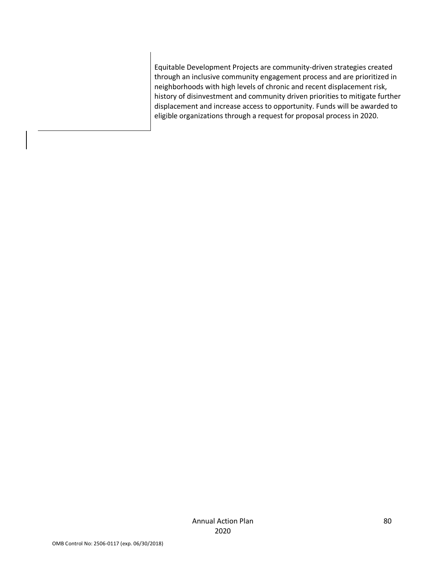Equitable Development Projects are community-driven strategies created through an inclusive community engagement process and are prioritized in neighborhoods with high levels of chronic and recent displacement risk, history of disinvestment and community driven priorities to mitigate further displacement and increase access to opportunity. Funds will be awarded to eligible organizations through a request for proposal process in 2020.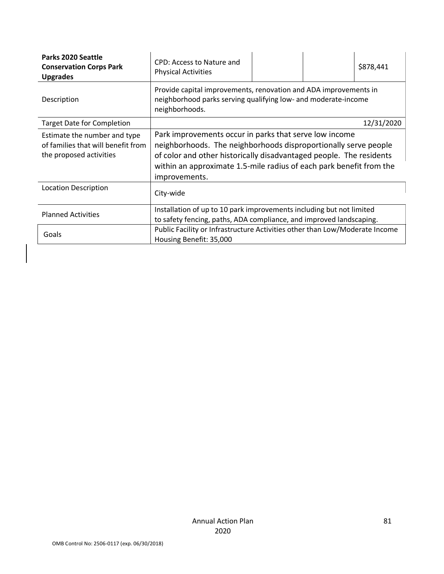| Parks 2020 Seattle<br><b>Conservation Corps Park</b><br><b>Upgrades</b>                       | CPD: Access to Nature and<br><b>Physical Activities</b>                                                                                                                                                                                                                                  |  |  | \$878,441  |
|-----------------------------------------------------------------------------------------------|------------------------------------------------------------------------------------------------------------------------------------------------------------------------------------------------------------------------------------------------------------------------------------------|--|--|------------|
| Description                                                                                   | Provide capital improvements, renovation and ADA improvements in<br>neighborhood parks serving qualifying low- and moderate-income<br>neighborhoods.                                                                                                                                     |  |  |            |
| <b>Target Date for Completion</b>                                                             |                                                                                                                                                                                                                                                                                          |  |  | 12/31/2020 |
| Estimate the number and type<br>of families that will benefit from<br>the proposed activities | Park improvements occur in parks that serve low income<br>neighborhoods. The neighborhoods disproportionally serve people<br>of color and other historically disadvantaged people. The residents<br>within an approximate 1.5-mile radius of each park benefit from the<br>improvements. |  |  |            |
| <b>Location Description</b>                                                                   | City-wide                                                                                                                                                                                                                                                                                |  |  |            |
| <b>Planned Activities</b>                                                                     | Installation of up to 10 park improvements including but not limited<br>to safety fencing, paths, ADA compliance, and improved landscaping.                                                                                                                                              |  |  |            |
| Goals                                                                                         | Public Facility or Infrastructure Activities other than Low/Moderate Income<br>Housing Benefit: 35,000                                                                                                                                                                                   |  |  |            |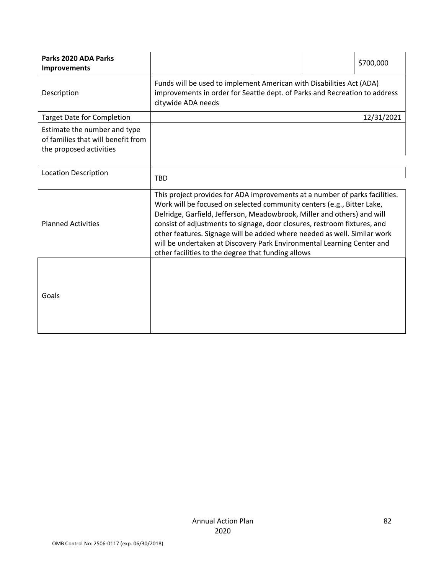| Parks 2020 ADA Parks<br><b>Improvements</b>                                                   |                                                                                                                                                                                                                                                                                                                                                                                                                                                                                                                          |  |  | \$700,000  |
|-----------------------------------------------------------------------------------------------|--------------------------------------------------------------------------------------------------------------------------------------------------------------------------------------------------------------------------------------------------------------------------------------------------------------------------------------------------------------------------------------------------------------------------------------------------------------------------------------------------------------------------|--|--|------------|
| Description                                                                                   | Funds will be used to implement American with Disabilities Act (ADA)<br>improvements in order for Seattle dept. of Parks and Recreation to address<br>citywide ADA needs                                                                                                                                                                                                                                                                                                                                                 |  |  |            |
| <b>Target Date for Completion</b>                                                             |                                                                                                                                                                                                                                                                                                                                                                                                                                                                                                                          |  |  | 12/31/2021 |
| Estimate the number and type<br>of families that will benefit from<br>the proposed activities |                                                                                                                                                                                                                                                                                                                                                                                                                                                                                                                          |  |  |            |
| <b>Location Description</b>                                                                   | <b>TBD</b>                                                                                                                                                                                                                                                                                                                                                                                                                                                                                                               |  |  |            |
| <b>Planned Activities</b>                                                                     | This project provides for ADA improvements at a number of parks facilities.<br>Work will be focused on selected community centers (e.g., Bitter Lake,<br>Delridge, Garfield, Jefferson, Meadowbrook, Miller and others) and will<br>consist of adjustments to signage, door closures, restroom fixtures, and<br>other features. Signage will be added where needed as well. Similar work<br>will be undertaken at Discovery Park Environmental Learning Center and<br>other facilities to the degree that funding allows |  |  |            |
| Goals                                                                                         |                                                                                                                                                                                                                                                                                                                                                                                                                                                                                                                          |  |  |            |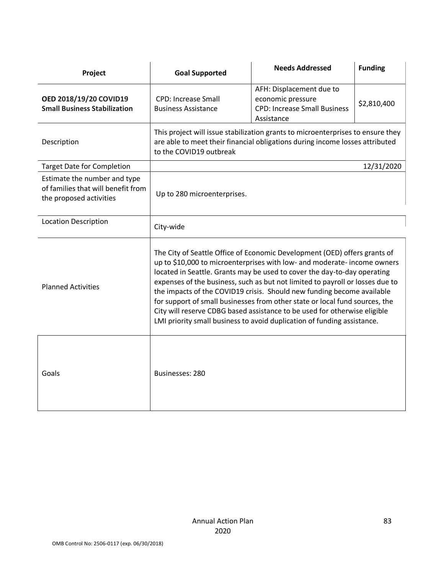| Project                                                                                       | <b>Goal Supported</b>                                                                                                                                                                                                                                                                                                                                                                                                                                                                                                                                                                                                               | <b>Needs Addressed</b>                                                                             | <b>Funding</b> |
|-----------------------------------------------------------------------------------------------|-------------------------------------------------------------------------------------------------------------------------------------------------------------------------------------------------------------------------------------------------------------------------------------------------------------------------------------------------------------------------------------------------------------------------------------------------------------------------------------------------------------------------------------------------------------------------------------------------------------------------------------|----------------------------------------------------------------------------------------------------|----------------|
| OED 2018/19/20 COVID19<br><b>Small Business Stabilization</b>                                 | <b>CPD: Increase Small</b><br><b>Business Assistance</b>                                                                                                                                                                                                                                                                                                                                                                                                                                                                                                                                                                            | AFH: Displacement due to<br>economic pressure<br><b>CPD: Increase Small Business</b><br>Assistance | \$2,810,400    |
| Description                                                                                   | This project will issue stabilization grants to microenterprises to ensure they<br>are able to meet their financial obligations during income losses attributed<br>to the COVID19 outbreak                                                                                                                                                                                                                                                                                                                                                                                                                                          |                                                                                                    |                |
| <b>Target Date for Completion</b>                                                             |                                                                                                                                                                                                                                                                                                                                                                                                                                                                                                                                                                                                                                     |                                                                                                    | 12/31/2020     |
| Estimate the number and type<br>of families that will benefit from<br>the proposed activities | Up to 280 microenterprises.                                                                                                                                                                                                                                                                                                                                                                                                                                                                                                                                                                                                         |                                                                                                    |                |
| <b>Location Description</b>                                                                   | City-wide                                                                                                                                                                                                                                                                                                                                                                                                                                                                                                                                                                                                                           |                                                                                                    |                |
| <b>Planned Activities</b>                                                                     | The City of Seattle Office of Economic Development (OED) offers grants of<br>up to \$10,000 to microenterprises with low- and moderate- income owners<br>located in Seattle. Grants may be used to cover the day-to-day operating<br>expenses of the business, such as but not limited to payroll or losses due to<br>the impacts of the COVID19 crisis. Should new funding become available<br>for support of small businesses from other state or local fund sources, the<br>City will reserve CDBG based assistance to be used for otherwise eligible<br>LMI priority small business to avoid duplication of funding assistance. |                                                                                                    |                |
| Goals                                                                                         | Businesses: 280                                                                                                                                                                                                                                                                                                                                                                                                                                                                                                                                                                                                                     |                                                                                                    |                |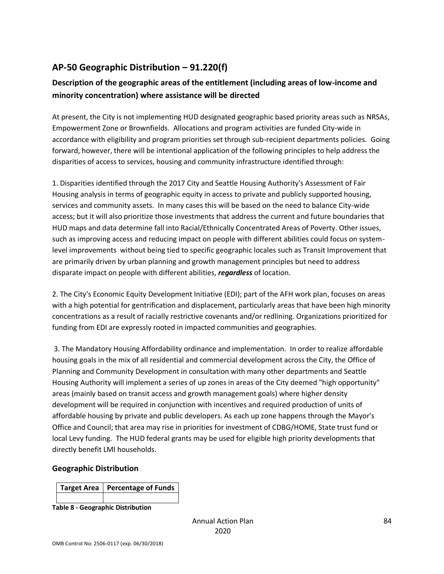# **AP-50 Geographic Distribution – 91.220(f)**

## **Description of the geographic areas of the entitlement (including areas of low-income and minority concentration) where assistance will be directed**

At present, the City is not implementing HUD designated geographic based priority areas such as NRSAs, Empowerment Zone or Brownfields. Allocations and program activities are funded City-wide in accordance with eligibility and program priorities set through sub-recipient departments policies. Going forward, however, there will be intentional application of the following principles to help address the disparities of access to services, housing and community infrastructure identified through:

1. Disparities identified through the 2017 City and Seattle Housing Authority's Assessment of Fair Housing analysis in terms of geographic equity in access to private and publicly supported housing, services and community assets. In many cases this will be based on the need to balance City-wide access; but it will also prioritize those investments that address the current and future boundaries that HUD maps and data determine fall into Racial/Ethnically Concentrated Areas of Poverty. Other issues, such as improving access and reducing impact on people with different abilities could focus on systemlevel improvements without being tied to specific geographic locales such as Transit Improvement that are primarily driven by urban planning and growth management principles but need to address disparate impact on people with different abilities, *regardless* of location.

2. The City's Economic Equity Development Initiative (EDI); part of the AFH work plan, focuses on areas with a high potential for gentrification and displacement, particularly areas that have been high minority concentrations as a result of racially restrictive covenants and/or redlining. Organizations prioritized for funding from EDI are expressly rooted in impacted communities and geographies.

3. The Mandatory Housing Affordability ordinance and implementation. In order to realize affordable housing goals in the mix of all residential and commercial development across the City, the Office of Planning and Community Development in consultation with many other departments and Seattle Housing Authority will implement a series of up zones in areas of the City deemed "high opportunity" areas (mainly based on transit access and growth management goals) where higher density development will be required in conjunction with incentives and required production of units of affordable housing by private and public developers. As each up zone happens through the Mayor's Office and Council; that area may rise in priorities for investment of CDBG/HOME, State trust fund or local Levy funding. The HUD federal grants may be used for eligible high priority developments that directly benefit LMI households.

#### **Geographic Distribution**

| Target Area   Percentage of Funds |
|-----------------------------------|
|                                   |

**Table 8 - Geographic Distribution**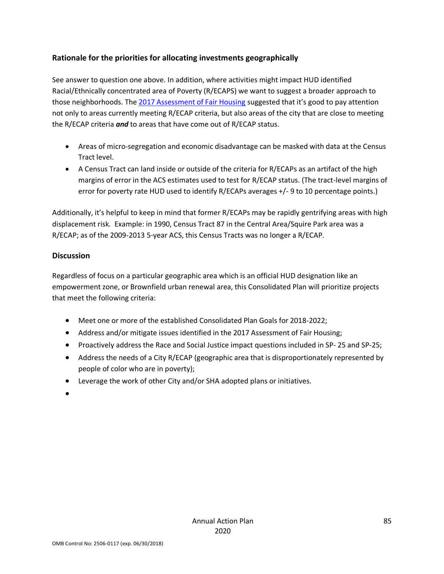## **Rationale for the priorities for allocating investments geographically**

See answer to question one above. In addition, where activities might impact HUD identified Racial/Ethnically concentrated area of Poverty (R/ECAPS) we want to suggest a broader approach to those neighborhoods. The [2017 Assessment of Fair Housing](http://www.seattle.gov/Documents/Departments/HumanServices/CDBG/2017%20AFH%20Final.4.25.17V2.pdf) suggested that it's good to pay attention not only to areas currently meeting R/ECAP criteria, but also areas of the city that are close to meeting the R/ECAP criteria *and* to areas that have come out of R/ECAP status.

- Areas of micro-segregation and economic disadvantage can be masked with data at the Census Tract level.
- A Census Tract can land inside or outside of the criteria for R/ECAPs as an artifact of the high margins of error in the ACS estimates used to test for R/ECAP status. (The tract-level margins of error for poverty rate HUD used to identify R/ECAPs averages +/- 9 to 10 percentage points.)

Additionally, it's helpful to keep in mind that former R/ECAPs may be rapidly gentrifying areas with high displacement risk. Example: in 1990, Census Tract 87 in the Central Area/Squire Park area was a R/ECAP; as of the 2009-2013 5-year ACS, this Census Tracts was no longer a R/ECAP.

## **Discussion**

Regardless of focus on a particular geographic area which is an official HUD designation like an empowerment zone, or Brownfield urban renewal area, this Consolidated Plan will prioritize projects that meet the following criteria:

- Meet one or more of the established Consolidated Plan Goals for 2018-2022;
- Address and/or mitigate issues identified in the 2017 Assessment of Fair Housing;
- Proactively address the Race and Social Justice impact questions included in SP-25 and SP-25;
- Address the needs of a City R/ECAP (geographic area that is disproportionately represented by people of color who are in poverty);
- Leverage the work of other City and/or SHA adopted plans or initiatives.
- •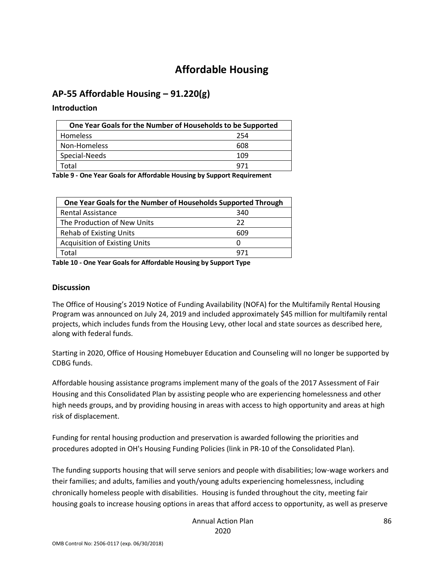# **Affordable Housing**

## **AP-55 Affordable Housing – 91.220(g)**

#### **Introduction**

| One Year Goals for the Number of Households to be Supported |     |  |
|-------------------------------------------------------------|-----|--|
| Homeless                                                    | 254 |  |
| Non-Homeless                                                | 608 |  |
| Special-Needs                                               | 109 |  |
| Total                                                       | 971 |  |

**Table 9 - One Year Goals for Affordable Housing by Support Requirement**

| One Year Goals for the Number of Households Supported Through |     |  |
|---------------------------------------------------------------|-----|--|
| <b>Rental Assistance</b>                                      | 340 |  |
| The Production of New Units                                   | 22  |  |
| <b>Rehab of Existing Units</b>                                | 609 |  |
| <b>Acquisition of Existing Units</b>                          | O   |  |
| Total                                                         | 971 |  |

**Table 10 - One Year Goals for Affordable Housing by Support Type**

#### **Discussion**

The Office of Housing's 2019 Notice of Funding Availability (NOFA) for the Multifamily Rental Housing Program was announced on July 24, 2019 and included approximately \$45 million for multifamily rental projects, which includes funds from the Housing Levy, other local and state sources as described here, along with federal funds.

Starting in 2020, Office of Housing Homebuyer Education and Counseling will no longer be supported by CDBG funds.

Affordable housing assistance programs implement many of the goals of the 2017 Assessment of Fair Housing and this Consolidated Plan by assisting people who are experiencing homelessness and other high needs groups, and by providing housing in areas with access to high opportunity and areas at high risk of displacement.

Funding for rental housing production and preservation is awarded following the priorities and procedures adopted in OH's Housing Funding Policies (link in PR-10 of the Consolidated Plan).

The funding supports housing that will serve seniors and people with disabilities; low-wage workers and their families; and adults, families and youth/young adults experiencing homelessness, including chronically homeless people with disabilities. Housing is funded throughout the city, meeting fair housing goals to increase housing options in areas that afford access to opportunity, as well as preserve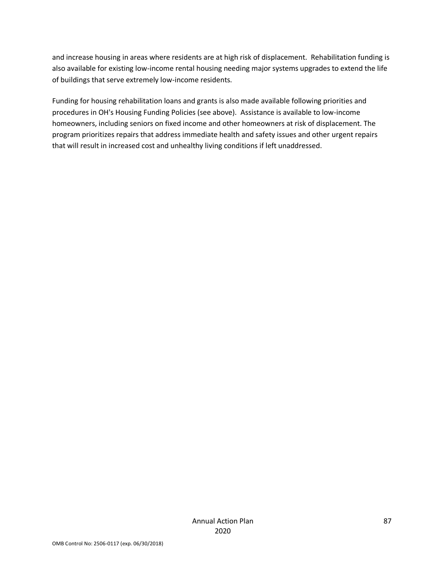and increase housing in areas where residents are at high risk of displacement. Rehabilitation funding is also available for existing low-income rental housing needing major systems upgrades to extend the life of buildings that serve extremely low-income residents.

Funding for housing rehabilitation loans and grants is also made available following priorities and procedures in OH's Housing Funding Policies (see above). Assistance is available to low-income homeowners, including seniors on fixed income and other homeowners at risk of displacement. The program prioritizes repairs that address immediate health and safety issues and other urgent repairs that will result in increased cost and unhealthy living conditions if left unaddressed.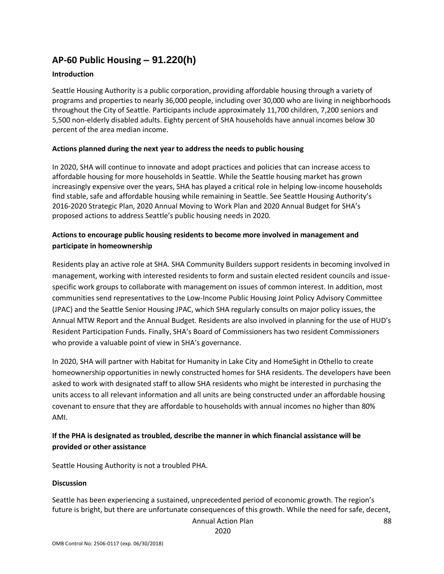# **AP-60 Public Housing** *–* **91.220(h)**

#### **Introduction**

Seattle Housing Authority is a public corporation, providing affordable housing through a variety of programs and properties to nearly 36,000 people, including over 30,000 who are living in neighborhoods throughout the City of Seattle. Participants include approximately 11,700 children, 7,200 seniors and 5,500 non-elderly disabled adults. Eighty percent of SHA households have annual incomes below 30 percent of the area median income.

#### **Actions planned during the next year to address the needs to public housing**

In 2020, SHA will continue to innovate and adopt practices and policies that can increase access to affordable housing for more households in Seattle. While the Seattle housing market has grown increasingly expensive over the years, SHA has played a critical role in helping low-income households find stable, safe and affordable housing while remaining in Seattle. See Seattle Housing Authority's 2016-2020 Strategic Plan, 2020 Annual Moving to Work Plan and 2020 Annual Budget for SHA's proposed actions to address Seattle's public housing needs in 2020.

### **Actions to encourage public housing residents to become more involved in management and participate in homeownership**

Residents play an active role at SHA. SHA Community Builders support residents in becoming involved in management, working with interested residents to form and sustain elected resident councils and issuespecific work groups to collaborate with management on issues of common interest. In addition, most communities send representatives to the Low-Income Public Housing Joint Policy Advisory Committee (JPAC) and the Seattle Senior Housing JPAC, which SHA regularly consults on major policy issues, the Annual MTW Report and the Annual Budget. Residents are also involved in planning for the use of HUD's Resident Participation Funds. Finally, SHA's Board of Commissioners has two resident Commissioners who provide a valuable point of view in SHA's governance.

In 2020, SHA will partner with Habitat for Humanity in Lake City and HomeSight in Othello to create homeownership opportunities in newly constructed homes for SHA residents. The developers have been asked to work with designated staff to allow SHA residents who might be interested in purchasing the units access to all relevant information and all units are being constructed under an affordable housing covenant to ensure that they are affordable to households with annual incomes no higher than 80% AMI.

## **If the PHA is designated as troubled, describe the manner in which financial assistance will be provided or other assistance**

Seattle Housing Authority is not a troubled PHA.

#### **Discussion**

Seattle has been experiencing a sustained, unprecedented period of economic growth. The region's future is bright, but there are unfortunate consequences of this growth. While the need for safe, decent,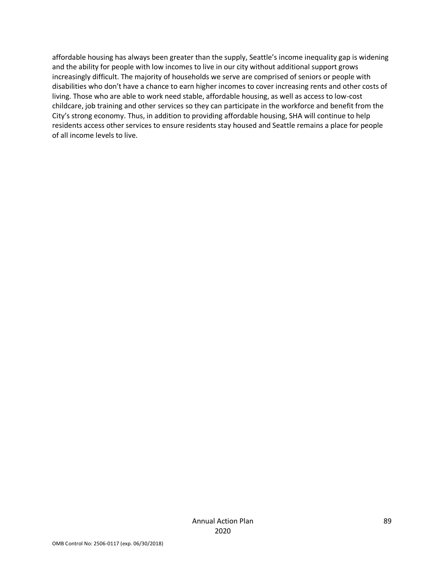affordable housing has always been greater than the supply, Seattle's income inequality gap is widening and the ability for people with low incomes to live in our city without additional support grows increasingly difficult. The majority of households we serve are comprised of seniors or people with disabilities who don't have a chance to earn higher incomes to cover increasing rents and other costs of living. Those who are able to work need stable, affordable housing, as well as access to low-cost childcare, job training and other services so they can participate in the workforce and benefit from the City's strong economy. Thus, in addition to providing affordable housing, SHA will continue to help residents access other services to ensure residents stay housed and Seattle remains a place for people of all income levels to live.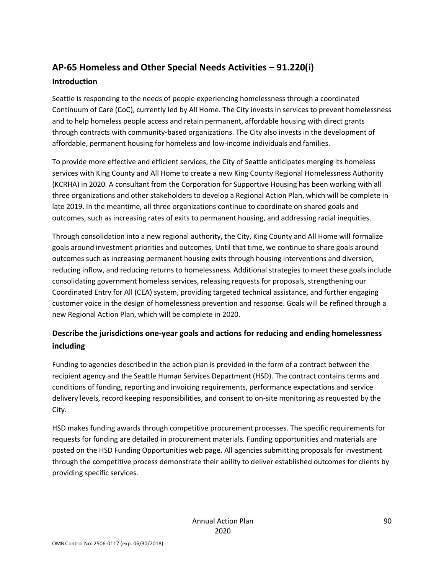# **AP-65 Homeless and Other Special Needs Activities – 91.220(i) Introduction**

Seattle is responding to the needs of people experiencing homelessness through a coordinated Continuum of Care (CoC), currently led by All Home. The City invests in services to prevent homelessness and to help homeless people access and retain permanent, affordable housing with direct grants through contracts with community-based organizations. The City also invests in the development of affordable, permanent housing for homeless and low-income individuals and families.

To provide more effective and efficient services, the City of Seattle anticipates merging its homeless services with King County and All Home to create a new King County Regional Homelessness Authority (KCRHA) in 2020. A consultant from the Corporation for Supportive Housing has been working with all three organizations and other stakeholders to develop a Regional Action Plan, which will be complete in late 2019. In the meantime, all three organizations continue to coordinate on shared goals and outcomes, such as increasing rates of exits to permanent housing, and addressing racial inequities.

Through consolidation into a new regional authority, the City, King County and All Home will formalize goals around investment priorities and outcomes. Until that time, we continue to share goals around outcomes such as increasing permanent housing exits through housing interventions and diversion, reducing inflow, and reducing returns to homelessness. Additional strategies to meet these goals include consolidating government homeless services, releasing requests for proposals, strengthening our Coordinated Entry for All (CEA) system, providing targeted technical assistance, and further engaging customer voice in the design of homelessness prevention and response. Goals will be refined through a new Regional Action Plan, which will be complete in 2020.

## **Describe the jurisdictions one-year goals and actions for reducing and ending homelessness including**

Funding to agencies described in the action plan is provided in the form of a contract between the recipient agency and the Seattle Human Services Department (HSD). The contract contains terms and conditions of funding, reporting and invoicing requirements, performance expectations and service delivery levels, record keeping responsibilities, and consent to on-site monitoring as requested by the City.

HSD makes funding awards through competitive procurement processes. The specific requirements for requests for funding are detailed in procurement materials. Funding opportunities and materials are posted on the HSD Funding Opportunities web page. All agencies submitting proposals for investment through the competitive process demonstrate their ability to deliver established outcomes for clients by providing specific services.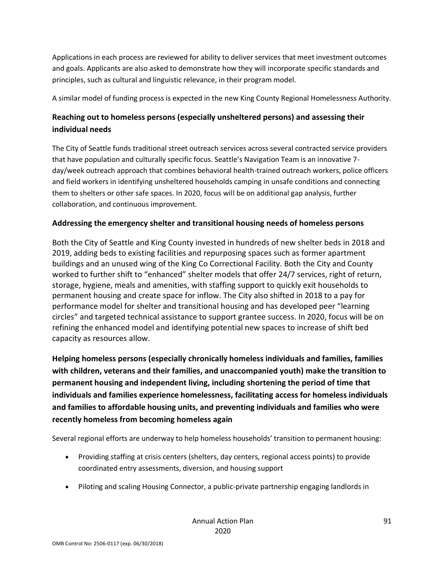Applications in each process are reviewed for ability to deliver services that meet investment outcomes and goals. Applicants are also asked to demonstrate how they will incorporate specific standards and principles, such as cultural and linguistic relevance, in their program model.

A similar model of funding process is expected in the new King County Regional Homelessness Authority.

## **Reaching out to homeless persons (especially unsheltered persons) and assessing their individual needs**

The City of Seattle funds traditional street outreach services across several contracted service providers that have population and culturally specific focus. Seattle's Navigation Team is an innovative 7 day/week outreach approach that combines behavioral health-trained outreach workers, police officers and field workers in identifying unsheltered households camping in unsafe conditions and connecting them to shelters or other safe spaces. In 2020, focus will be on additional gap analysis, further collaboration, and continuous improvement.

## **Addressing the emergency shelter and transitional housing needs of homeless persons**

Both the City of Seattle and King County invested in hundreds of new shelter beds in 2018 and 2019, adding beds to existing facilities and repurposing spaces such as former apartment buildings and an unused wing of the King Co Correctional Facility. Both the City and County worked to further shift to "enhanced" shelter models that offer 24/7 services, right of return, storage, hygiene, meals and amenities, with staffing support to quickly exit households to permanent housing and create space for inflow. The City also shifted in 2018 to a pay for performance model for shelter and transitional housing and has developed peer "learning circles" and targeted technical assistance to support grantee success. In 2020, focus will be on refining the enhanced model and identifying potential new spaces to increase of shift bed capacity as resources allow.

**Helping homeless persons (especially chronically homeless individuals and families, families with children, veterans and their families, and unaccompanied youth) make the transition to permanent housing and independent living, including shortening the period of time that individuals and families experience homelessness, facilitating access for homeless individuals and families to affordable housing units, and preventing individuals and families who were recently homeless from becoming homeless again**

Several regional efforts are underway to help homeless households' transition to permanent housing:

- Providing staffing at crisis centers (shelters, day centers, regional access points) to provide coordinated entry assessments, diversion, and housing support
- Piloting and scaling Housing Connector, a public-private partnership engaging landlords in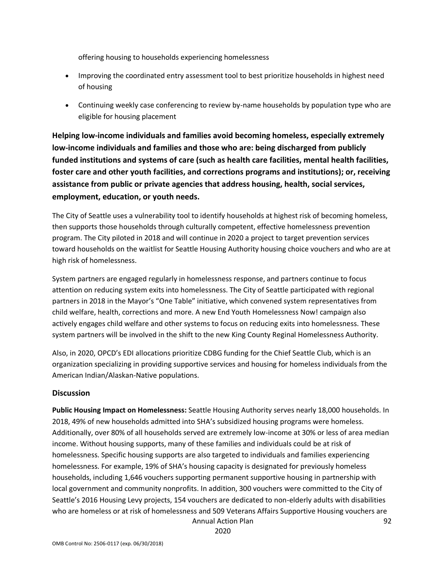offering housing to households experiencing homelessness

- Improving the coordinated entry assessment tool to best prioritize households in highest need of housing
- Continuing weekly case conferencing to review by-name households by population type who are eligible for housing placement

**Helping low-income individuals and families avoid becoming homeless, especially extremely low-income individuals and families and those who are: being discharged from publicly funded institutions and systems of care (such as health care facilities, mental health facilities, foster care and other youth facilities, and corrections programs and institutions); or, receiving assistance from public or private agencies that address housing, health, social services, employment, education, or youth needs.**

The City of Seattle uses a vulnerability tool to identify households at highest risk of becoming homeless, then supports those households through culturally competent, effective homelessness prevention program. The City piloted in 2018 and will continue in 2020 a project to target prevention services toward households on the waitlist for Seattle Housing Authority housing choice vouchers and who are at high risk of homelessness.

System partners are engaged regularly in homelessness response, and partners continue to focus attention on reducing system exits into homelessness. The City of Seattle participated with regional partners in 2018 in the Mayor's "One Table" initiative, which convened system representatives from child welfare, health, corrections and more. A new End Youth Homelessness Now! campaign also actively engages child welfare and other systems to focus on reducing exits into homelessness. These system partners will be involved in the shift to the new King County Reginal Homelessness Authority.

Also, in 2020, OPCD's EDI allocations prioritize CDBG funding for the Chief Seattle Club, which is an organization specializing in providing supportive services and housing for homeless individuals from the American Indian/Alaskan-Native populations.

## **Discussion**

**Public Housing Impact on Homelessness:** Seattle Housing Authority serves nearly 18,000 households. In 2018, 49% of new households admitted into SHA's subsidized housing programs were homeless. Additionally, over 80% of all households served are extremely low-income at 30% or less of area median income. Without housing supports, many of these families and individuals could be at risk of homelessness. Specific housing supports are also targeted to individuals and families experiencing homelessness. For example, 19% of SHA's housing capacity is designated for previously homeless households, including 1,646 vouchers supporting permanent supportive housing in partnership with local government and community nonprofits. In addition, 300 vouchers were committed to the City of Seattle's 2016 Housing Levy projects, 154 vouchers are dedicated to non-elderly adults with disabilities who are homeless or at risk of homelessness and 509 Veterans Affairs Supportive Housing vouchers are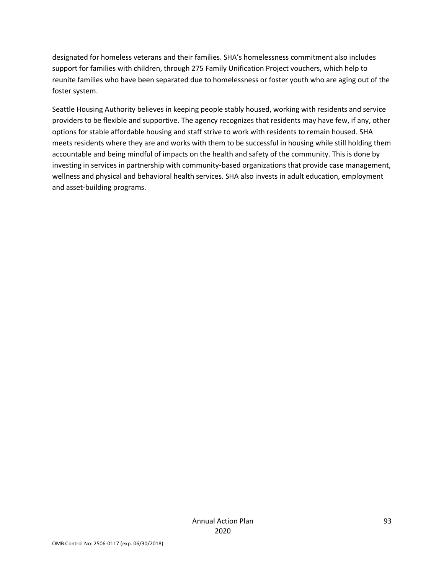designated for homeless veterans and their families. SHA's homelessness commitment also includes support for families with children, through 275 Family Unification Project vouchers, which help to reunite families who have been separated due to homelessness or foster youth who are aging out of the foster system.

Seattle Housing Authority believes in keeping people stably housed, working with residents and service providers to be flexible and supportive. The agency recognizes that residents may have few, if any, other options for stable affordable housing and staff strive to work with residents to remain housed. SHA meets residents where they are and works with them to be successful in housing while still holding them accountable and being mindful of impacts on the health and safety of the community. This is done by investing in services in partnership with community-based organizations that provide case management, wellness and physical and behavioral health services. SHA also invests in adult education, employment and asset-building programs.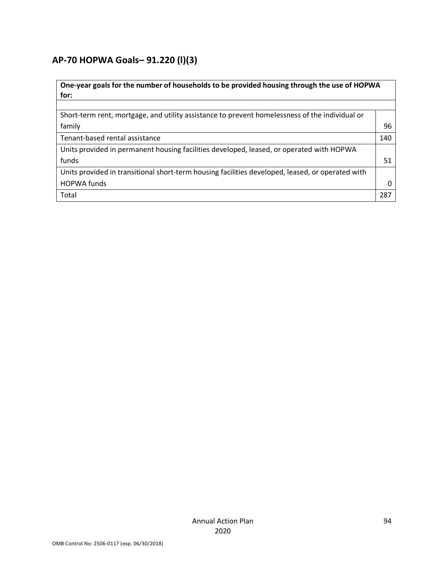# **AP-70 HOPWA Goals***–* **91.220 (l)(3)**

| One-year goals for the number of households to be provided housing through the use of HOPWA      |     |  |
|--------------------------------------------------------------------------------------------------|-----|--|
| for:                                                                                             |     |  |
|                                                                                                  |     |  |
| Short-term rent, mortgage, and utility assistance to prevent homelessness of the individual or   |     |  |
| family                                                                                           | 96  |  |
| Tenant-based rental assistance                                                                   | 140 |  |
| Units provided in permanent housing facilities developed, leased, or operated with HOPWA         |     |  |
| funds                                                                                            | 51  |  |
| Units provided in transitional short-term housing facilities developed, leased, or operated with |     |  |
| <b>HOPWA funds</b>                                                                               |     |  |
| Total                                                                                            | 287 |  |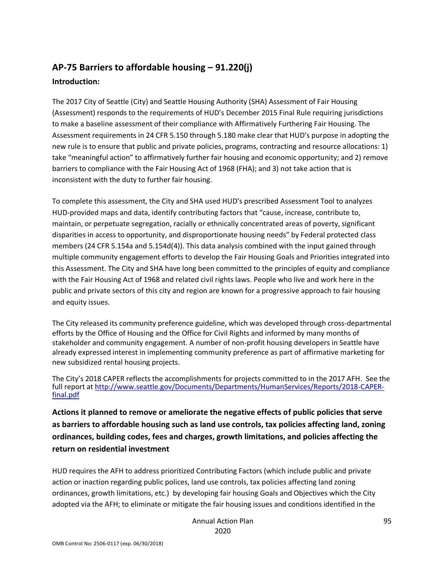# **AP-75 Barriers to affordable housing – 91.220(j) Introduction:**

The 2017 City of Seattle (City) and Seattle Housing Authority (SHA) Assessment of Fair Housing (Assessment) responds to the requirements of HUD's December 2015 Final Rule requiring jurisdictions to make a baseline assessment of their compliance with Affirmatively Furthering Fair Housing. The Assessment requirements in 24 CFR 5.150 through 5.180 make clear that HUD's purpose in adopting the new rule is to ensure that public and private policies, programs, contracting and resource allocations: 1) take "meaningful action" to affirmatively further fair housing and economic opportunity; and 2) remove barriers to compliance with the Fair Housing Act of 1968 (FHA); and 3) not take action that is inconsistent with the duty to further fair housing.

To complete this assessment, the City and SHA used HUD's prescribed Assessment Tool to analyzes HUD-provided maps and data, identify contributing factors that "cause, increase, contribute to, maintain, or perpetuate segregation, racially or ethnically concentrated areas of poverty, significant disparities in access to opportunity, and disproportionate housing needs" by Federal protected class members (24 CFR 5.154a and 5.154d(4)). This data analysis combined with the input gained through multiple community engagement efforts to develop the Fair Housing Goals and Priorities integrated into this Assessment. The City and SHA have long been committed to the principles of equity and compliance with the Fair Housing Act of 1968 and related civil rights laws. People who live and work here in the public and private sectors of this city and region are known for a progressive approach to fair housing and equity issues.

The City released its community preference guideline, which was developed through cross-departmental efforts by the Office of Housing and the Office for Civil Rights and informed by many months of stakeholder and community engagement. A number of non-profit housing developers in Seattle have already expressed interest in implementing community preference as part of affirmative marketing for new subsidized rental housing projects.

The City's 2018 CAPER reflects the accomplishments for projects committed to in the 2017 AFH. See the full report at [http://www.seattle.gov/Documents/Departments/HumanServices/Reports/2018-CAPER](http://www.seattle.gov/Documents/Departments/HumanServices/Reports/2018-CAPER-final.pdf)[final.pdf](http://www.seattle.gov/Documents/Departments/HumanServices/Reports/2018-CAPER-final.pdf)

**Actions it planned to remove or ameliorate the negative effects of public policies that serve as barriers to affordable housing such as land use controls, tax policies affecting land, zoning ordinances, building codes, fees and charges, growth limitations, and policies affecting the return on residential investment**

HUD requires the AFH to address prioritized Contributing Factors (which include public and private action or inaction regarding public polices, land use controls, tax policies affecting land zoning ordinances, growth limitations, etc.) by developing fair housing Goals and Objectives which the City adopted via the AFH; to eliminate or mitigate the fair housing issues and conditions identified in the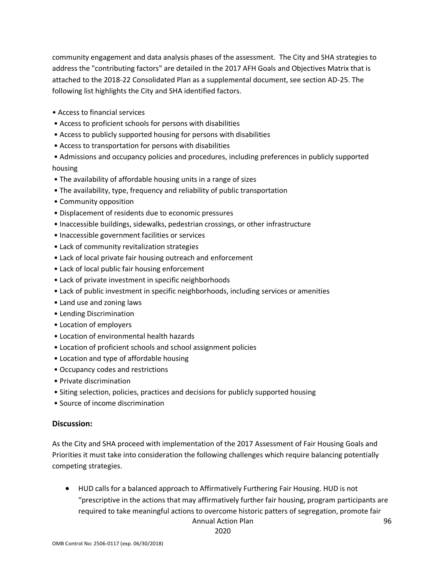community engagement and data analysis phases of the assessment. The City and SHA strategies to address the "contributing factors" are detailed in the 2017 AFH Goals and Objectives Matrix that is attached to the 2018-22 Consolidated Plan as a supplemental document, see section AD-25. The following list highlights the City and SHA identified factors.

- Access to financial services
- Access to proficient schools for persons with disabilities
- Access to publicly supported housing for persons with disabilities
- Access to transportation for persons with disabilities
- Admissions and occupancy policies and procedures, including preferences in publicly supported housing
- The availability of affordable housing units in a range of sizes
- The availability, type, frequency and reliability of public transportation
- Community opposition
- Displacement of residents due to economic pressures
- Inaccessible buildings, sidewalks, pedestrian crossings, or other infrastructure
- Inaccessible government facilities or services
- Lack of community revitalization strategies
- Lack of local private fair housing outreach and enforcement
- Lack of local public fair housing enforcement
- Lack of private investment in specific neighborhoods
- Lack of public investment in specific neighborhoods, including services or amenities
- Land use and zoning laws
- Lending Discrimination
- Location of employers
- Location of environmental health hazards
- Location of proficient schools and school assignment policies
- Location and type of affordable housing
- Occupancy codes and restrictions
- Private discrimination
- Siting selection, policies, practices and decisions for publicly supported housing
- Source of income discrimination

#### **Discussion:**

As the City and SHA proceed with implementation of the 2017 Assessment of Fair Housing Goals and Priorities it must take into consideration the following challenges which require balancing potentially competing strategies.

Annual Action Plan • HUD calls for a balanced approach to Affirmatively Furthering Fair Housing. HUD is not "prescriptive in the actions that may affirmatively further fair housing, program participants are required to take meaningful actions to overcome historic patters of segregation, promote fair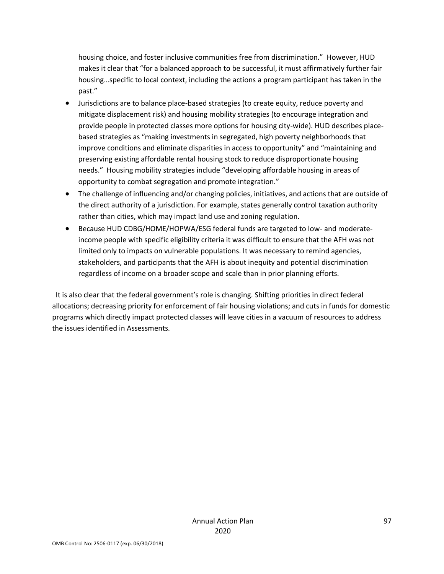housing choice, and foster inclusive communities free from discrimination." However, HUD makes it clear that "for a balanced approach to be successful, it must affirmatively further fair housing…specific to local context, including the actions a program participant has taken in the past."

- Jurisdictions are to balance place-based strategies (to create equity, reduce poverty and mitigate displacement risk) and housing mobility strategies (to encourage integration and provide people in protected classes more options for housing city-wide). HUD describes placebased strategies as "making investments in segregated, high poverty neighborhoods that improve conditions and eliminate disparities in access to opportunity" and "maintaining and preserving existing affordable rental housing stock to reduce disproportionate housing needs." Housing mobility strategies include "developing affordable housing in areas of opportunity to combat segregation and promote integration."
- The challenge of influencing and/or changing policies, initiatives, and actions that are outside of the direct authority of a jurisdiction. For example, states generally control taxation authority rather than cities, which may impact land use and zoning regulation.
- Because HUD CDBG/HOME/HOPWA/ESG federal funds are targeted to low- and moderateincome people with specific eligibility criteria it was difficult to ensure that the AFH was not limited only to impacts on vulnerable populations. It was necessary to remind agencies, stakeholders, and participants that the AFH is about inequity and potential discrimination regardless of income on a broader scope and scale than in prior planning efforts.

 It is also clear that the federal government's role is changing. Shifting priorities in direct federal allocations; decreasing priority for enforcement of fair housing violations; and cuts in funds for domestic programs which directly impact protected classes will leave cities in a vacuum of resources to address the issues identified in Assessments.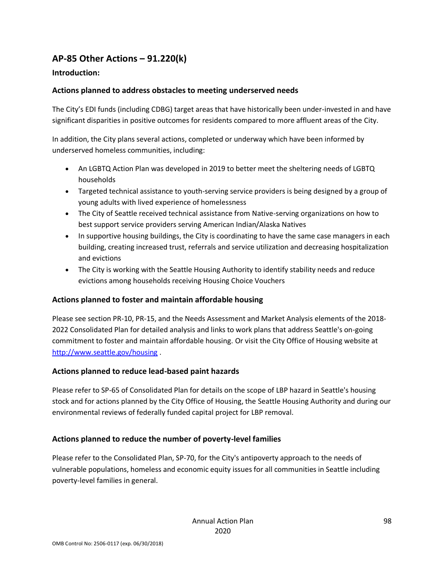# **AP-85 Other Actions – 91.220(k)**

### **Introduction:**

### **Actions planned to address obstacles to meeting underserved needs**

The City's EDI funds (including CDBG) target areas that have historically been under-invested in and have significant disparities in positive outcomes for residents compared to more affluent areas of the City.

In addition, the City plans several actions, completed or underway which have been informed by underserved homeless communities, including:

- An LGBTQ Action Plan was developed in 2019 to better meet the sheltering needs of LGBTQ households
- Targeted technical assistance to youth-serving service providers is being designed by a group of young adults with lived experience of homelessness
- The City of Seattle received technical assistance from Native-serving organizations on how to best support service providers serving American Indian/Alaska Natives
- In supportive housing buildings, the City is coordinating to have the same case managers in each building, creating increased trust, referrals and service utilization and decreasing hospitalization and evictions
- The City is working with the Seattle Housing Authority to identify stability needs and reduce evictions among households receiving Housing Choice Vouchers

#### **Actions planned to foster and maintain affordable housing**

Please see section PR-10, PR-15, and the Needs Assessment and Market Analysis elements of the 2018- 2022 Consolidated Plan for detailed analysis and links to work plans that address Seattle's on-going commitment to foster and maintain affordable housing. Or visit the City Office of Housing website at <http://www.seattle.gov/housing> .

#### **Actions planned to reduce lead-based paint hazards**

Please refer to SP-65 of Consolidated Plan for details on the scope of LBP hazard in Seattle's housing stock and for actions planned by the City Office of Housing, the Seattle Housing Authority and during our environmental reviews of federally funded capital project for LBP removal.

## **Actions planned to reduce the number of poverty-level families**

Please refer to the Consolidated Plan, SP-70, for the City's antipoverty approach to the needs of vulnerable populations, homeless and economic equity issues for all communities in Seattle including poverty-level families in general.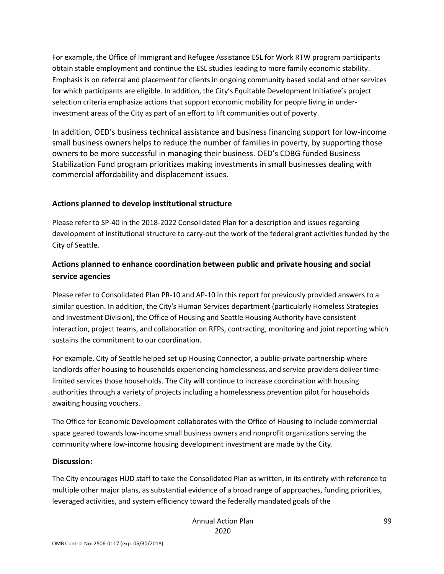For example, the Office of Immigrant and Refugee Assistance ESL for Work RTW program participants obtain stable employment and continue the ESL studies leading to more family economic stability. Emphasis is on referral and placement for clients in ongoing community based social and other services for which participants are eligible. In addition, the City's Equitable Development Initiative's project selection criteria emphasize actions that support economic mobility for people living in underinvestment areas of the City as part of an effort to lift communities out of poverty.

In addition, OED's business technical assistance and business financing support for low-income small business owners helps to reduce the number of families in poverty, by supporting those owners to be more successful in managing their business. OED's CDBG funded Business Stabilization Fund program prioritizes making investments in small businesses dealing with commercial affordability and displacement issues.

### **Actions planned to develop institutional structure**

Please refer to SP-40 in the 2018-2022 Consolidated Plan for a description and issues regarding development of institutional structure to carry-out the work of the federal grant activities funded by the City of Seattle.

## **Actions planned to enhance coordination between public and private housing and social service agencies**

Please refer to Consolidated Plan PR-10 and AP-10 in this report for previously provided answers to a similar question. In addition, the City's Human Services department (particularly Homeless Strategies and Investment Division), the Office of Housing and Seattle Housing Authority have consistent interaction, project teams, and collaboration on RFPs, contracting, monitoring and joint reporting which sustains the commitment to our coordination.

For example, City of Seattle helped set up Housing Connector, a public-private partnership where landlords offer housing to households experiencing homelessness, and service providers deliver timelimited services those households. The City will continue to increase coordination with housing authorities through a variety of projects including a homelessness prevention pilot for households awaiting housing vouchers.

The Office for Economic Development collaborates with the Office of Housing to include commercial space geared towards low-income small business owners and nonprofit organizations serving the community where low-income housing development investment are made by the City.

#### **Discussion:**

The City encourages HUD staff to take the Consolidated Plan as written, in its entirety with reference to multiple other major plans, as substantial evidence of a broad range of approaches, funding priorities, leveraged activities, and system efficiency toward the federally mandated goals of the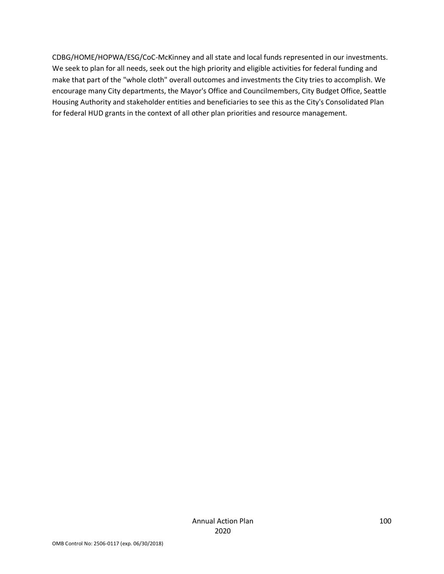CDBG/HOME/HOPWA/ESG/CoC-McKinney and all state and local funds represented in our investments. We seek to plan for all needs, seek out the high priority and eligible activities for federal funding and make that part of the "whole cloth" overall outcomes and investments the City tries to accomplish. We encourage many City departments, the Mayor's Office and Councilmembers, City Budget Office, Seattle Housing Authority and stakeholder entities and beneficiaries to see this as the City's Consolidated Plan for federal HUD grants in the context of all other plan priorities and resource management.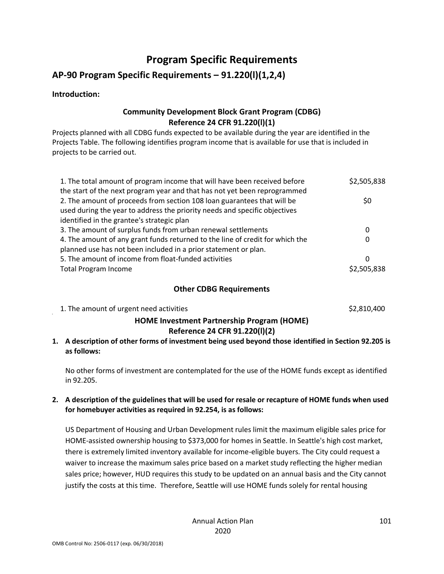# **Program Specific Requirements**

## **AP-90 Program Specific Requirements – 91.220(l)(1,2,4)**

#### **Introduction:**

## **Community Development Block Grant Program (CDBG) Reference 24 CFR 91.220(l)(1)**

Projects planned with all CDBG funds expected to be available during the year are identified in the Projects Table. The following identifies program income that is available for use that is included in projects to be carried out.

| 1. The total amount of program income that will have been received before     | \$2,505,838 |
|-------------------------------------------------------------------------------|-------------|
| the start of the next program year and that has not yet been reprogrammed     |             |
| 2. The amount of proceeds from section 108 loan guarantees that will be       | \$0         |
| used during the year to address the priority needs and specific objectives    |             |
| identified in the grantee's strategic plan                                    |             |
| 3. The amount of surplus funds from urban renewal settlements                 | 0           |
| 4. The amount of any grant funds returned to the line of credit for which the | 0           |
| planned use has not been included in a prior statement or plan.               |             |
| 5. The amount of income from float-funded activities                          | 0           |
| <b>Total Program Income</b>                                                   | \$2,505,838 |

#### **Other CDBG Requirements**

1. The amount of urgent need activities **\$2,810,400** \$2,810,400

### **HOME Investment Partnership Program (HOME) Reference 24 CFR 91.220(l)(2)**

**1. A description of other forms of investment being used beyond those identified in Section 92.205 is as follows:**

No other forms of investment are contemplated for the use of the HOME funds except as identified in 92.205.

#### **2. A description of the guidelines that will be used for resale or recapture of HOME funds when used for homebuyer activities as required in 92.254, is as follows:**

US Department of Housing and Urban Development rules limit the maximum eligible sales price for HOME-assisted ownership housing to \$373,000 for homes in Seattle. In Seattle's high cost market, there is extremely limited inventory available for income-eligible buyers. The City could request a waiver to increase the maximum sales price based on a market study reflecting the higher median sales price; however, HUD requires this study to be updated on an annual basis and the City cannot justify the costs at this time. Therefore, Seattle will use HOME funds solely for rental housing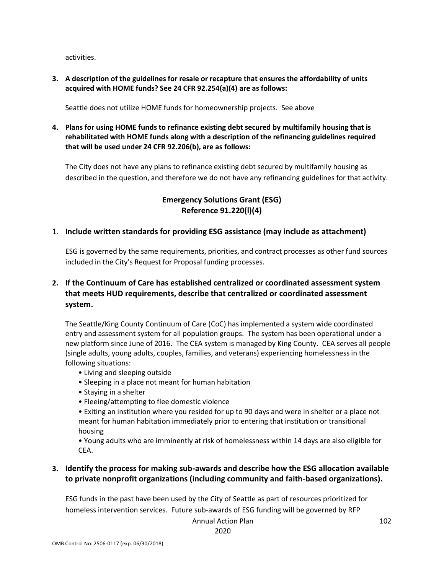activities.

**3. A description of the guidelines for resale or recapture that ensures the affordability of units acquired with HOME funds? See 24 CFR 92.254(a)(4) are as follows:**

Seattle does not utilize HOME funds for homeownership projects. See above

**4. Plans for using HOME funds to refinance existing debt secured by multifamily housing that is rehabilitated with HOME funds along with a description of the refinancing guidelines required that will be used under 24 CFR 92.206(b), are as follows:**

The City does not have any plans to refinance existing debt secured by multifamily housing as described in the question, and therefore we do not have any refinancing guidelines for that activity.

## **Emergency Solutions Grant (ESG) Reference 91.220(l)(4)**

#### 1. **Include written standards for providing ESG assistance (may include as attachment)**

ESG is governed by the same requirements, priorities, and contract processes as other fund sources included in the City's Request for Proposal funding processes.

## **2. If the Continuum of Care has established centralized or coordinated assessment system that meets HUD requirements, describe that centralized or coordinated assessment system.**

The Seattle/King County Continuum of Care (CoC) has implemented a system wide coordinated entry and assessment system for all population groups. The system has been operational under a new platform since June of 2016. The CEA system is managed by King County. CEA serves all people (single adults, young adults, couples, families, and veterans) experiencing homelessness in the following situations:

- Living and sleeping outside
- Sleeping in a place not meant for human habitation
- Staying in a shelter
- Fleeing/attempting to flee domestic violence
- Exiting an institution where you resided for up to 90 days and were in shelter or a place not meant for human habitation immediately prior to entering that institution or transitional housing

• Young adults who are imminently at risk of homelessness within 14 days are also eligible for CEA.

### **3. Identify the process for making sub-awards and describe how the ESG allocation available to private nonprofit organizations (including community and faith-based organizations).**

ESG funds in the past have been used by the City of Seattle as part of resources prioritized for homeless intervention services. Future sub-awards of ESG funding will be governed by RFP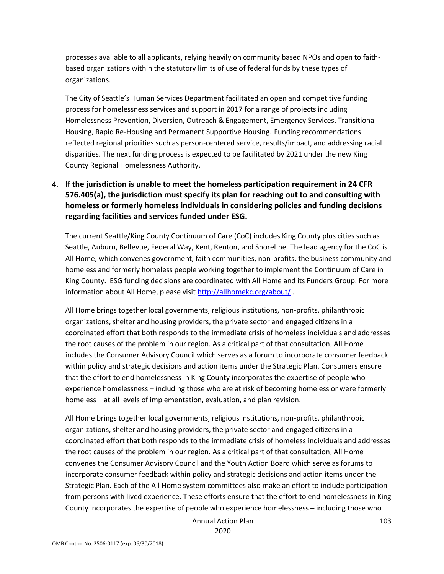processes available to all applicants, relying heavily on community based NPOs and open to faithbased organizations within the statutory limits of use of federal funds by these types of organizations.

The City of Seattle's Human Services Department facilitated an open and competitive funding process for homelessness services and support in 2017 for a range of projects including Homelessness Prevention, Diversion, Outreach & Engagement, Emergency Services, Transitional Housing, Rapid Re-Housing and Permanent Supportive Housing. Funding recommendations reflected regional priorities such as person-centered service, results/impact, and addressing racial disparities. The next funding process is expected to be facilitated by 2021 under the new King County Regional Homelessness Authority.

## **4. If the jurisdiction is unable to meet the homeless participation requirement in 24 CFR 576.405(a), the jurisdiction must specify its plan for reaching out to and consulting with homeless or formerly homeless individuals in considering policies and funding decisions regarding facilities and services funded under ESG.**

The current Seattle/King County Continuum of Care (CoC) includes King County plus cities such as Seattle, Auburn, Bellevue, Federal Way, Kent, Renton, and Shoreline. The lead agency for the CoC is All Home, which convenes government, faith communities, non-profits, the business community and homeless and formerly homeless people working together to implement the Continuum of Care in King County. ESG funding decisions are coordinated with All Home and its Funders Group. For more information about All Home, please visit<http://allhomekc.org/about/> .

All Home brings together local governments, religious institutions, non-profits, philanthropic organizations, shelter and housing providers, the private sector and engaged citizens in a coordinated effort that both responds to the immediate crisis of homeless individuals and addresses the root causes of the problem in our region. As a critical part of that consultation, All Home includes the Consumer Advisory Council which serves as a forum to incorporate consumer feedback within policy and strategic decisions and action items under the Strategic Plan. Consumers ensure that the effort to end homelessness in King County incorporates the expertise of people who experience homelessness – including those who are at risk of becoming homeless or were formerly homeless – at all levels of implementation, evaluation, and plan revision.

All Home brings together local governments, religious institutions, non-profits, philanthropic organizations, shelter and housing providers, the private sector and engaged citizens in a coordinated effort that both responds to the immediate crisis of homeless individuals and addresses the root causes of the problem in our region. As a critical part of that consultation, All Home convenes the Consumer Advisory Council and the Youth Action Board which serve as forums to incorporate consumer feedback within policy and strategic decisions and action items under the Strategic Plan. Each of the All Home system committees also make an effort to include participation from persons with lived experience. These efforts ensure that the effort to end homelessness in King County incorporates the expertise of people who experience homelessness – including those who